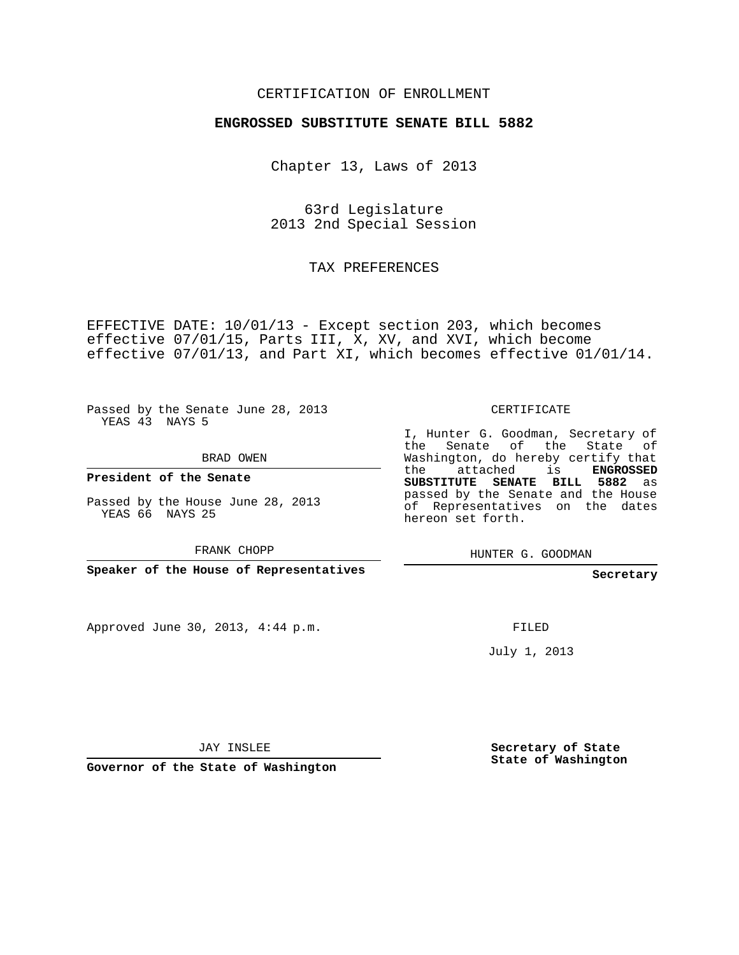#### CERTIFICATION OF ENROLLMENT

#### **ENGROSSED SUBSTITUTE SENATE BILL 5882**

Chapter 13, Laws of 2013

63rd Legislature 2013 2nd Special Session

TAX PREFERENCES

EFFECTIVE DATE: 10/01/13 - Except section 203, which becomes effective 07/01/15, Parts III, X, XV, and XVI, which become effective 07/01/13, and Part XI, which becomes effective 01/01/14.

Passed by the Senate June 28, 2013 YEAS 43 NAYS 5

BRAD OWEN

**President of the Senate**

Passed by the House June 28, 2013 YEAS 66 NAYS 25

FRANK CHOPP

**Speaker of the House of Representatives**

Approved June 30, 2013, 4:44 p.m.

CERTIFICATE

I, Hunter G. Goodman, Secretary of the Senate of the State of Washington, do hereby certify that the attached is **ENGROSSED SUBSTITUTE SENATE BILL 5882** as passed by the Senate and the House of Representatives on the dates hereon set forth.

HUNTER G. GOODMAN

**Secretary**

FILED

July 1, 2013

JAY INSLEE

**Governor of the State of Washington**

**Secretary of State State of Washington**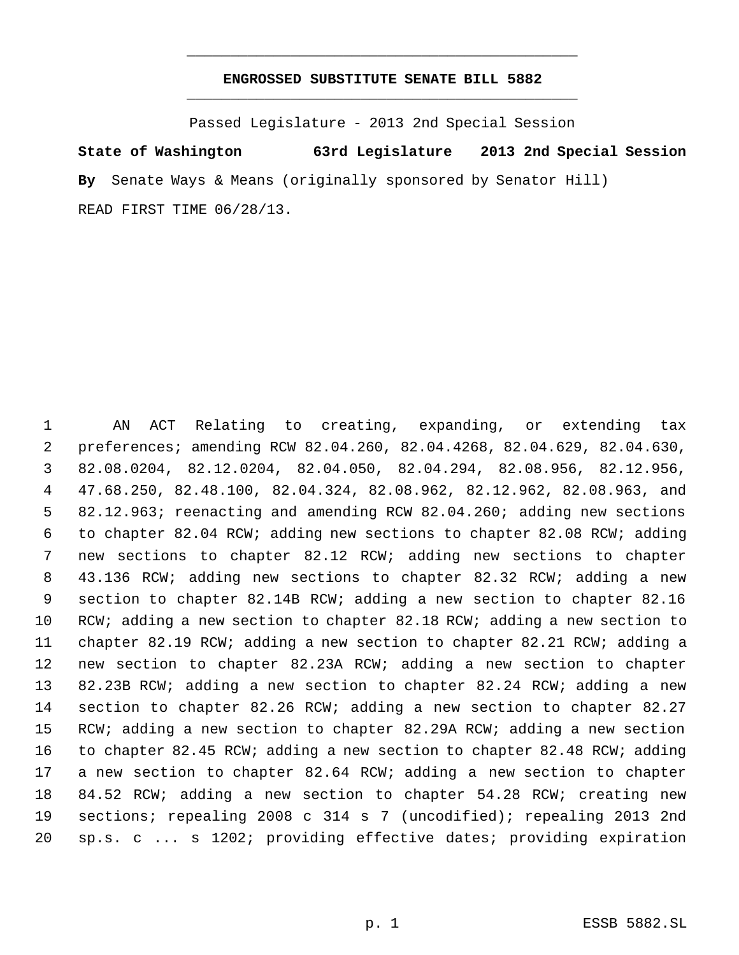### **ENGROSSED SUBSTITUTE SENATE BILL 5882** \_\_\_\_\_\_\_\_\_\_\_\_\_\_\_\_\_\_\_\_\_\_\_\_\_\_\_\_\_\_\_\_\_\_\_\_\_\_\_\_\_\_\_\_\_

\_\_\_\_\_\_\_\_\_\_\_\_\_\_\_\_\_\_\_\_\_\_\_\_\_\_\_\_\_\_\_\_\_\_\_\_\_\_\_\_\_\_\_\_\_

Passed Legislature - 2013 2nd Special Session

**State of Washington 63rd Legislature 2013 2nd Special Session By** Senate Ways & Means (originally sponsored by Senator Hill) READ FIRST TIME 06/28/13.

 AN ACT Relating to creating, expanding, or extending tax preferences; amending RCW 82.04.260, 82.04.4268, 82.04.629, 82.04.630, 82.08.0204, 82.12.0204, 82.04.050, 82.04.294, 82.08.956, 82.12.956, 47.68.250, 82.48.100, 82.04.324, 82.08.962, 82.12.962, 82.08.963, and 82.12.963; reenacting and amending RCW 82.04.260; adding new sections to chapter 82.04 RCW; adding new sections to chapter 82.08 RCW; adding new sections to chapter 82.12 RCW; adding new sections to chapter 43.136 RCW; adding new sections to chapter 82.32 RCW; adding a new section to chapter 82.14B RCW; adding a new section to chapter 82.16 RCW; adding a new section to chapter 82.18 RCW; adding a new section to chapter 82.19 RCW; adding a new section to chapter 82.21 RCW; adding a new section to chapter 82.23A RCW; adding a new section to chapter 82.23B RCW; adding a new section to chapter 82.24 RCW; adding a new section to chapter 82.26 RCW; adding a new section to chapter 82.27 RCW; adding a new section to chapter 82.29A RCW; adding a new section to chapter 82.45 RCW; adding a new section to chapter 82.48 RCW; adding a new section to chapter 82.64 RCW; adding a new section to chapter 84.52 RCW; adding a new section to chapter 54.28 RCW; creating new sections; repealing 2008 c 314 s 7 (uncodified); repealing 2013 2nd sp.s. c ... s 1202; providing effective dates; providing expiration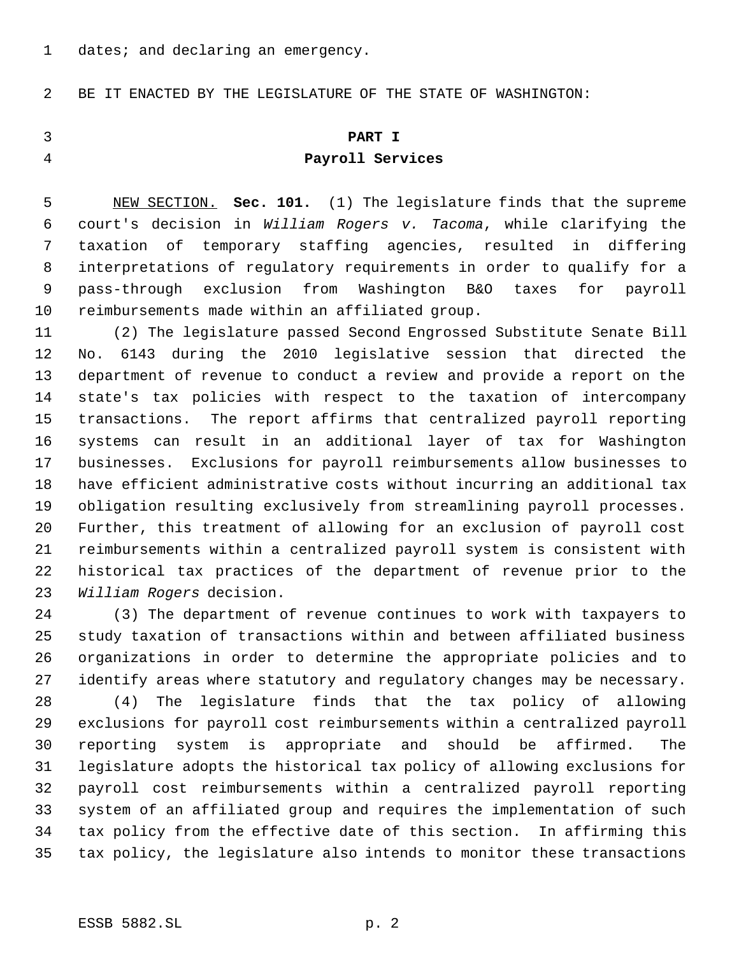1 dates; and declaring an emergency.

BE IT ENACTED BY THE LEGISLATURE OF THE STATE OF WASHINGTON:

# **PART I Payroll Services**

 NEW SECTION. **Sec. 101.** (1) The legislature finds that the supreme court's decision in *William Rogers v. Tacoma*, while clarifying the taxation of temporary staffing agencies, resulted in differing interpretations of regulatory requirements in order to qualify for a pass-through exclusion from Washington B&O taxes for payroll reimbursements made within an affiliated group.

 (2) The legislature passed Second Engrossed Substitute Senate Bill No. 6143 during the 2010 legislative session that directed the department of revenue to conduct a review and provide a report on the state's tax policies with respect to the taxation of intercompany transactions. The report affirms that centralized payroll reporting systems can result in an additional layer of tax for Washington businesses. Exclusions for payroll reimbursements allow businesses to have efficient administrative costs without incurring an additional tax obligation resulting exclusively from streamlining payroll processes. Further, this treatment of allowing for an exclusion of payroll cost reimbursements within a centralized payroll system is consistent with historical tax practices of the department of revenue prior to the *William Rogers* decision.

 (3) The department of revenue continues to work with taxpayers to study taxation of transactions within and between affiliated business organizations in order to determine the appropriate policies and to identify areas where statutory and regulatory changes may be necessary. (4) The legislature finds that the tax policy of allowing exclusions for payroll cost reimbursements within a centralized payroll reporting system is appropriate and should be affirmed. The

 legislature adopts the historical tax policy of allowing exclusions for payroll cost reimbursements within a centralized payroll reporting system of an affiliated group and requires the implementation of such tax policy from the effective date of this section. In affirming this tax policy, the legislature also intends to monitor these transactions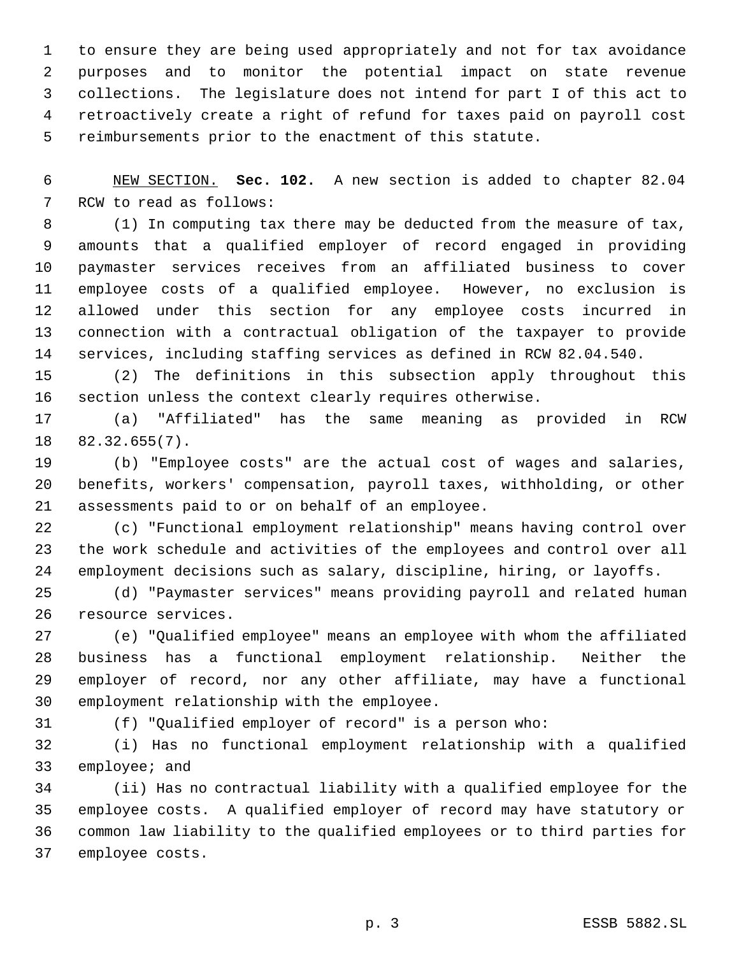to ensure they are being used appropriately and not for tax avoidance purposes and to monitor the potential impact on state revenue collections. The legislature does not intend for part I of this act to retroactively create a right of refund for taxes paid on payroll cost reimbursements prior to the enactment of this statute.

 NEW SECTION. **Sec. 102.** A new section is added to chapter 82.04 RCW to read as follows:

 (1) In computing tax there may be deducted from the measure of tax, amounts that a qualified employer of record engaged in providing paymaster services receives from an affiliated business to cover employee costs of a qualified employee. However, no exclusion is allowed under this section for any employee costs incurred in connection with a contractual obligation of the taxpayer to provide services, including staffing services as defined in RCW 82.04.540.

 (2) The definitions in this subsection apply throughout this section unless the context clearly requires otherwise.

 (a) "Affiliated" has the same meaning as provided in RCW 82.32.655(7).

 (b) "Employee costs" are the actual cost of wages and salaries, benefits, workers' compensation, payroll taxes, withholding, or other assessments paid to or on behalf of an employee.

 (c) "Functional employment relationship" means having control over the work schedule and activities of the employees and control over all employment decisions such as salary, discipline, hiring, or layoffs.

 (d) "Paymaster services" means providing payroll and related human resource services.

 (e) "Qualified employee" means an employee with whom the affiliated business has a functional employment relationship. Neither the employer of record, nor any other affiliate, may have a functional employment relationship with the employee.

(f) "Qualified employer of record" is a person who:

 (i) Has no functional employment relationship with a qualified employee; and

 (ii) Has no contractual liability with a qualified employee for the employee costs. A qualified employer of record may have statutory or common law liability to the qualified employees or to third parties for employee costs.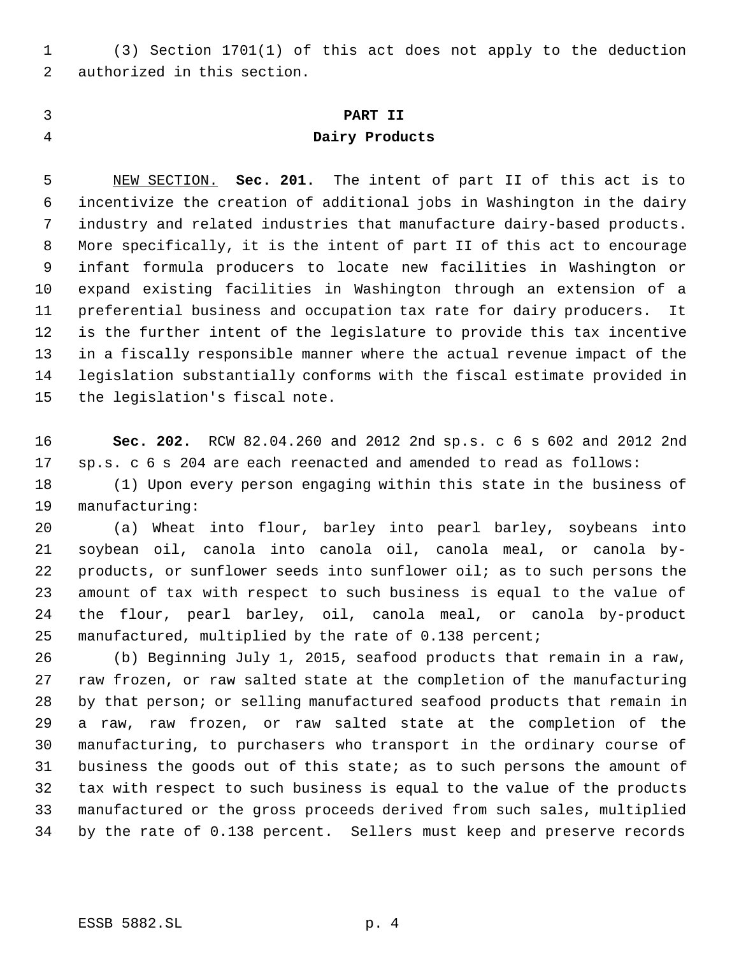(3) Section 1701(1) of this act does not apply to the deduction authorized in this section.

# **PART II Dairy Products**

 NEW SECTION. **Sec. 201.** The intent of part II of this act is to incentivize the creation of additional jobs in Washington in the dairy industry and related industries that manufacture dairy-based products. More specifically, it is the intent of part II of this act to encourage infant formula producers to locate new facilities in Washington or expand existing facilities in Washington through an extension of a preferential business and occupation tax rate for dairy producers. It is the further intent of the legislature to provide this tax incentive in a fiscally responsible manner where the actual revenue impact of the legislation substantially conforms with the fiscal estimate provided in the legislation's fiscal note.

 **Sec. 202.** RCW 82.04.260 and 2012 2nd sp.s. c 6 s 602 and 2012 2nd sp.s. c 6 s 204 are each reenacted and amended to read as follows:

 (1) Upon every person engaging within this state in the business of manufacturing:

 (a) Wheat into flour, barley into pearl barley, soybeans into soybean oil, canola into canola oil, canola meal, or canola by- products, or sunflower seeds into sunflower oil; as to such persons the amount of tax with respect to such business is equal to the value of the flour, pearl barley, oil, canola meal, or canola by-product manufactured, multiplied by the rate of 0.138 percent;

 (b) Beginning July 1, 2015, seafood products that remain in a raw, raw frozen, or raw salted state at the completion of the manufacturing by that person; or selling manufactured seafood products that remain in a raw, raw frozen, or raw salted state at the completion of the manufacturing, to purchasers who transport in the ordinary course of business the goods out of this state; as to such persons the amount of tax with respect to such business is equal to the value of the products manufactured or the gross proceeds derived from such sales, multiplied by the rate of 0.138 percent. Sellers must keep and preserve records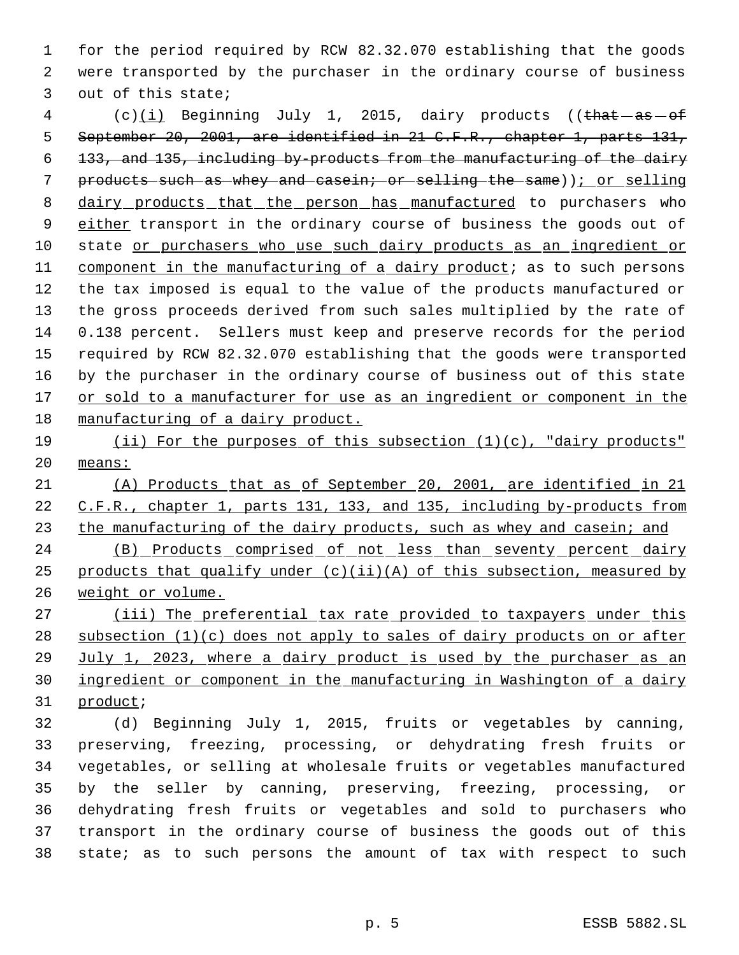for the period required by RCW 82.32.070 establishing that the goods were transported by the purchaser in the ordinary course of business out of this state;

4 (c)(i) Beginning July 1, 2015, dairy products ((that -as - of 5 September 20, 2001, are identified in 21 C.F.R., chapter 1, parts 131, 133, and 135, including by-products from the manufacturing of the dairy 7 products such as whey and casein; or selling the same)); or selling 8 dairy products that the person has manufactured to purchasers who 9 either transport in the ordinary course of business the goods out of state or purchasers who use such dairy products as an ingredient or component in the manufacturing of a dairy product; as to such persons the tax imposed is equal to the value of the products manufactured or the gross proceeds derived from such sales multiplied by the rate of 0.138 percent. Sellers must keep and preserve records for the period required by RCW 82.32.070 establishing that the goods were transported by the purchaser in the ordinary course of business out of this state 17 or sold to a manufacturer for use as an ingredient or component in the manufacturing of a dairy product.

 (ii) For the purposes of this subsection (1)(c), "dairy products" means:

 (A) Products that as of September 20, 2001, are identified in 21 C.F.R., chapter 1, parts 131, 133, and 135, including by-products from 23 the manufacturing of the dairy products, such as whey and casein; and

 (B) Products comprised of not less than seventy percent dairy 25 products that qualify under  $(c)(ii)(A)$  of this subsection, measured by weight or volume.

27 (iii) The preferential tax rate provided to taxpayers under this 28 subsection  $(1)(c)$  does not apply to sales of dairy products on or after July 1, 2023, where a dairy product is used by the purchaser as an ingredient or component in the manufacturing in Washington of a dairy 31 product;

 (d) Beginning July 1, 2015, fruits or vegetables by canning, preserving, freezing, processing, or dehydrating fresh fruits or vegetables, or selling at wholesale fruits or vegetables manufactured by the seller by canning, preserving, freezing, processing, or dehydrating fresh fruits or vegetables and sold to purchasers who transport in the ordinary course of business the goods out of this state; as to such persons the amount of tax with respect to such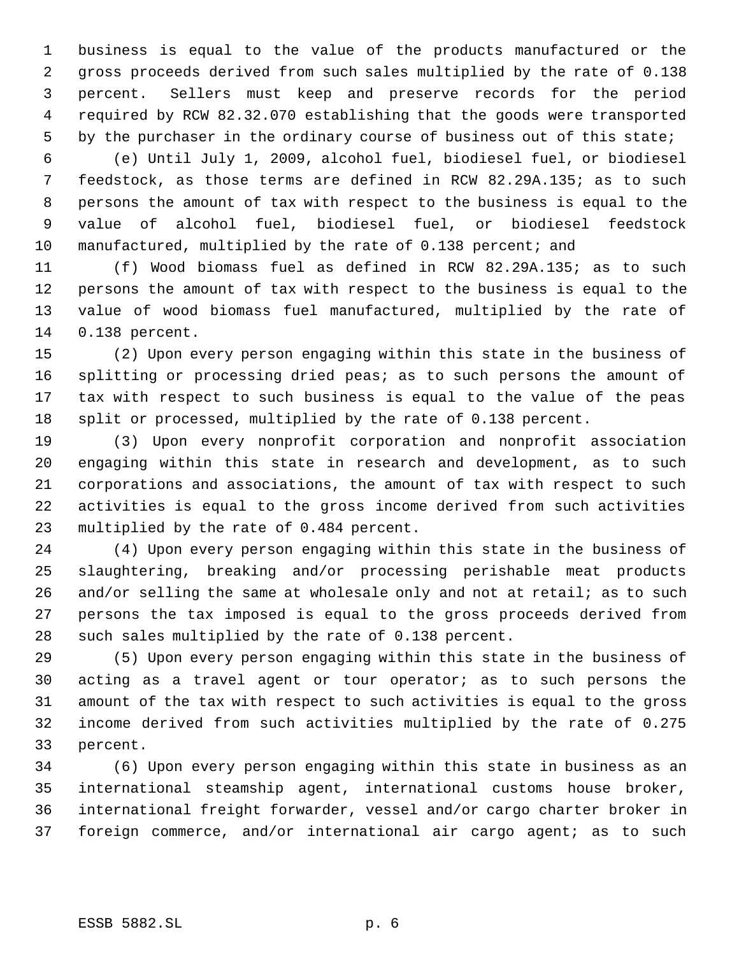business is equal to the value of the products manufactured or the gross proceeds derived from such sales multiplied by the rate of 0.138 percent. Sellers must keep and preserve records for the period required by RCW 82.32.070 establishing that the goods were transported 5 by the purchaser in the ordinary course of business out of this state;

 (e) Until July 1, 2009, alcohol fuel, biodiesel fuel, or biodiesel feedstock, as those terms are defined in RCW 82.29A.135; as to such persons the amount of tax with respect to the business is equal to the value of alcohol fuel, biodiesel fuel, or biodiesel feedstock 10 manufactured, multiplied by the rate of 0.138 percent; and

 (f) Wood biomass fuel as defined in RCW 82.29A.135; as to such persons the amount of tax with respect to the business is equal to the value of wood biomass fuel manufactured, multiplied by the rate of 0.138 percent.

 (2) Upon every person engaging within this state in the business of splitting or processing dried peas; as to such persons the amount of tax with respect to such business is equal to the value of the peas split or processed, multiplied by the rate of 0.138 percent.

 (3) Upon every nonprofit corporation and nonprofit association engaging within this state in research and development, as to such corporations and associations, the amount of tax with respect to such activities is equal to the gross income derived from such activities multiplied by the rate of 0.484 percent.

 (4) Upon every person engaging within this state in the business of slaughtering, breaking and/or processing perishable meat products and/or selling the same at wholesale only and not at retail; as to such persons the tax imposed is equal to the gross proceeds derived from such sales multiplied by the rate of 0.138 percent.

 (5) Upon every person engaging within this state in the business of acting as a travel agent or tour operator; as to such persons the amount of the tax with respect to such activities is equal to the gross income derived from such activities multiplied by the rate of 0.275 percent.

 (6) Upon every person engaging within this state in business as an international steamship agent, international customs house broker, international freight forwarder, vessel and/or cargo charter broker in foreign commerce, and/or international air cargo agent; as to such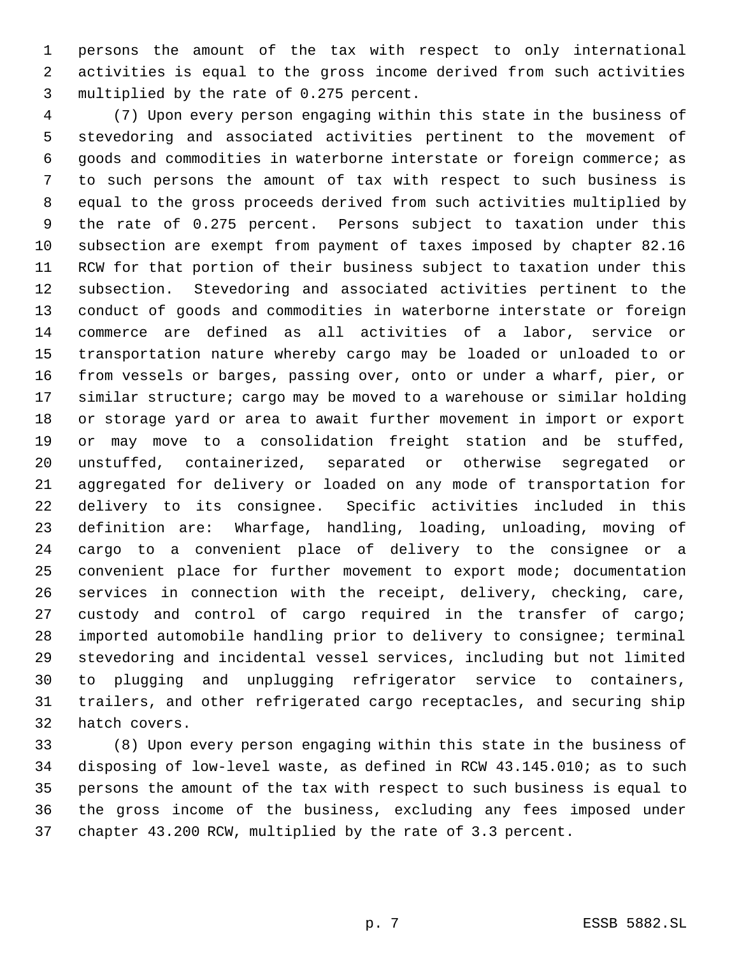persons the amount of the tax with respect to only international activities is equal to the gross income derived from such activities multiplied by the rate of 0.275 percent.

 (7) Upon every person engaging within this state in the business of stevedoring and associated activities pertinent to the movement of goods and commodities in waterborne interstate or foreign commerce; as to such persons the amount of tax with respect to such business is equal to the gross proceeds derived from such activities multiplied by the rate of 0.275 percent. Persons subject to taxation under this subsection are exempt from payment of taxes imposed by chapter 82.16 RCW for that portion of their business subject to taxation under this subsection. Stevedoring and associated activities pertinent to the conduct of goods and commodities in waterborne interstate or foreign commerce are defined as all activities of a labor, service or transportation nature whereby cargo may be loaded or unloaded to or from vessels or barges, passing over, onto or under a wharf, pier, or similar structure; cargo may be moved to a warehouse or similar holding or storage yard or area to await further movement in import or export or may move to a consolidation freight station and be stuffed, unstuffed, containerized, separated or otherwise segregated or aggregated for delivery or loaded on any mode of transportation for delivery to its consignee. Specific activities included in this definition are: Wharfage, handling, loading, unloading, moving of cargo to a convenient place of delivery to the consignee or a convenient place for further movement to export mode; documentation services in connection with the receipt, delivery, checking, care, custody and control of cargo required in the transfer of cargo; imported automobile handling prior to delivery to consignee; terminal stevedoring and incidental vessel services, including but not limited to plugging and unplugging refrigerator service to containers, trailers, and other refrigerated cargo receptacles, and securing ship hatch covers.

 (8) Upon every person engaging within this state in the business of disposing of low-level waste, as defined in RCW 43.145.010; as to such persons the amount of the tax with respect to such business is equal to the gross income of the business, excluding any fees imposed under chapter 43.200 RCW, multiplied by the rate of 3.3 percent.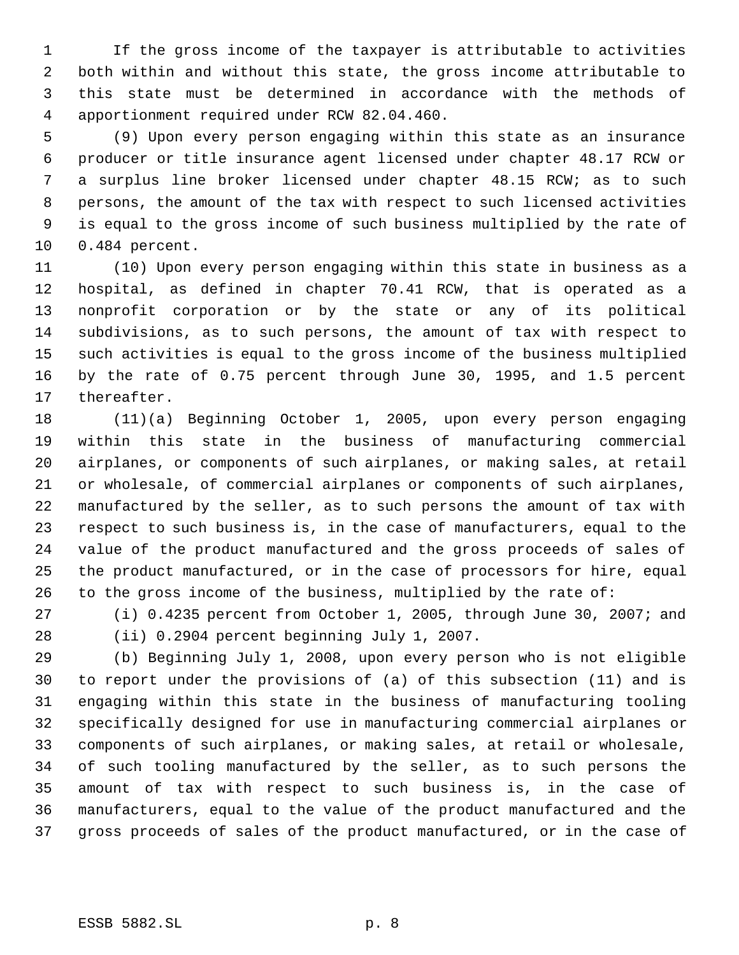If the gross income of the taxpayer is attributable to activities both within and without this state, the gross income attributable to this state must be determined in accordance with the methods of apportionment required under RCW 82.04.460.

 (9) Upon every person engaging within this state as an insurance producer or title insurance agent licensed under chapter 48.17 RCW or a surplus line broker licensed under chapter 48.15 RCW; as to such persons, the amount of the tax with respect to such licensed activities is equal to the gross income of such business multiplied by the rate of 0.484 percent.

 (10) Upon every person engaging within this state in business as a hospital, as defined in chapter 70.41 RCW, that is operated as a nonprofit corporation or by the state or any of its political subdivisions, as to such persons, the amount of tax with respect to such activities is equal to the gross income of the business multiplied by the rate of 0.75 percent through June 30, 1995, and 1.5 percent thereafter.

 (11)(a) Beginning October 1, 2005, upon every person engaging within this state in the business of manufacturing commercial airplanes, or components of such airplanes, or making sales, at retail or wholesale, of commercial airplanes or components of such airplanes, manufactured by the seller, as to such persons the amount of tax with respect to such business is, in the case of manufacturers, equal to the value of the product manufactured and the gross proceeds of sales of the product manufactured, or in the case of processors for hire, equal to the gross income of the business, multiplied by the rate of:

 (i) 0.4235 percent from October 1, 2005, through June 30, 2007; and (ii) 0.2904 percent beginning July 1, 2007.

 (b) Beginning July 1, 2008, upon every person who is not eligible to report under the provisions of (a) of this subsection (11) and is engaging within this state in the business of manufacturing tooling specifically designed for use in manufacturing commercial airplanes or components of such airplanes, or making sales, at retail or wholesale, of such tooling manufactured by the seller, as to such persons the amount of tax with respect to such business is, in the case of manufacturers, equal to the value of the product manufactured and the gross proceeds of sales of the product manufactured, or in the case of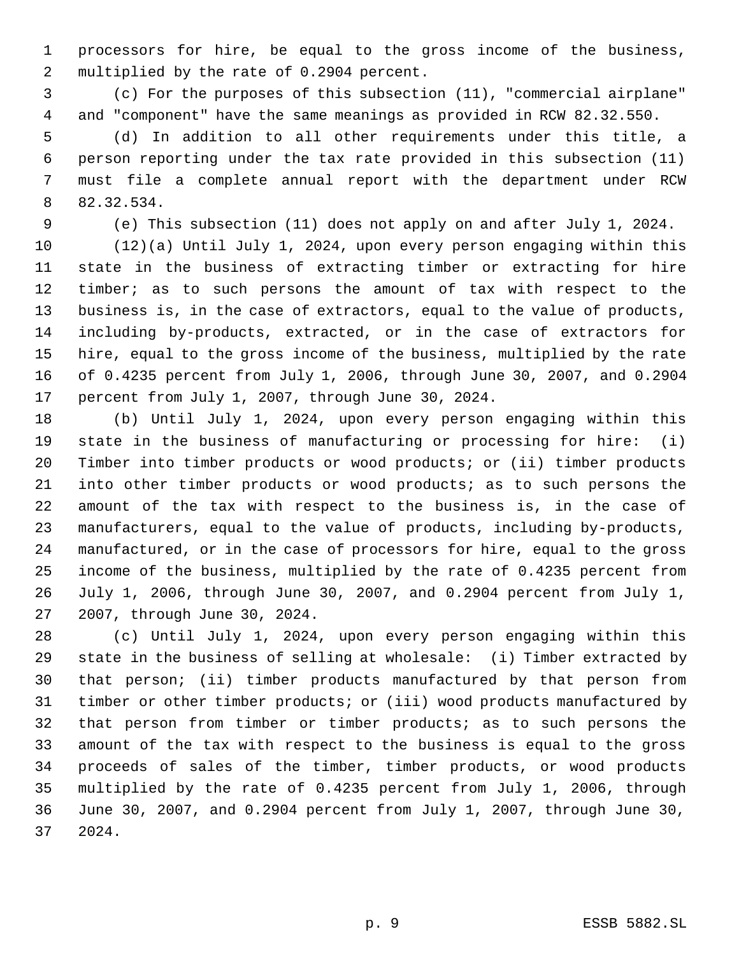processors for hire, be equal to the gross income of the business, multiplied by the rate of 0.2904 percent.

 (c) For the purposes of this subsection (11), "commercial airplane" and "component" have the same meanings as provided in RCW 82.32.550.

 (d) In addition to all other requirements under this title, a person reporting under the tax rate provided in this subsection (11) must file a complete annual report with the department under RCW 82.32.534.

(e) This subsection (11) does not apply on and after July 1, 2024.

 (12)(a) Until July 1, 2024, upon every person engaging within this state in the business of extracting timber or extracting for hire timber; as to such persons the amount of tax with respect to the business is, in the case of extractors, equal to the value of products, including by-products, extracted, or in the case of extractors for hire, equal to the gross income of the business, multiplied by the rate of 0.4235 percent from July 1, 2006, through June 30, 2007, and 0.2904 percent from July 1, 2007, through June 30, 2024.

 (b) Until July 1, 2024, upon every person engaging within this state in the business of manufacturing or processing for hire: (i) Timber into timber products or wood products; or (ii) timber products into other timber products or wood products; as to such persons the amount of the tax with respect to the business is, in the case of manufacturers, equal to the value of products, including by-products, manufactured, or in the case of processors for hire, equal to the gross income of the business, multiplied by the rate of 0.4235 percent from July 1, 2006, through June 30, 2007, and 0.2904 percent from July 1, 2007, through June 30, 2024.

 (c) Until July 1, 2024, upon every person engaging within this state in the business of selling at wholesale: (i) Timber extracted by that person; (ii) timber products manufactured by that person from timber or other timber products; or (iii) wood products manufactured by that person from timber or timber products; as to such persons the amount of the tax with respect to the business is equal to the gross proceeds of sales of the timber, timber products, or wood products multiplied by the rate of 0.4235 percent from July 1, 2006, through June 30, 2007, and 0.2904 percent from July 1, 2007, through June 30, 2024.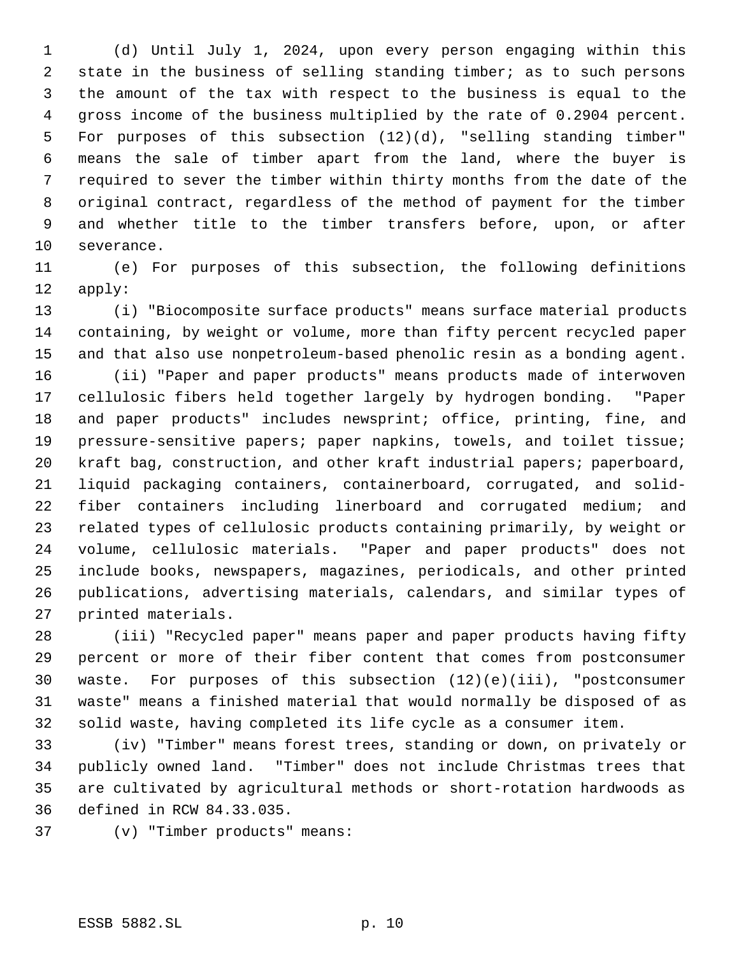(d) Until July 1, 2024, upon every person engaging within this state in the business of selling standing timber; as to such persons the amount of the tax with respect to the business is equal to the gross income of the business multiplied by the rate of 0.2904 percent. For purposes of this subsection (12)(d), "selling standing timber" means the sale of timber apart from the land, where the buyer is required to sever the timber within thirty months from the date of the original contract, regardless of the method of payment for the timber and whether title to the timber transfers before, upon, or after severance.

 (e) For purposes of this subsection, the following definitions apply:

 (i) "Biocomposite surface products" means surface material products containing, by weight or volume, more than fifty percent recycled paper and that also use nonpetroleum-based phenolic resin as a bonding agent. (ii) "Paper and paper products" means products made of interwoven cellulosic fibers held together largely by hydrogen bonding. "Paper and paper products" includes newsprint; office, printing, fine, and pressure-sensitive papers; paper napkins, towels, and toilet tissue; kraft bag, construction, and other kraft industrial papers; paperboard, liquid packaging containers, containerboard, corrugated, and solid- fiber containers including linerboard and corrugated medium; and related types of cellulosic products containing primarily, by weight or volume, cellulosic materials. "Paper and paper products" does not include books, newspapers, magazines, periodicals, and other printed publications, advertising materials, calendars, and similar types of printed materials.

 (iii) "Recycled paper" means paper and paper products having fifty percent or more of their fiber content that comes from postconsumer waste. For purposes of this subsection (12)(e)(iii), "postconsumer waste" means a finished material that would normally be disposed of as solid waste, having completed its life cycle as a consumer item.

 (iv) "Timber" means forest trees, standing or down, on privately or publicly owned land. "Timber" does not include Christmas trees that are cultivated by agricultural methods or short-rotation hardwoods as defined in RCW 84.33.035.

(v) "Timber products" means: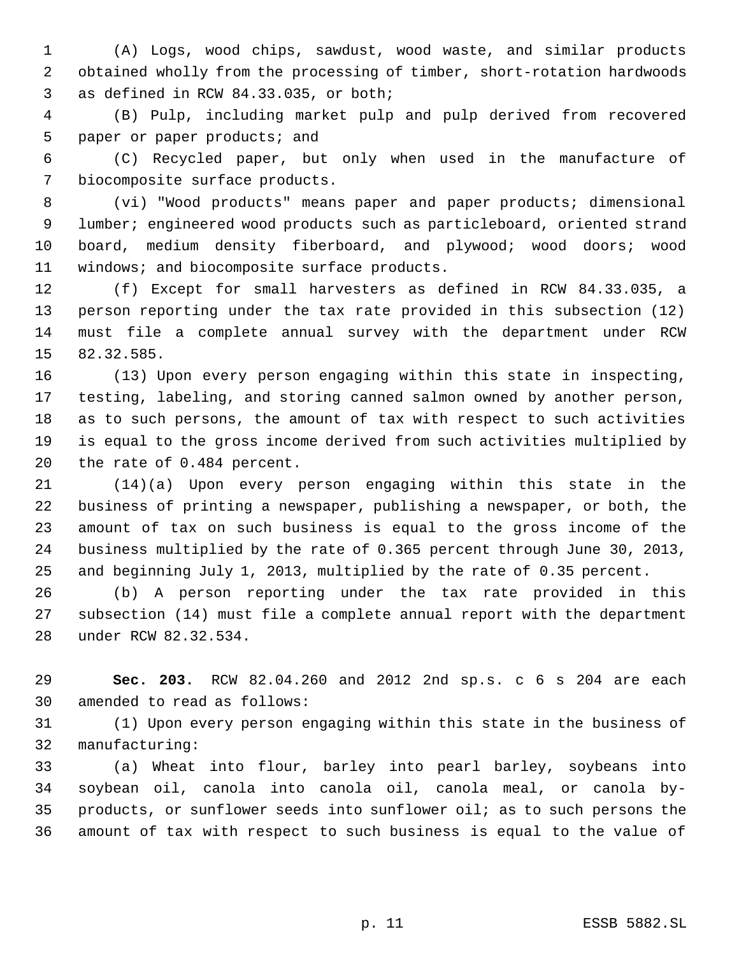(A) Logs, wood chips, sawdust, wood waste, and similar products obtained wholly from the processing of timber, short-rotation hardwoods as defined in RCW 84.33.035, or both;

 (B) Pulp, including market pulp and pulp derived from recovered paper or paper products; and

 (C) Recycled paper, but only when used in the manufacture of biocomposite surface products.

 (vi) "Wood products" means paper and paper products; dimensional lumber; engineered wood products such as particleboard, oriented strand board, medium density fiberboard, and plywood; wood doors; wood 11 windows; and biocomposite surface products.

 (f) Except for small harvesters as defined in RCW 84.33.035, a person reporting under the tax rate provided in this subsection (12) must file a complete annual survey with the department under RCW 82.32.585.

 (13) Upon every person engaging within this state in inspecting, testing, labeling, and storing canned salmon owned by another person, as to such persons, the amount of tax with respect to such activities is equal to the gross income derived from such activities multiplied by the rate of 0.484 percent.

 (14)(a) Upon every person engaging within this state in the business of printing a newspaper, publishing a newspaper, or both, the amount of tax on such business is equal to the gross income of the business multiplied by the rate of 0.365 percent through June 30, 2013, and beginning July 1, 2013, multiplied by the rate of 0.35 percent.

 (b) A person reporting under the tax rate provided in this subsection (14) must file a complete annual report with the department under RCW 82.32.534.

 **Sec. 203.** RCW 82.04.260 and 2012 2nd sp.s. c 6 s 204 are each amended to read as follows:

 (1) Upon every person engaging within this state in the business of manufacturing:

 (a) Wheat into flour, barley into pearl barley, soybeans into soybean oil, canola into canola oil, canola meal, or canola by- products, or sunflower seeds into sunflower oil; as to such persons the amount of tax with respect to such business is equal to the value of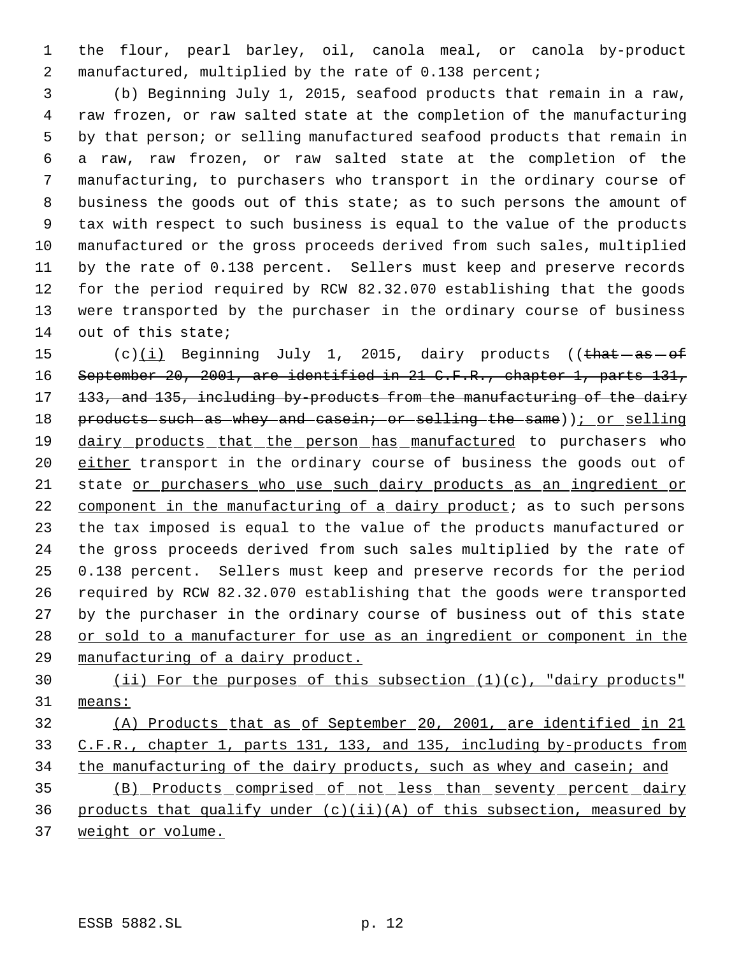the flour, pearl barley, oil, canola meal, or canola by-product manufactured, multiplied by the rate of 0.138 percent;

 (b) Beginning July 1, 2015, seafood products that remain in a raw, raw frozen, or raw salted state at the completion of the manufacturing by that person; or selling manufactured seafood products that remain in a raw, raw frozen, or raw salted state at the completion of the manufacturing, to purchasers who transport in the ordinary course of business the goods out of this state; as to such persons the amount of tax with respect to such business is equal to the value of the products manufactured or the gross proceeds derived from such sales, multiplied by the rate of 0.138 percent. Sellers must keep and preserve records for the period required by RCW 82.32.070 establishing that the goods were transported by the purchaser in the ordinary course of business out of this state;

15 (c) $(i)$  Beginning July 1, 2015, dairy products ((that  $-as-of$ 16 September 20, 2001, are identified in 21 C.F.R., chapter 1, parts 131, 17 133, and 135, including by-products from the manufacturing of the dairy 18 products such as whey and casein; or selling the same)); or selling 19 dairy products that the person has manufactured to purchasers who 20 either transport in the ordinary course of business the goods out of state or purchasers who use such dairy products as an ingredient or component in the manufacturing of a dairy product; as to such persons the tax imposed is equal to the value of the products manufactured or the gross proceeds derived from such sales multiplied by the rate of 0.138 percent. Sellers must keep and preserve records for the period required by RCW 82.32.070 establishing that the goods were transported by the purchaser in the ordinary course of business out of this state or sold to a manufacturer for use as an ingredient or component in the manufacturing of a dairy product.

 (ii) For the purposes of this subsection (1)(c), "dairy products" means:

 (A) Products that as of September 20, 2001, are identified in 21 C.F.R., chapter 1, parts 131, 133, and 135, including by-products from 34 the manufacturing of the dairy products, such as whey and casein; and (B) Products comprised of not less than seventy percent dairy 36 products that qualify under  $(c)(ii)(A)$  of this subsection, measured by

weight or volume.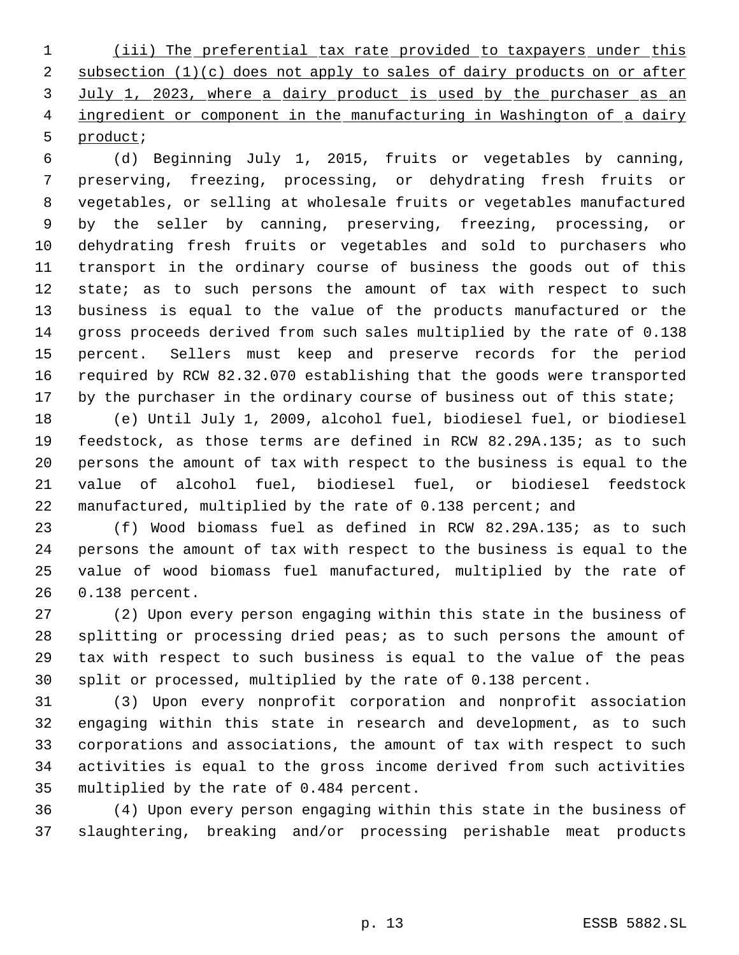1 (iii) The preferential tax rate provided to taxpayers under this 2 subsection (1)(c) does not apply to sales of dairy products on or after 3 July 1, 2023, where a dairy product is used by the purchaser as an 4 ingredient or component in the manufacturing in Washington of a dairy product;

 (d) Beginning July 1, 2015, fruits or vegetables by canning, preserving, freezing, processing, or dehydrating fresh fruits or vegetables, or selling at wholesale fruits or vegetables manufactured by the seller by canning, preserving, freezing, processing, or dehydrating fresh fruits or vegetables and sold to purchasers who transport in the ordinary course of business the goods out of this 12 state; as to such persons the amount of tax with respect to such business is equal to the value of the products manufactured or the gross proceeds derived from such sales multiplied by the rate of 0.138 percent. Sellers must keep and preserve records for the period required by RCW 82.32.070 establishing that the goods were transported 17 by the purchaser in the ordinary course of business out of this state;

 (e) Until July 1, 2009, alcohol fuel, biodiesel fuel, or biodiesel feedstock, as those terms are defined in RCW 82.29A.135; as to such persons the amount of tax with respect to the business is equal to the value of alcohol fuel, biodiesel fuel, or biodiesel feedstock manufactured, multiplied by the rate of 0.138 percent; and

 (f) Wood biomass fuel as defined in RCW 82.29A.135; as to such persons the amount of tax with respect to the business is equal to the value of wood biomass fuel manufactured, multiplied by the rate of 0.138 percent.

 (2) Upon every person engaging within this state in the business of splitting or processing dried peas; as to such persons the amount of tax with respect to such business is equal to the value of the peas split or processed, multiplied by the rate of 0.138 percent.

 (3) Upon every nonprofit corporation and nonprofit association engaging within this state in research and development, as to such corporations and associations, the amount of tax with respect to such activities is equal to the gross income derived from such activities multiplied by the rate of 0.484 percent.

 (4) Upon every person engaging within this state in the business of slaughtering, breaking and/or processing perishable meat products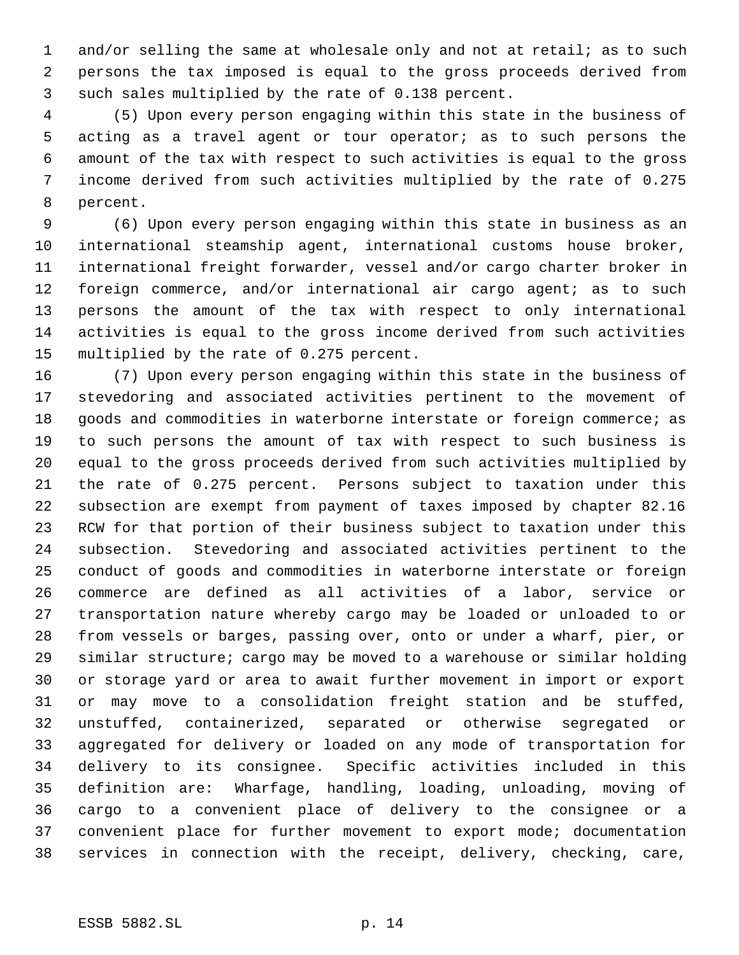and/or selling the same at wholesale only and not at retail; as to such persons the tax imposed is equal to the gross proceeds derived from such sales multiplied by the rate of 0.138 percent.

 (5) Upon every person engaging within this state in the business of acting as a travel agent or tour operator; as to such persons the amount of the tax with respect to such activities is equal to the gross income derived from such activities multiplied by the rate of 0.275 percent.

 (6) Upon every person engaging within this state in business as an international steamship agent, international customs house broker, international freight forwarder, vessel and/or cargo charter broker in foreign commerce, and/or international air cargo agent; as to such persons the amount of the tax with respect to only international activities is equal to the gross income derived from such activities multiplied by the rate of 0.275 percent.

 (7) Upon every person engaging within this state in the business of stevedoring and associated activities pertinent to the movement of goods and commodities in waterborne interstate or foreign commerce; as to such persons the amount of tax with respect to such business is equal to the gross proceeds derived from such activities multiplied by the rate of 0.275 percent. Persons subject to taxation under this subsection are exempt from payment of taxes imposed by chapter 82.16 RCW for that portion of their business subject to taxation under this subsection. Stevedoring and associated activities pertinent to the conduct of goods and commodities in waterborne interstate or foreign commerce are defined as all activities of a labor, service or transportation nature whereby cargo may be loaded or unloaded to or from vessels or barges, passing over, onto or under a wharf, pier, or similar structure; cargo may be moved to a warehouse or similar holding or storage yard or area to await further movement in import or export or may move to a consolidation freight station and be stuffed, unstuffed, containerized, separated or otherwise segregated or aggregated for delivery or loaded on any mode of transportation for delivery to its consignee. Specific activities included in this definition are: Wharfage, handling, loading, unloading, moving of cargo to a convenient place of delivery to the consignee or a convenient place for further movement to export mode; documentation services in connection with the receipt, delivery, checking, care,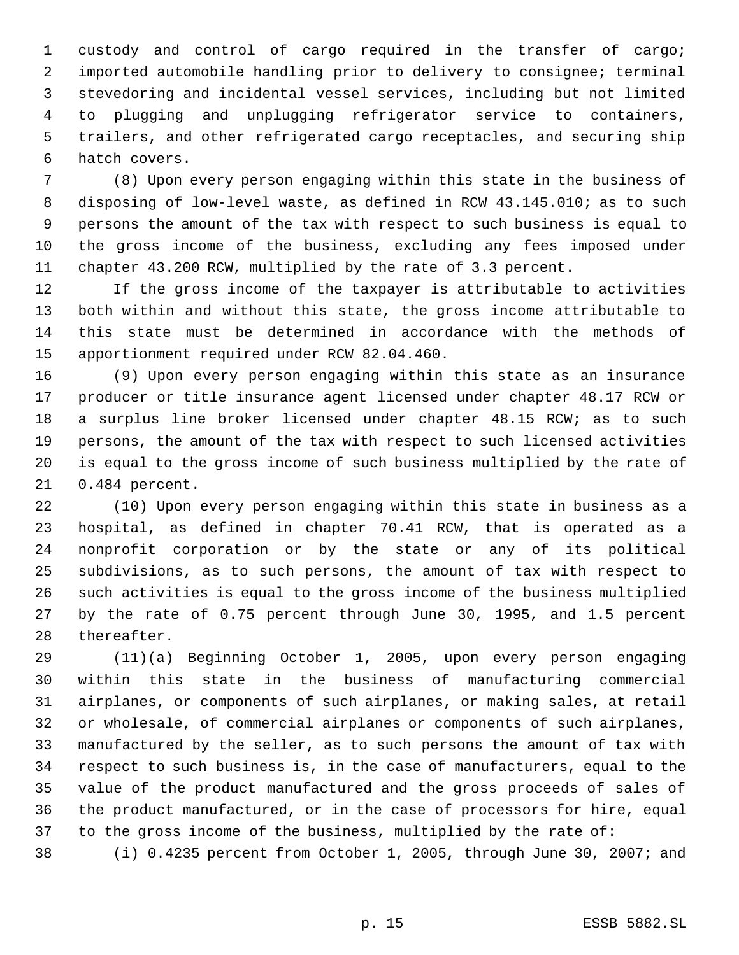custody and control of cargo required in the transfer of cargo; imported automobile handling prior to delivery to consignee; terminal stevedoring and incidental vessel services, including but not limited to plugging and unplugging refrigerator service to containers, trailers, and other refrigerated cargo receptacles, and securing ship hatch covers.

 (8) Upon every person engaging within this state in the business of disposing of low-level waste, as defined in RCW 43.145.010; as to such persons the amount of the tax with respect to such business is equal to the gross income of the business, excluding any fees imposed under chapter 43.200 RCW, multiplied by the rate of 3.3 percent.

 If the gross income of the taxpayer is attributable to activities both within and without this state, the gross income attributable to this state must be determined in accordance with the methods of apportionment required under RCW 82.04.460.

 (9) Upon every person engaging within this state as an insurance producer or title insurance agent licensed under chapter 48.17 RCW or 18 a surplus line broker licensed under chapter 48.15 RCW; as to such persons, the amount of the tax with respect to such licensed activities is equal to the gross income of such business multiplied by the rate of 0.484 percent.

 (10) Upon every person engaging within this state in business as a hospital, as defined in chapter 70.41 RCW, that is operated as a nonprofit corporation or by the state or any of its political subdivisions, as to such persons, the amount of tax with respect to such activities is equal to the gross income of the business multiplied by the rate of 0.75 percent through June 30, 1995, and 1.5 percent thereafter.

 (11)(a) Beginning October 1, 2005, upon every person engaging within this state in the business of manufacturing commercial airplanes, or components of such airplanes, or making sales, at retail or wholesale, of commercial airplanes or components of such airplanes, manufactured by the seller, as to such persons the amount of tax with respect to such business is, in the case of manufacturers, equal to the value of the product manufactured and the gross proceeds of sales of the product manufactured, or in the case of processors for hire, equal to the gross income of the business, multiplied by the rate of:

(i) 0.4235 percent from October 1, 2005, through June 30, 2007; and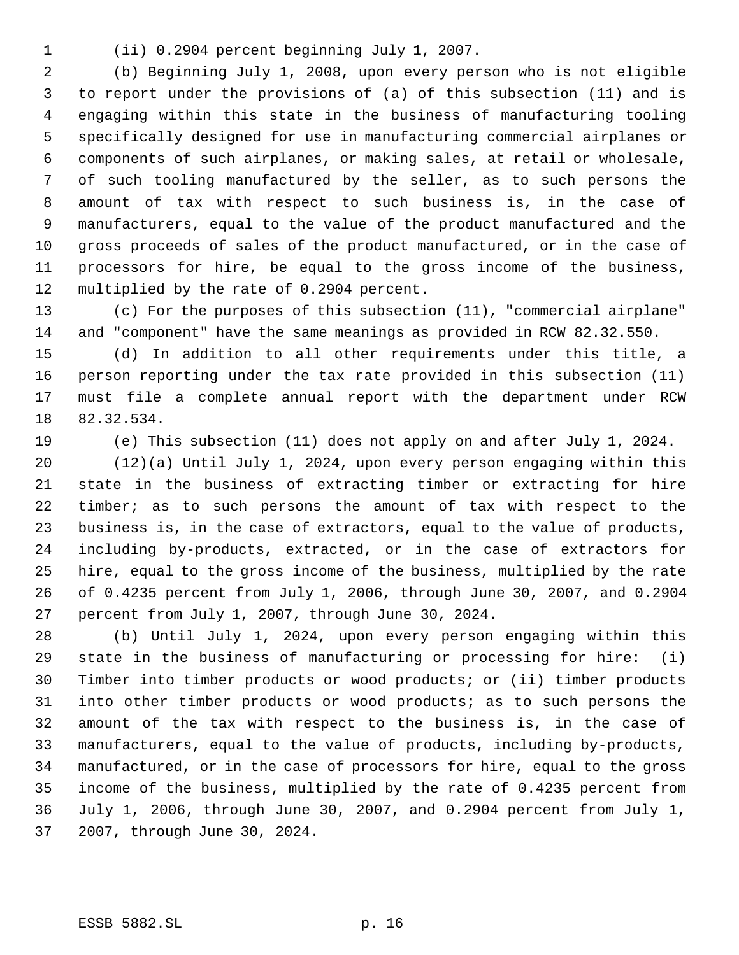(ii) 0.2904 percent beginning July 1, 2007.

 (b) Beginning July 1, 2008, upon every person who is not eligible to report under the provisions of (a) of this subsection (11) and is engaging within this state in the business of manufacturing tooling specifically designed for use in manufacturing commercial airplanes or components of such airplanes, or making sales, at retail or wholesale, of such tooling manufactured by the seller, as to such persons the amount of tax with respect to such business is, in the case of manufacturers, equal to the value of the product manufactured and the gross proceeds of sales of the product manufactured, or in the case of processors for hire, be equal to the gross income of the business, multiplied by the rate of 0.2904 percent.

 (c) For the purposes of this subsection (11), "commercial airplane" and "component" have the same meanings as provided in RCW 82.32.550.

 (d) In addition to all other requirements under this title, a person reporting under the tax rate provided in this subsection (11) must file a complete annual report with the department under RCW 82.32.534.

(e) This subsection (11) does not apply on and after July 1, 2024.

 (12)(a) Until July 1, 2024, upon every person engaging within this state in the business of extracting timber or extracting for hire timber; as to such persons the amount of tax with respect to the business is, in the case of extractors, equal to the value of products, including by-products, extracted, or in the case of extractors for hire, equal to the gross income of the business, multiplied by the rate of 0.4235 percent from July 1, 2006, through June 30, 2007, and 0.2904 percent from July 1, 2007, through June 30, 2024.

 (b) Until July 1, 2024, upon every person engaging within this state in the business of manufacturing or processing for hire: (i) Timber into timber products or wood products; or (ii) timber products into other timber products or wood products; as to such persons the amount of the tax with respect to the business is, in the case of manufacturers, equal to the value of products, including by-products, manufactured, or in the case of processors for hire, equal to the gross income of the business, multiplied by the rate of 0.4235 percent from July 1, 2006, through June 30, 2007, and 0.2904 percent from July 1, 2007, through June 30, 2024.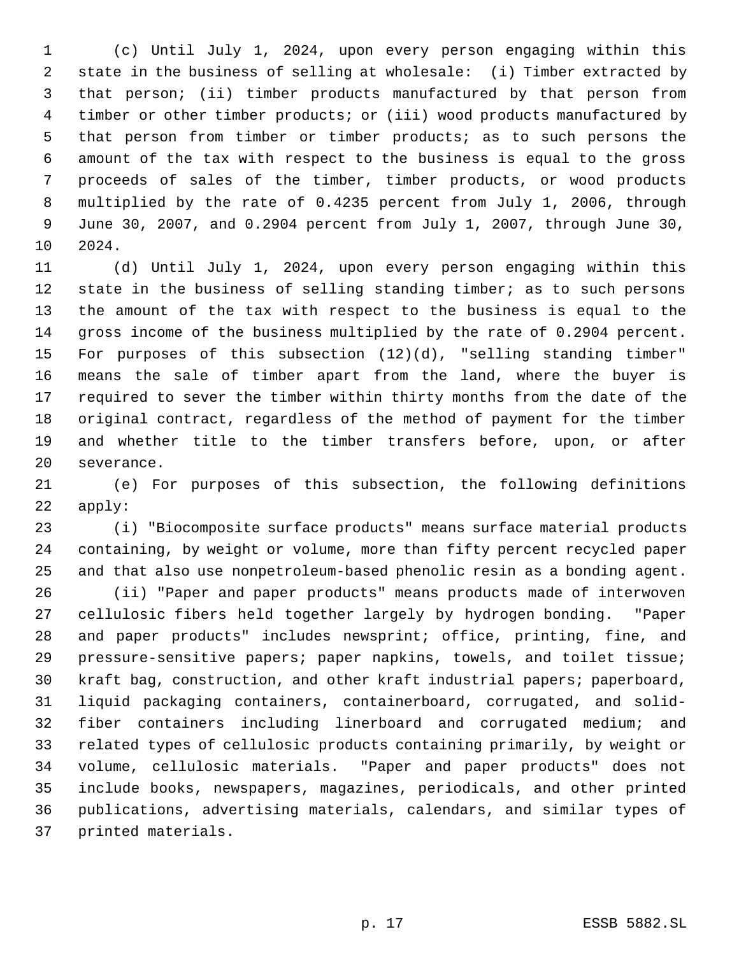(c) Until July 1, 2024, upon every person engaging within this state in the business of selling at wholesale: (i) Timber extracted by that person; (ii) timber products manufactured by that person from timber or other timber products; or (iii) wood products manufactured by that person from timber or timber products; as to such persons the amount of the tax with respect to the business is equal to the gross proceeds of sales of the timber, timber products, or wood products multiplied by the rate of 0.4235 percent from July 1, 2006, through June 30, 2007, and 0.2904 percent from July 1, 2007, through June 30, 2024.

 (d) Until July 1, 2024, upon every person engaging within this state in the business of selling standing timber; as to such persons the amount of the tax with respect to the business is equal to the gross income of the business multiplied by the rate of 0.2904 percent. For purposes of this subsection (12)(d), "selling standing timber" means the sale of timber apart from the land, where the buyer is required to sever the timber within thirty months from the date of the original contract, regardless of the method of payment for the timber and whether title to the timber transfers before, upon, or after severance.

 (e) For purposes of this subsection, the following definitions apply:

 (i) "Biocomposite surface products" means surface material products containing, by weight or volume, more than fifty percent recycled paper and that also use nonpetroleum-based phenolic resin as a bonding agent.

 (ii) "Paper and paper products" means products made of interwoven cellulosic fibers held together largely by hydrogen bonding. "Paper and paper products" includes newsprint; office, printing, fine, and pressure-sensitive papers; paper napkins, towels, and toilet tissue; kraft bag, construction, and other kraft industrial papers; paperboard, liquid packaging containers, containerboard, corrugated, and solid- fiber containers including linerboard and corrugated medium; and related types of cellulosic products containing primarily, by weight or volume, cellulosic materials. "Paper and paper products" does not include books, newspapers, magazines, periodicals, and other printed publications, advertising materials, calendars, and similar types of printed materials.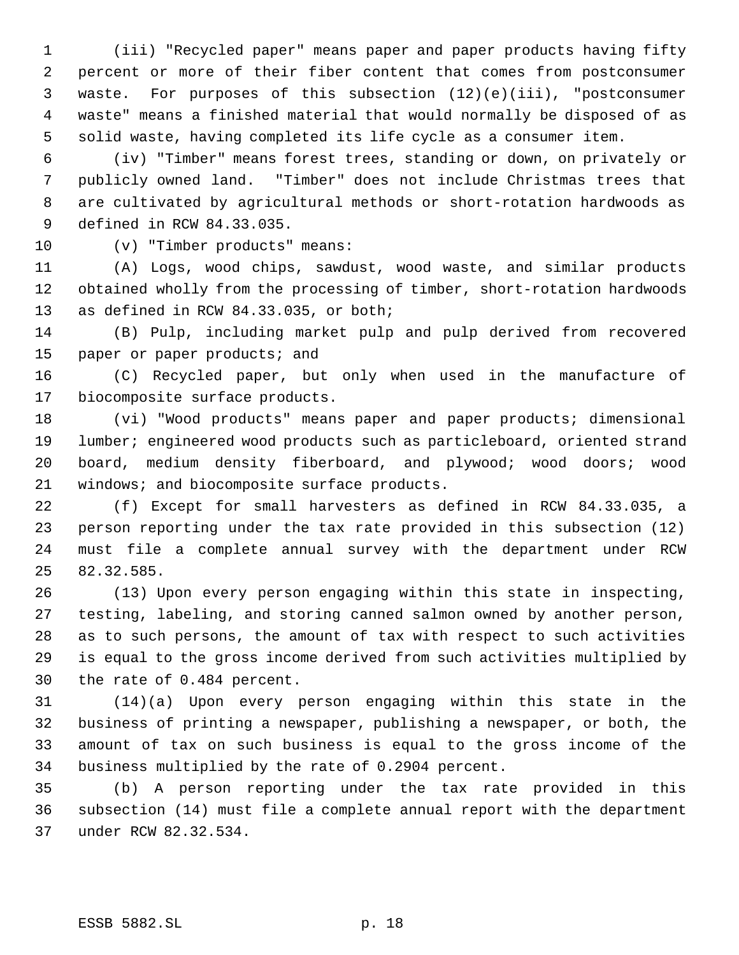(iii) "Recycled paper" means paper and paper products having fifty percent or more of their fiber content that comes from postconsumer waste. For purposes of this subsection (12)(e)(iii), "postconsumer waste" means a finished material that would normally be disposed of as solid waste, having completed its life cycle as a consumer item.

 (iv) "Timber" means forest trees, standing or down, on privately or publicly owned land. "Timber" does not include Christmas trees that are cultivated by agricultural methods or short-rotation hardwoods as defined in RCW 84.33.035.

(v) "Timber products" means:

 (A) Logs, wood chips, sawdust, wood waste, and similar products obtained wholly from the processing of timber, short-rotation hardwoods as defined in RCW 84.33.035, or both;

 (B) Pulp, including market pulp and pulp derived from recovered 15 paper or paper products; and

 (C) Recycled paper, but only when used in the manufacture of biocomposite surface products.

 (vi) "Wood products" means paper and paper products; dimensional lumber; engineered wood products such as particleboard, oriented strand board, medium density fiberboard, and plywood; wood doors; wood 21 windows; and biocomposite surface products.

 (f) Except for small harvesters as defined in RCW 84.33.035, a person reporting under the tax rate provided in this subsection (12) must file a complete annual survey with the department under RCW 82.32.585.

 (13) Upon every person engaging within this state in inspecting, testing, labeling, and storing canned salmon owned by another person, as to such persons, the amount of tax with respect to such activities is equal to the gross income derived from such activities multiplied by the rate of 0.484 percent.

 (14)(a) Upon every person engaging within this state in the business of printing a newspaper, publishing a newspaper, or both, the amount of tax on such business is equal to the gross income of the business multiplied by the rate of 0.2904 percent.

 (b) A person reporting under the tax rate provided in this subsection (14) must file a complete annual report with the department under RCW 82.32.534.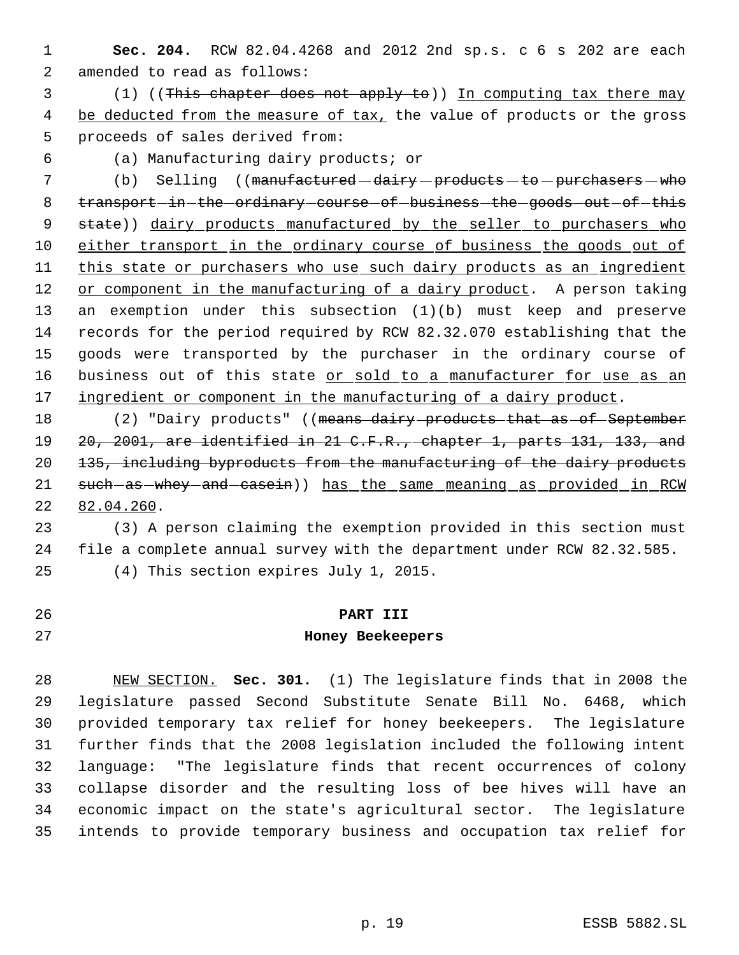- **Sec. 204.** RCW 82.04.4268 and 2012 2nd sp.s. c 6 s 202 are each amended to read as follows:
- (1) ((This chapter does not apply to)) In computing tax there may 4 be deducted from the measure of tax, the value of products or the gross proceeds of sales derived from:
- 

(a) Manufacturing dairy products; or

- 7 (b) Selling ((manufactured dairy products to purchasers who 8 transport-in-the-ordinary-course-of-business-the-goods-out-of-this 9 state)) dairy products manufactured by the seller to purchasers who either transport in the ordinary course of business the goods out of this state or purchasers who use such dairy products as an ingredient 12 or component in the manufacturing of a dairy product. A person taking an exemption under this subsection (1)(b) must keep and preserve records for the period required by RCW 82.32.070 establishing that the goods were transported by the purchaser in the ordinary course of 16 business out of this state or sold to a manufacturer for use as an 17 ingredient or component in the manufacturing of a dairy product.
- 18 (2) "Dairy products" ((means dairy products that as of September 20, 2001, are identified in 21 C.F.R., chapter 1, parts 131, 133, and 135, including byproducts from the manufacturing of the dairy products 21 such-as-whey-and-casein)) has the same meaning as provided in RCW 82.04.260.

 (3) A person claiming the exemption provided in this section must file a complete annual survey with the department under RCW 82.32.585. (4) This section expires July 1, 2015.

 **PART III Honey Beekeepers**

 NEW SECTION. **Sec. 301.** (1) The legislature finds that in 2008 the legislature passed Second Substitute Senate Bill No. 6468, which provided temporary tax relief for honey beekeepers. The legislature further finds that the 2008 legislation included the following intent language: "The legislature finds that recent occurrences of colony collapse disorder and the resulting loss of bee hives will have an economic impact on the state's agricultural sector. The legislature intends to provide temporary business and occupation tax relief for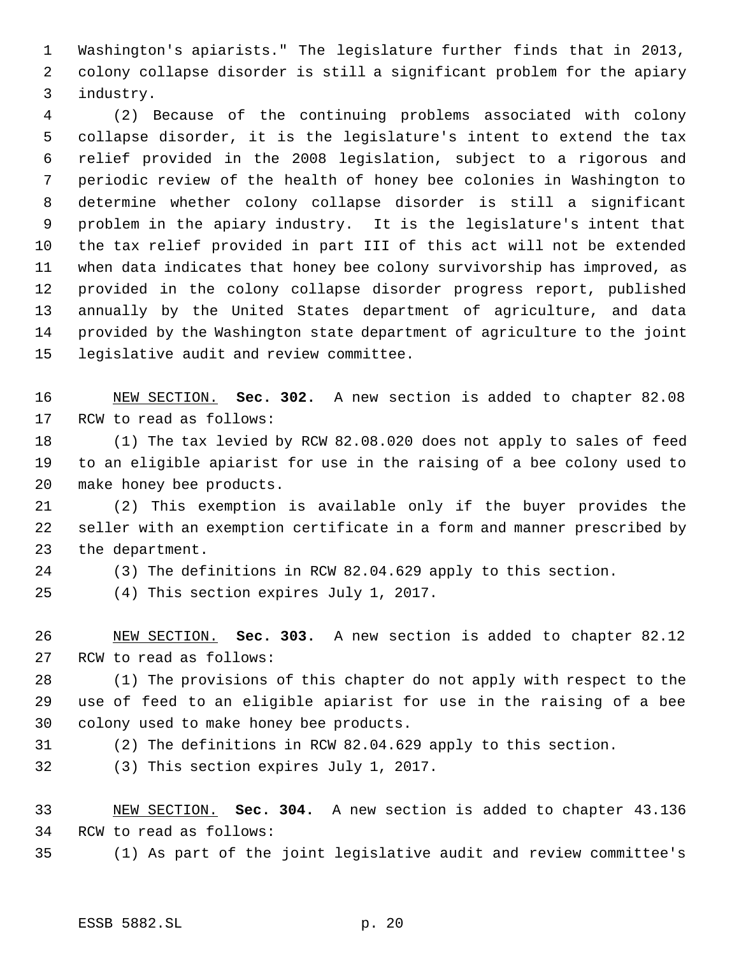Washington's apiarists." The legislature further finds that in 2013, colony collapse disorder is still a significant problem for the apiary industry.

 (2) Because of the continuing problems associated with colony collapse disorder, it is the legislature's intent to extend the tax relief provided in the 2008 legislation, subject to a rigorous and periodic review of the health of honey bee colonies in Washington to determine whether colony collapse disorder is still a significant problem in the apiary industry. It is the legislature's intent that the tax relief provided in part III of this act will not be extended when data indicates that honey bee colony survivorship has improved, as provided in the colony collapse disorder progress report, published annually by the United States department of agriculture, and data provided by the Washington state department of agriculture to the joint legislative audit and review committee.

 NEW SECTION. **Sec. 302.** A new section is added to chapter 82.08 RCW to read as follows:

 (1) The tax levied by RCW 82.08.020 does not apply to sales of feed to an eligible apiarist for use in the raising of a bee colony used to make honey bee products.

 (2) This exemption is available only if the buyer provides the seller with an exemption certificate in a form and manner prescribed by the department.

(3) The definitions in RCW 82.04.629 apply to this section.

(4) This section expires July 1, 2017.

 NEW SECTION. **Sec. 303.** A new section is added to chapter 82.12 RCW to read as follows:

 (1) The provisions of this chapter do not apply with respect to the use of feed to an eligible apiarist for use in the raising of a bee colony used to make honey bee products.

(2) The definitions in RCW 82.04.629 apply to this section.

(3) This section expires July 1, 2017.

 NEW SECTION. **Sec. 304.** A new section is added to chapter 43.136 RCW to read as follows:

(1) As part of the joint legislative audit and review committee's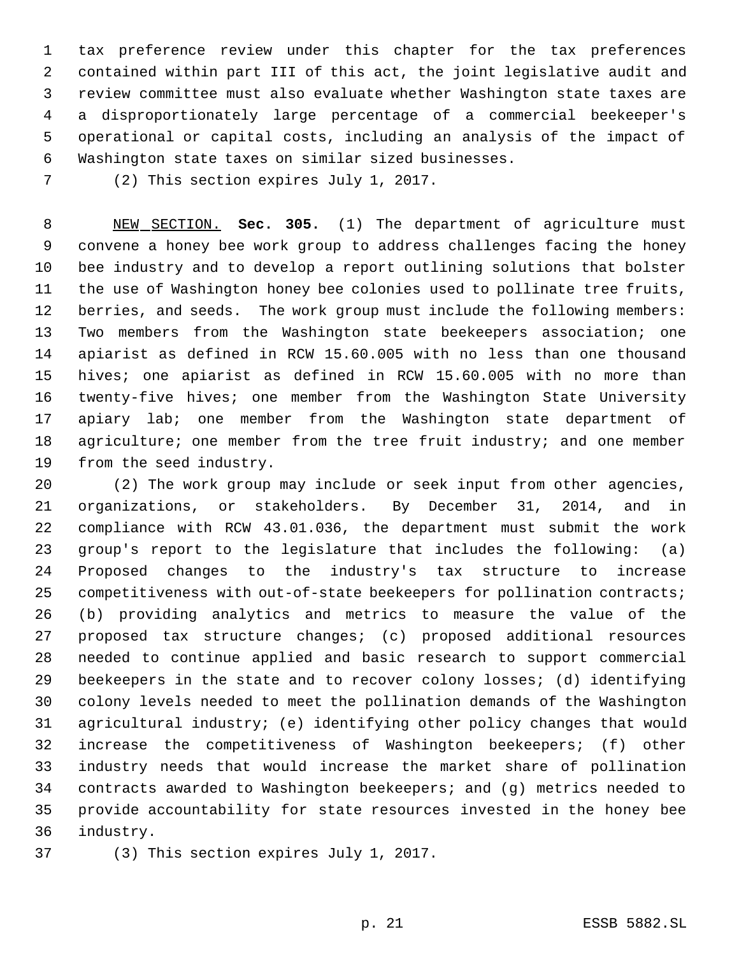tax preference review under this chapter for the tax preferences contained within part III of this act, the joint legislative audit and review committee must also evaluate whether Washington state taxes are a disproportionately large percentage of a commercial beekeeper's operational or capital costs, including an analysis of the impact of Washington state taxes on similar sized businesses.

(2) This section expires July 1, 2017.

 NEW SECTION. **Sec. 305.** (1) The department of agriculture must convene a honey bee work group to address challenges facing the honey bee industry and to develop a report outlining solutions that bolster the use of Washington honey bee colonies used to pollinate tree fruits, berries, and seeds. The work group must include the following members: Two members from the Washington state beekeepers association; one apiarist as defined in RCW 15.60.005 with no less than one thousand hives; one apiarist as defined in RCW 15.60.005 with no more than twenty-five hives; one member from the Washington State University apiary lab; one member from the Washington state department of 18 agriculture; one member from the tree fruit industry; and one member from the seed industry.

 (2) The work group may include or seek input from other agencies, organizations, or stakeholders. By December 31, 2014, and in compliance with RCW 43.01.036, the department must submit the work group's report to the legislature that includes the following: (a) Proposed changes to the industry's tax structure to increase competitiveness with out-of-state beekeepers for pollination contracts; (b) providing analytics and metrics to measure the value of the proposed tax structure changes; (c) proposed additional resources needed to continue applied and basic research to support commercial beekeepers in the state and to recover colony losses; (d) identifying colony levels needed to meet the pollination demands of the Washington agricultural industry; (e) identifying other policy changes that would increase the competitiveness of Washington beekeepers; (f) other industry needs that would increase the market share of pollination contracts awarded to Washington beekeepers; and (g) metrics needed to provide accountability for state resources invested in the honey bee industry.

(3) This section expires July 1, 2017.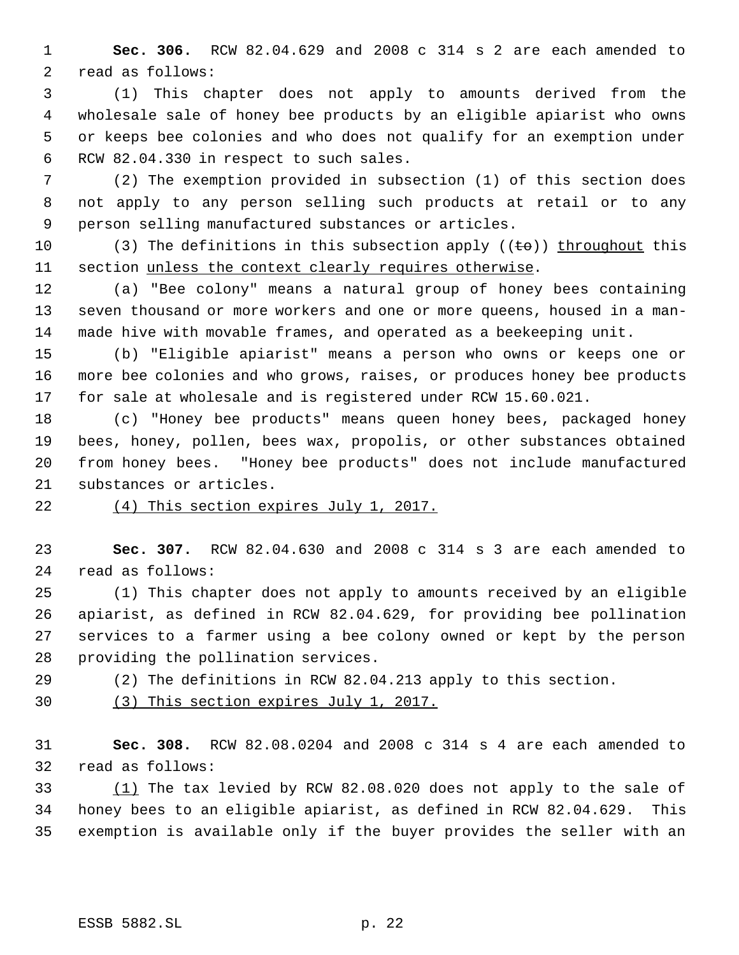**Sec. 306.** RCW 82.04.629 and 2008 c 314 s 2 are each amended to read as follows:

 (1) This chapter does not apply to amounts derived from the wholesale sale of honey bee products by an eligible apiarist who owns or keeps bee colonies and who does not qualify for an exemption under RCW 82.04.330 in respect to such sales.

 (2) The exemption provided in subsection (1) of this section does not apply to any person selling such products at retail or to any person selling manufactured substances or articles.

10 (3) The definitions in this subsection apply  $((\pm \Theta))$  throughout this section unless the context clearly requires otherwise.

 (a) "Bee colony" means a natural group of honey bees containing seven thousand or more workers and one or more queens, housed in a man-made hive with movable frames, and operated as a beekeeping unit.

 (b) "Eligible apiarist" means a person who owns or keeps one or more bee colonies and who grows, raises, or produces honey bee products for sale at wholesale and is registered under RCW 15.60.021.

 (c) "Honey bee products" means queen honey bees, packaged honey bees, honey, pollen, bees wax, propolis, or other substances obtained from honey bees. "Honey bee products" does not include manufactured substances or articles.

(4) This section expires July 1, 2017.

 **Sec. 307.** RCW 82.04.630 and 2008 c 314 s 3 are each amended to read as follows:

 (1) This chapter does not apply to amounts received by an eligible apiarist, as defined in RCW 82.04.629, for providing bee pollination services to a farmer using a bee colony owned or kept by the person providing the pollination services.

(2) The definitions in RCW 82.04.213 apply to this section.

(3) This section expires July 1, 2017.

 **Sec. 308.** RCW 82.08.0204 and 2008 c 314 s 4 are each amended to read as follows:

 (1) The tax levied by RCW 82.08.020 does not apply to the sale of honey bees to an eligible apiarist, as defined in RCW 82.04.629. This exemption is available only if the buyer provides the seller with an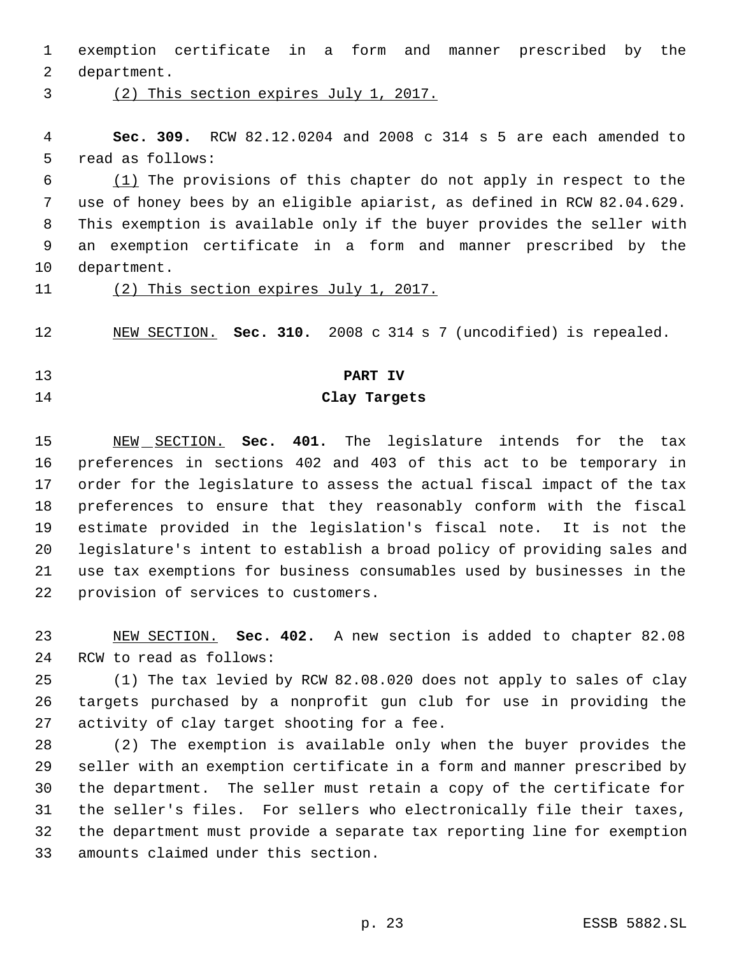exemption certificate in a form and manner prescribed by the department.

(2) This section expires July 1, 2017.

 **Sec. 309.** RCW 82.12.0204 and 2008 c 314 s 5 are each amended to read as follows:

 (1) The provisions of this chapter do not apply in respect to the use of honey bees by an eligible apiarist, as defined in RCW 82.04.629. This exemption is available only if the buyer provides the seller with an exemption certificate in a form and manner prescribed by the department.

(2) This section expires July 1, 2017.

NEW SECTION. **Sec. 310.** 2008 c 314 s 7 (uncodified) is repealed.

#### **PART IV**

#### **Clay Targets**

 NEW SECTION. **Sec. 401.** The legislature intends for the tax preferences in sections 402 and 403 of this act to be temporary in order for the legislature to assess the actual fiscal impact of the tax preferences to ensure that they reasonably conform with the fiscal estimate provided in the legislation's fiscal note. It is not the legislature's intent to establish a broad policy of providing sales and use tax exemptions for business consumables used by businesses in the provision of services to customers.

 NEW SECTION. **Sec. 402.** A new section is added to chapter 82.08 RCW to read as follows:

 (1) The tax levied by RCW 82.08.020 does not apply to sales of clay targets purchased by a nonprofit gun club for use in providing the activity of clay target shooting for a fee.

 (2) The exemption is available only when the buyer provides the seller with an exemption certificate in a form and manner prescribed by the department. The seller must retain a copy of the certificate for the seller's files. For sellers who electronically file their taxes, the department must provide a separate tax reporting line for exemption amounts claimed under this section.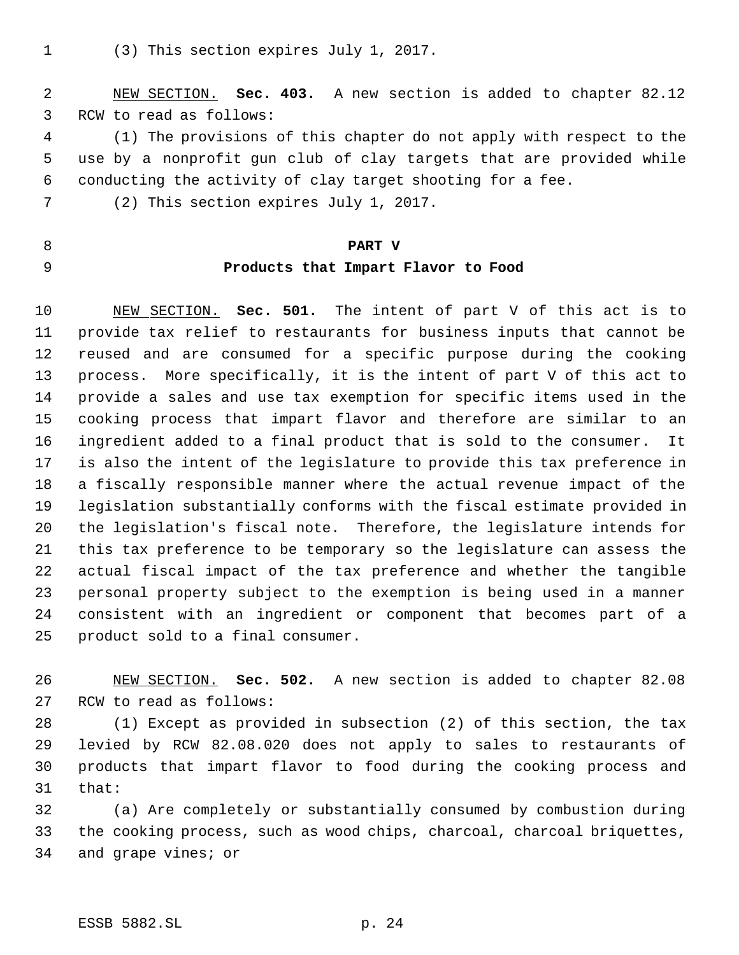(3) This section expires July 1, 2017.

 NEW SECTION. **Sec. 403.** A new section is added to chapter 82.12 RCW to read as follows:

 (1) The provisions of this chapter do not apply with respect to the use by a nonprofit gun club of clay targets that are provided while conducting the activity of clay target shooting for a fee.

- (2) This section expires July 1, 2017.
- **PART V**
- 

# **Products that Impart Flavor to Food**

 NEW SECTION. **Sec. 501.** The intent of part V of this act is to provide tax relief to restaurants for business inputs that cannot be reused and are consumed for a specific purpose during the cooking process. More specifically, it is the intent of part V of this act to provide a sales and use tax exemption for specific items used in the cooking process that impart flavor and therefore are similar to an ingredient added to a final product that is sold to the consumer. It is also the intent of the legislature to provide this tax preference in a fiscally responsible manner where the actual revenue impact of the legislation substantially conforms with the fiscal estimate provided in the legislation's fiscal note. Therefore, the legislature intends for this tax preference to be temporary so the legislature can assess the actual fiscal impact of the tax preference and whether the tangible personal property subject to the exemption is being used in a manner consistent with an ingredient or component that becomes part of a product sold to a final consumer.

 NEW SECTION. **Sec. 502.** A new section is added to chapter 82.08 RCW to read as follows:

 (1) Except as provided in subsection (2) of this section, the tax levied by RCW 82.08.020 does not apply to sales to restaurants of products that impart flavor to food during the cooking process and that:

 (a) Are completely or substantially consumed by combustion during the cooking process, such as wood chips, charcoal, charcoal briquettes, and grape vines; or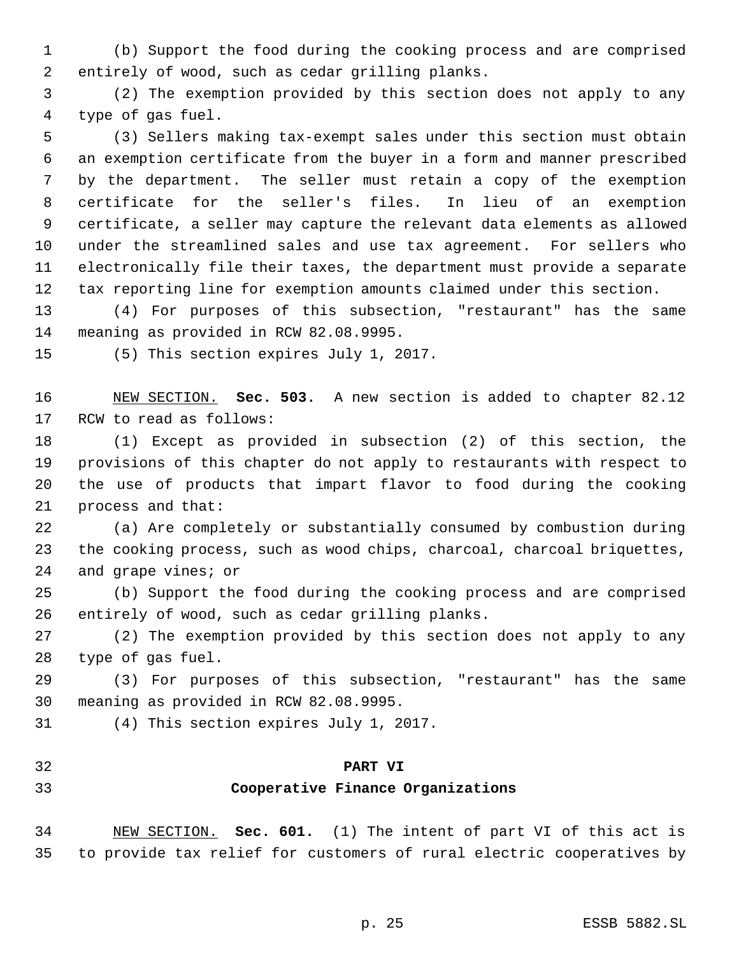(b) Support the food during the cooking process and are comprised entirely of wood, such as cedar grilling planks.

 (2) The exemption provided by this section does not apply to any type of gas fuel.

 (3) Sellers making tax-exempt sales under this section must obtain an exemption certificate from the buyer in a form and manner prescribed by the department. The seller must retain a copy of the exemption certificate for the seller's files. In lieu of an exemption certificate, a seller may capture the relevant data elements as allowed under the streamlined sales and use tax agreement. For sellers who electronically file their taxes, the department must provide a separate tax reporting line for exemption amounts claimed under this section.

 (4) For purposes of this subsection, "restaurant" has the same meaning as provided in RCW 82.08.9995.

(5) This section expires July 1, 2017.

 NEW SECTION. **Sec. 503.** A new section is added to chapter 82.12 RCW to read as follows:

 (1) Except as provided in subsection (2) of this section, the provisions of this chapter do not apply to restaurants with respect to the use of products that impart flavor to food during the cooking process and that:

 (a) Are completely or substantially consumed by combustion during the cooking process, such as wood chips, charcoal, charcoal briquettes, and grape vines; or

 (b) Support the food during the cooking process and are comprised entirely of wood, such as cedar grilling planks.

 (2) The exemption provided by this section does not apply to any type of gas fuel.

 (3) For purposes of this subsection, "restaurant" has the same meaning as provided in RCW 82.08.9995.

(4) This section expires July 1, 2017.

#### **PART VI**

### **Cooperative Finance Organizations**

 NEW SECTION. **Sec. 601.** (1) The intent of part VI of this act is to provide tax relief for customers of rural electric cooperatives by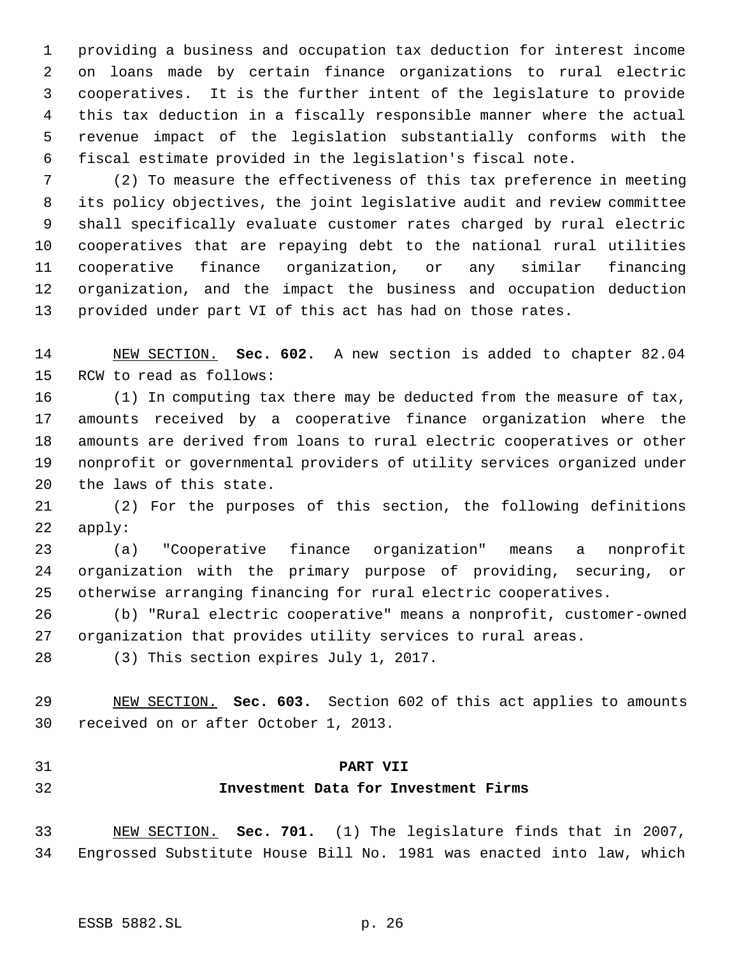providing a business and occupation tax deduction for interest income on loans made by certain finance organizations to rural electric cooperatives. It is the further intent of the legislature to provide this tax deduction in a fiscally responsible manner where the actual revenue impact of the legislation substantially conforms with the fiscal estimate provided in the legislation's fiscal note.

 (2) To measure the effectiveness of this tax preference in meeting its policy objectives, the joint legislative audit and review committee shall specifically evaluate customer rates charged by rural electric cooperatives that are repaying debt to the national rural utilities cooperative finance organization, or any similar financing organization, and the impact the business and occupation deduction provided under part VI of this act has had on those rates.

 NEW SECTION. **Sec. 602.** A new section is added to chapter 82.04 RCW to read as follows:

 (1) In computing tax there may be deducted from the measure of tax, amounts received by a cooperative finance organization where the amounts are derived from loans to rural electric cooperatives or other nonprofit or governmental providers of utility services organized under the laws of this state.

 (2) For the purposes of this section, the following definitions apply:

 (a) "Cooperative finance organization" means a nonprofit organization with the primary purpose of providing, securing, or otherwise arranging financing for rural electric cooperatives.

 (b) "Rural electric cooperative" means a nonprofit, customer-owned organization that provides utility services to rural areas.

(3) This section expires July 1, 2017.

 NEW SECTION. **Sec. 603.** Section 602 of this act applies to amounts received on or after October 1, 2013.

#### **PART VII**

### **Investment Data for Investment Firms**

 NEW SECTION. **Sec. 701.** (1) The legislature finds that in 2007, Engrossed Substitute House Bill No. 1981 was enacted into law, which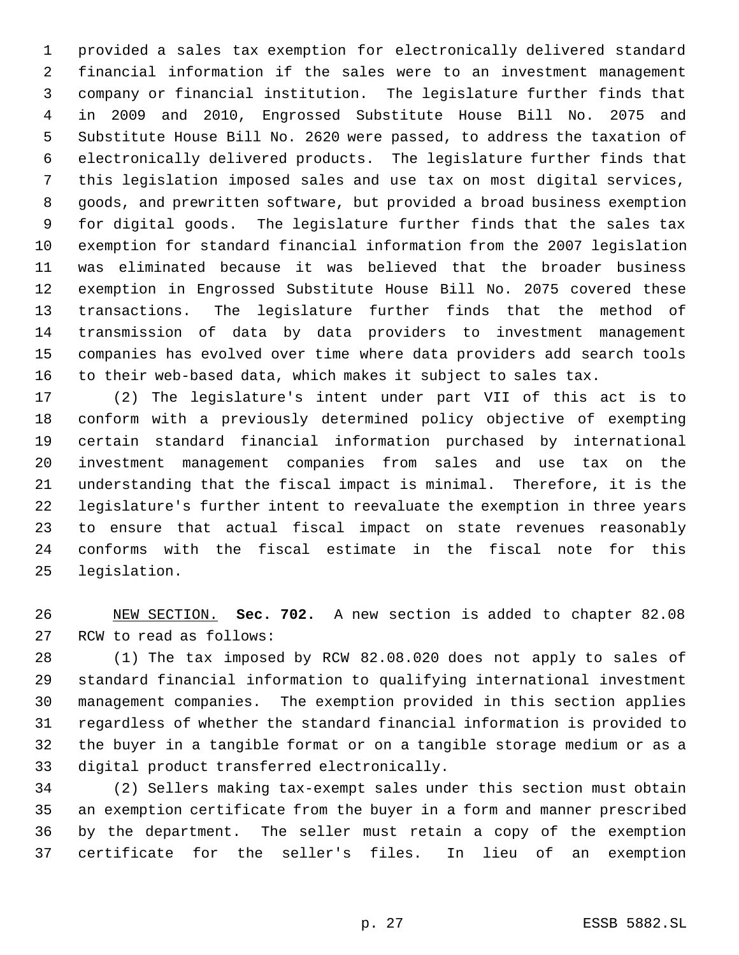provided a sales tax exemption for electronically delivered standard financial information if the sales were to an investment management company or financial institution. The legislature further finds that in 2009 and 2010, Engrossed Substitute House Bill No. 2075 and Substitute House Bill No. 2620 were passed, to address the taxation of electronically delivered products. The legislature further finds that this legislation imposed sales and use tax on most digital services, goods, and prewritten software, but provided a broad business exemption for digital goods. The legislature further finds that the sales tax exemption for standard financial information from the 2007 legislation was eliminated because it was believed that the broader business exemption in Engrossed Substitute House Bill No. 2075 covered these transactions. The legislature further finds that the method of transmission of data by data providers to investment management companies has evolved over time where data providers add search tools to their web-based data, which makes it subject to sales tax.

 (2) The legislature's intent under part VII of this act is to conform with a previously determined policy objective of exempting certain standard financial information purchased by international investment management companies from sales and use tax on the understanding that the fiscal impact is minimal. Therefore, it is the legislature's further intent to reevaluate the exemption in three years to ensure that actual fiscal impact on state revenues reasonably conforms with the fiscal estimate in the fiscal note for this legislation.

 NEW SECTION. **Sec. 702.** A new section is added to chapter 82.08 RCW to read as follows:

 (1) The tax imposed by RCW 82.08.020 does not apply to sales of standard financial information to qualifying international investment management companies. The exemption provided in this section applies regardless of whether the standard financial information is provided to the buyer in a tangible format or on a tangible storage medium or as a digital product transferred electronically.

 (2) Sellers making tax-exempt sales under this section must obtain an exemption certificate from the buyer in a form and manner prescribed by the department. The seller must retain a copy of the exemption certificate for the seller's files. In lieu of an exemption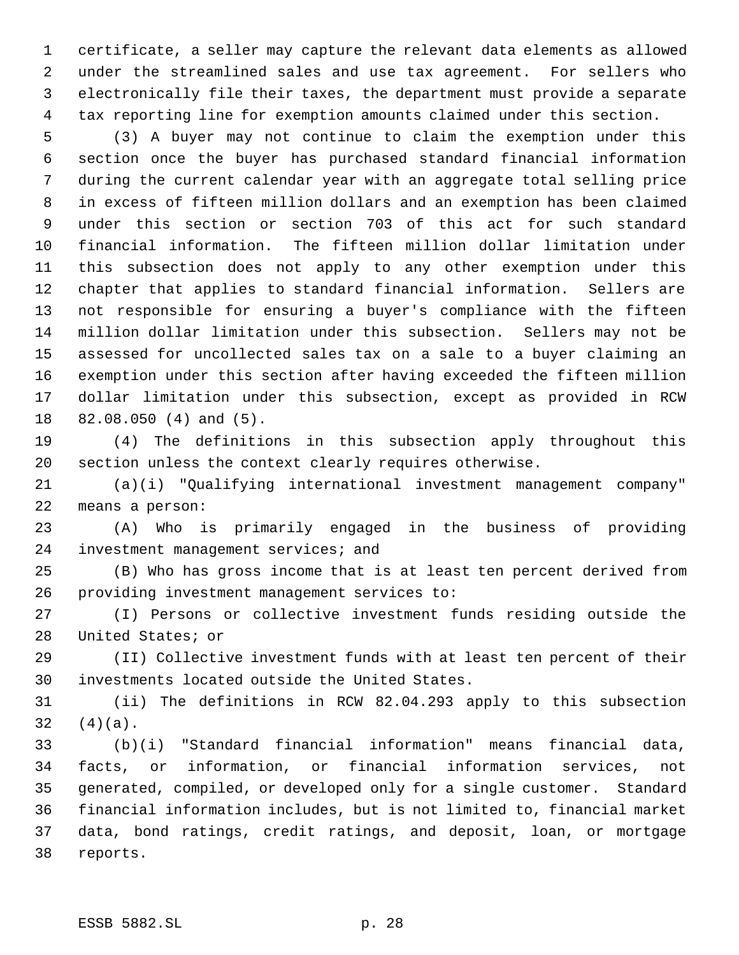certificate, a seller may capture the relevant data elements as allowed under the streamlined sales and use tax agreement. For sellers who electronically file their taxes, the department must provide a separate tax reporting line for exemption amounts claimed under this section.

 (3) A buyer may not continue to claim the exemption under this section once the buyer has purchased standard financial information during the current calendar year with an aggregate total selling price in excess of fifteen million dollars and an exemption has been claimed under this section or section 703 of this act for such standard financial information. The fifteen million dollar limitation under this subsection does not apply to any other exemption under this chapter that applies to standard financial information. Sellers are not responsible for ensuring a buyer's compliance with the fifteen million dollar limitation under this subsection. Sellers may not be assessed for uncollected sales tax on a sale to a buyer claiming an exemption under this section after having exceeded the fifteen million dollar limitation under this subsection, except as provided in RCW 82.08.050 (4) and (5).

 (4) The definitions in this subsection apply throughout this section unless the context clearly requires otherwise.

 (a)(i) "Qualifying international investment management company" means a person:

 (A) Who is primarily engaged in the business of providing 24 investment management services; and

 (B) Who has gross income that is at least ten percent derived from providing investment management services to:

 (I) Persons or collective investment funds residing outside the United States; or

 (II) Collective investment funds with at least ten percent of their investments located outside the United States.

 (ii) The definitions in RCW 82.04.293 apply to this subsection  $32 (4)(a)$ .

 (b)(i) "Standard financial information" means financial data, facts, or information, or financial information services, not generated, compiled, or developed only for a single customer. Standard financial information includes, but is not limited to, financial market data, bond ratings, credit ratings, and deposit, loan, or mortgage reports.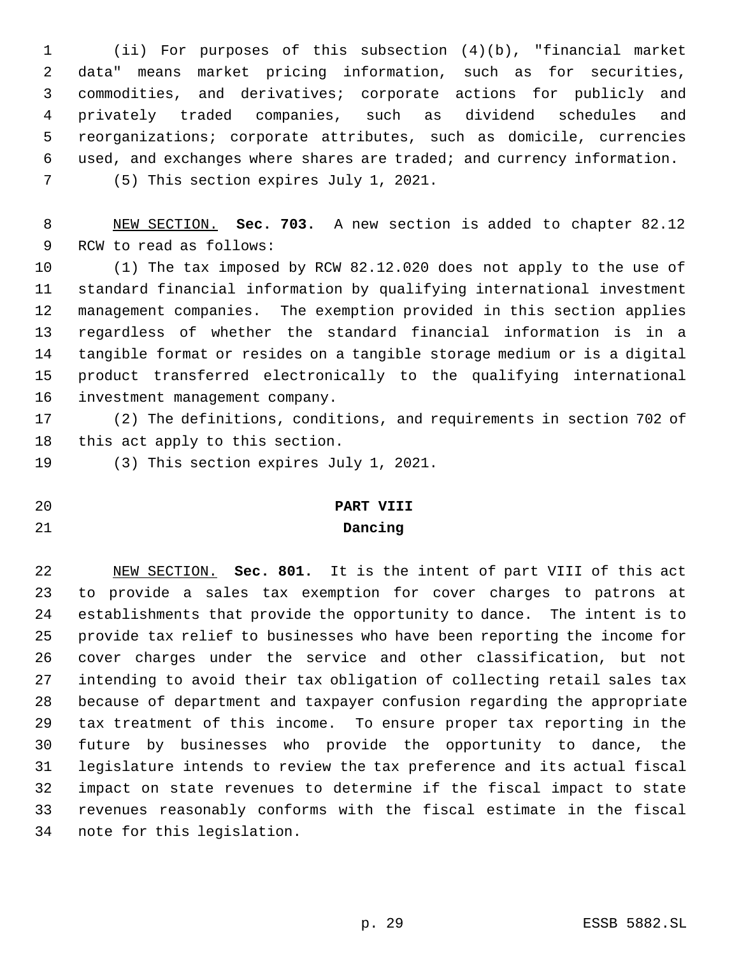(ii) For purposes of this subsection (4)(b), "financial market data" means market pricing information, such as for securities, commodities, and derivatives; corporate actions for publicly and privately traded companies, such as dividend schedules and reorganizations; corporate attributes, such as domicile, currencies used, and exchanges where shares are traded; and currency information. (5) This section expires July 1, 2021.

 NEW SECTION. **Sec. 703.** A new section is added to chapter 82.12 RCW to read as follows:

 (1) The tax imposed by RCW 82.12.020 does not apply to the use of standard financial information by qualifying international investment management companies. The exemption provided in this section applies regardless of whether the standard financial information is in a tangible format or resides on a tangible storage medium or is a digital product transferred electronically to the qualifying international investment management company.

 (2) The definitions, conditions, and requirements in section 702 of this act apply to this section.

(3) This section expires July 1, 2021.

# **PART VIII**

### **Dancing**

 NEW SECTION. **Sec. 801.** It is the intent of part VIII of this act to provide a sales tax exemption for cover charges to patrons at establishments that provide the opportunity to dance. The intent is to provide tax relief to businesses who have been reporting the income for cover charges under the service and other classification, but not intending to avoid their tax obligation of collecting retail sales tax because of department and taxpayer confusion regarding the appropriate tax treatment of this income. To ensure proper tax reporting in the future by businesses who provide the opportunity to dance, the legislature intends to review the tax preference and its actual fiscal impact on state revenues to determine if the fiscal impact to state revenues reasonably conforms with the fiscal estimate in the fiscal note for this legislation.

- 
-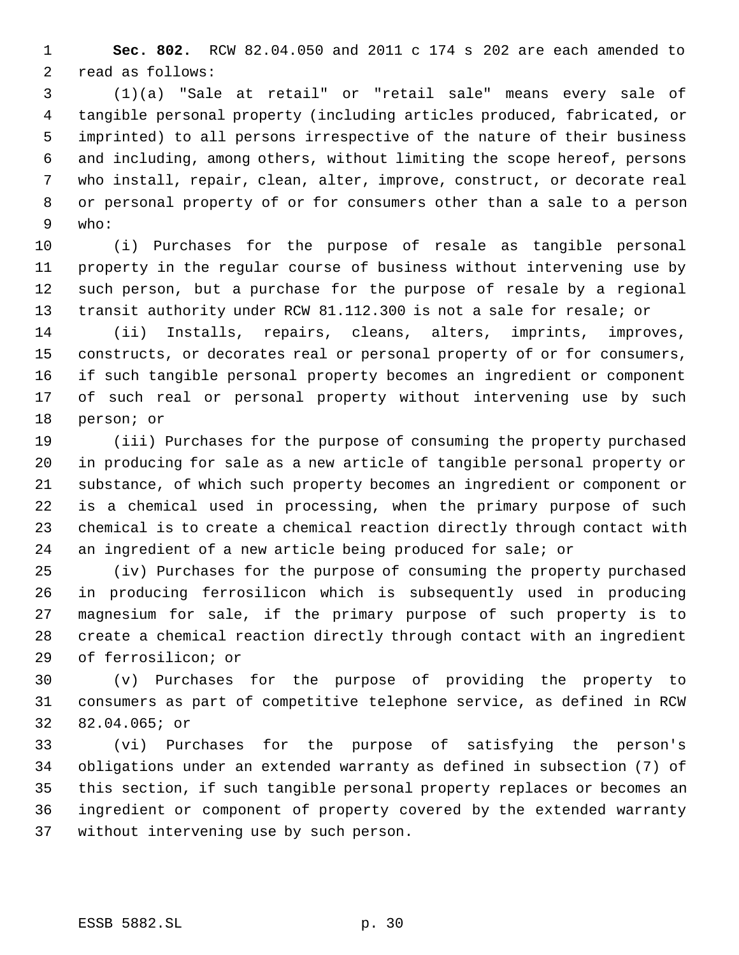**Sec. 802.** RCW 82.04.050 and 2011 c 174 s 202 are each amended to read as follows:

 (1)(a) "Sale at retail" or "retail sale" means every sale of tangible personal property (including articles produced, fabricated, or imprinted) to all persons irrespective of the nature of their business and including, among others, without limiting the scope hereof, persons who install, repair, clean, alter, improve, construct, or decorate real or personal property of or for consumers other than a sale to a person who:

 (i) Purchases for the purpose of resale as tangible personal property in the regular course of business without intervening use by such person, but a purchase for the purpose of resale by a regional transit authority under RCW 81.112.300 is not a sale for resale; or

 (ii) Installs, repairs, cleans, alters, imprints, improves, constructs, or decorates real or personal property of or for consumers, if such tangible personal property becomes an ingredient or component of such real or personal property without intervening use by such person; or

 (iii) Purchases for the purpose of consuming the property purchased in producing for sale as a new article of tangible personal property or substance, of which such property becomes an ingredient or component or is a chemical used in processing, when the primary purpose of such chemical is to create a chemical reaction directly through contact with an ingredient of a new article being produced for sale; or

 (iv) Purchases for the purpose of consuming the property purchased in producing ferrosilicon which is subsequently used in producing magnesium for sale, if the primary purpose of such property is to create a chemical reaction directly through contact with an ingredient of ferrosilicon; or

 (v) Purchases for the purpose of providing the property to consumers as part of competitive telephone service, as defined in RCW 82.04.065; or

 (vi) Purchases for the purpose of satisfying the person's obligations under an extended warranty as defined in subsection (7) of this section, if such tangible personal property replaces or becomes an ingredient or component of property covered by the extended warranty without intervening use by such person.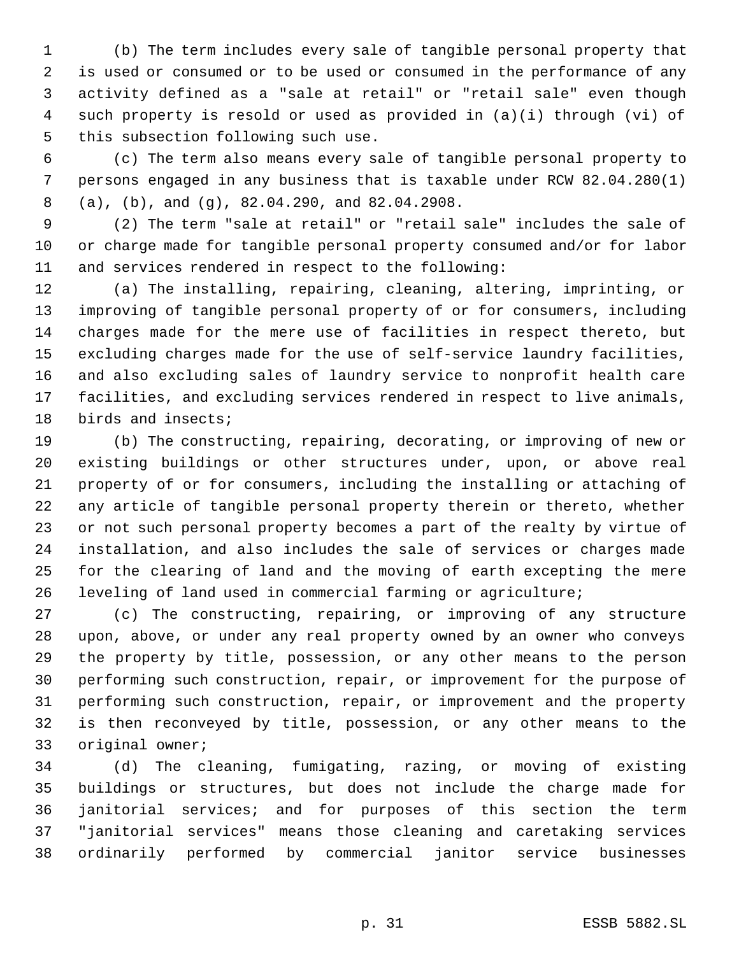(b) The term includes every sale of tangible personal property that is used or consumed or to be used or consumed in the performance of any activity defined as a "sale at retail" or "retail sale" even though such property is resold or used as provided in (a)(i) through (vi) of this subsection following such use.

 (c) The term also means every sale of tangible personal property to persons engaged in any business that is taxable under RCW 82.04.280(1) (a), (b), and (g), 82.04.290, and 82.04.2908.

 (2) The term "sale at retail" or "retail sale" includes the sale of or charge made for tangible personal property consumed and/or for labor and services rendered in respect to the following:

 (a) The installing, repairing, cleaning, altering, imprinting, or improving of tangible personal property of or for consumers, including charges made for the mere use of facilities in respect thereto, but excluding charges made for the use of self-service laundry facilities, and also excluding sales of laundry service to nonprofit health care facilities, and excluding services rendered in respect to live animals, birds and insects;

 (b) The constructing, repairing, decorating, or improving of new or existing buildings or other structures under, upon, or above real property of or for consumers, including the installing or attaching of any article of tangible personal property therein or thereto, whether or not such personal property becomes a part of the realty by virtue of installation, and also includes the sale of services or charges made for the clearing of land and the moving of earth excepting the mere leveling of land used in commercial farming or agriculture;

 (c) The constructing, repairing, or improving of any structure upon, above, or under any real property owned by an owner who conveys the property by title, possession, or any other means to the person performing such construction, repair, or improvement for the purpose of performing such construction, repair, or improvement and the property is then reconveyed by title, possession, or any other means to the original owner;

 (d) The cleaning, fumigating, razing, or moving of existing buildings or structures, but does not include the charge made for janitorial services; and for purposes of this section the term "janitorial services" means those cleaning and caretaking services ordinarily performed by commercial janitor service businesses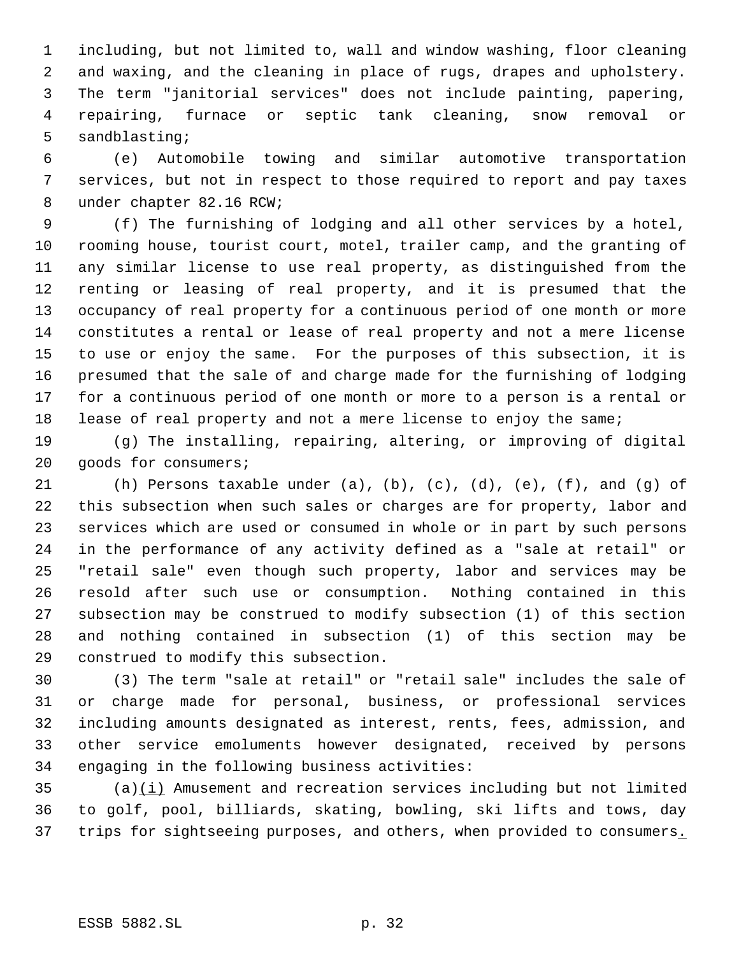including, but not limited to, wall and window washing, floor cleaning and waxing, and the cleaning in place of rugs, drapes and upholstery. The term "janitorial services" does not include painting, papering, repairing, furnace or septic tank cleaning, snow removal or sandblasting;

 (e) Automobile towing and similar automotive transportation services, but not in respect to those required to report and pay taxes under chapter 82.16 RCW;

 (f) The furnishing of lodging and all other services by a hotel, rooming house, tourist court, motel, trailer camp, and the granting of any similar license to use real property, as distinguished from the renting or leasing of real property, and it is presumed that the occupancy of real property for a continuous period of one month or more constitutes a rental or lease of real property and not a mere license to use or enjoy the same. For the purposes of this subsection, it is presumed that the sale of and charge made for the furnishing of lodging for a continuous period of one month or more to a person is a rental or lease of real property and not a mere license to enjoy the same;

 (g) The installing, repairing, altering, or improving of digital goods for consumers;

 (h) Persons taxable under (a), (b), (c), (d), (e), (f), and (g) of this subsection when such sales or charges are for property, labor and services which are used or consumed in whole or in part by such persons in the performance of any activity defined as a "sale at retail" or "retail sale" even though such property, labor and services may be resold after such use or consumption. Nothing contained in this subsection may be construed to modify subsection (1) of this section and nothing contained in subsection (1) of this section may be construed to modify this subsection.

 (3) The term "sale at retail" or "retail sale" includes the sale of or charge made for personal, business, or professional services including amounts designated as interest, rents, fees, admission, and other service emoluments however designated, received by persons engaging in the following business activities:

 (a)(i) Amusement and recreation services including but not limited to golf, pool, billiards, skating, bowling, ski lifts and tows, day 37 trips for sightseeing purposes, and others, when provided to consumers.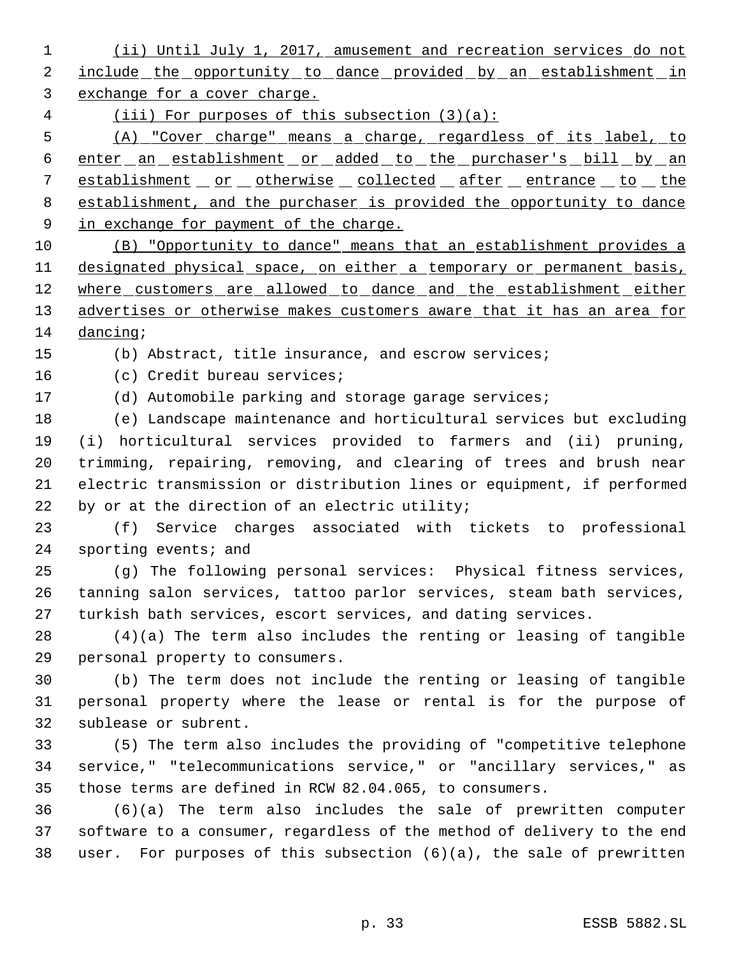(ii) Until July 1, 2017, amusement and recreation services do not 2 include the opportunity to dance provided by an establishment in exchange for a cover charge.

(iii) For purposes of this subsection (3)(a):

 (A) "Cover charge" means a charge, regardless of its label, to 6 enter an establishment or added to the purchaser's bill by an 7 establishment or otherwise collected after entrance to the establishment, and the purchaser is provided the opportunity to dance 9 in exchange for payment of the charge.

 (B) "Opportunity to dance" means that an establishment provides a 11 designated physical space, on either a temporary or permanent basis, 12 where customers are allowed to dance and the establishment either 13 advertises or otherwise makes customers aware that it has an area for dancing;

(b) Abstract, title insurance, and escrow services;

(c) Credit bureau services;

(d) Automobile parking and storage garage services;

 (e) Landscape maintenance and horticultural services but excluding (i) horticultural services provided to farmers and (ii) pruning, trimming, repairing, removing, and clearing of trees and brush near electric transmission or distribution lines or equipment, if performed 22 by or at the direction of an electric utility;

 (f) Service charges associated with tickets to professional sporting events; and

 (g) The following personal services: Physical fitness services, tanning salon services, tattoo parlor services, steam bath services, turkish bath services, escort services, and dating services.

 (4)(a) The term also includes the renting or leasing of tangible personal property to consumers.

 (b) The term does not include the renting or leasing of tangible personal property where the lease or rental is for the purpose of sublease or subrent.

 (5) The term also includes the providing of "competitive telephone service," "telecommunications service," or "ancillary services," as those terms are defined in RCW 82.04.065, to consumers.

 (6)(a) The term also includes the sale of prewritten computer software to a consumer, regardless of the method of delivery to the end user. For purposes of this subsection (6)(a), the sale of prewritten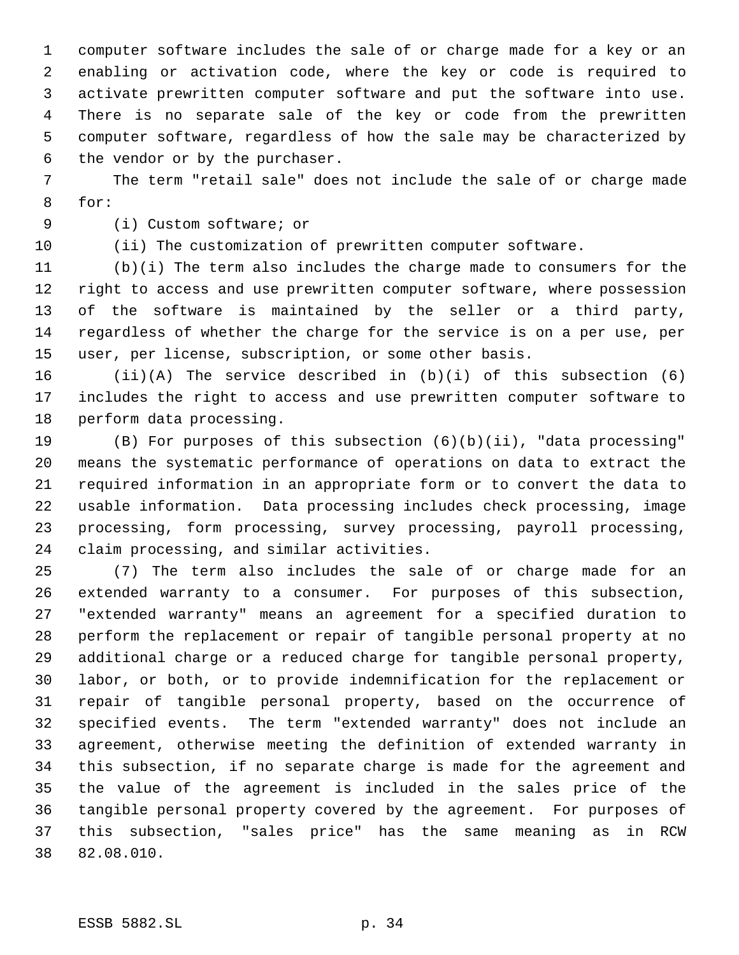computer software includes the sale of or charge made for a key or an enabling or activation code, where the key or code is required to activate prewritten computer software and put the software into use. There is no separate sale of the key or code from the prewritten computer software, regardless of how the sale may be characterized by the vendor or by the purchaser.

 The term "retail sale" does not include the sale of or charge made for:

(i) Custom software; or

(ii) The customization of prewritten computer software.

 (b)(i) The term also includes the charge made to consumers for the right to access and use prewritten computer software, where possession of the software is maintained by the seller or a third party, regardless of whether the charge for the service is on a per use, per user, per license, subscription, or some other basis.

 (ii)(A) The service described in (b)(i) of this subsection (6) includes the right to access and use prewritten computer software to perform data processing.

 (B) For purposes of this subsection (6)(b)(ii), "data processing" means the systematic performance of operations on data to extract the required information in an appropriate form or to convert the data to usable information. Data processing includes check processing, image processing, form processing, survey processing, payroll processing, claim processing, and similar activities.

 (7) The term also includes the sale of or charge made for an extended warranty to a consumer. For purposes of this subsection, "extended warranty" means an agreement for a specified duration to perform the replacement or repair of tangible personal property at no additional charge or a reduced charge for tangible personal property, labor, or both, or to provide indemnification for the replacement or repair of tangible personal property, based on the occurrence of specified events. The term "extended warranty" does not include an agreement, otherwise meeting the definition of extended warranty in this subsection, if no separate charge is made for the agreement and the value of the agreement is included in the sales price of the tangible personal property covered by the agreement. For purposes of this subsection, "sales price" has the same meaning as in RCW 82.08.010.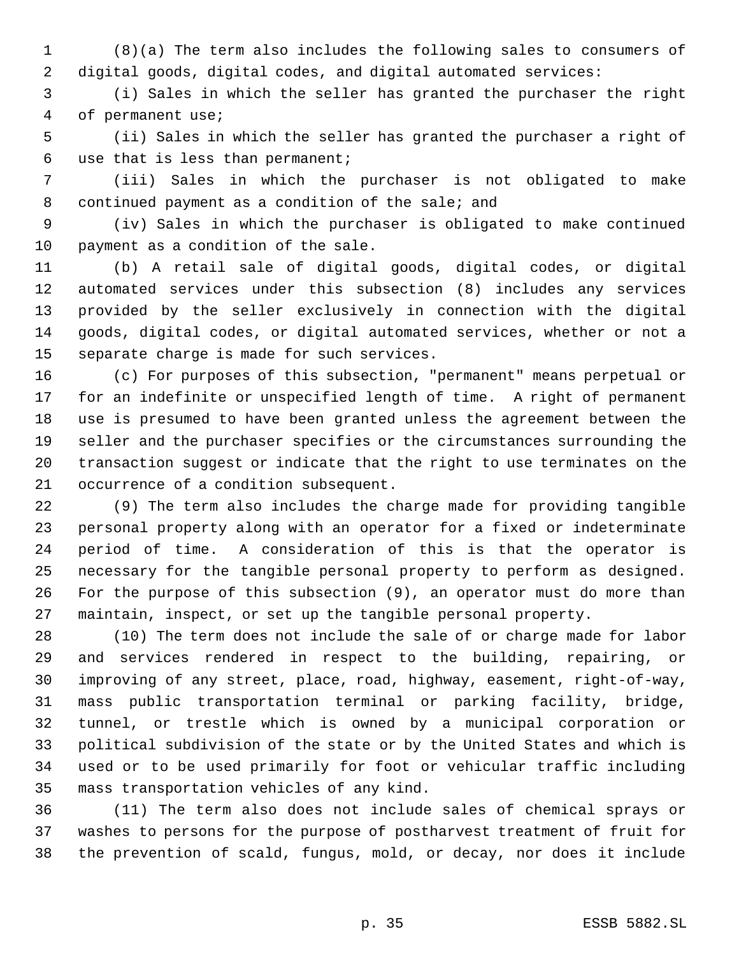(8)(a) The term also includes the following sales to consumers of digital goods, digital codes, and digital automated services:

 (i) Sales in which the seller has granted the purchaser the right of permanent use;

 (ii) Sales in which the seller has granted the purchaser a right of use that is less than permanent;

 (iii) Sales in which the purchaser is not obligated to make continued payment as a condition of the sale; and

 (iv) Sales in which the purchaser is obligated to make continued payment as a condition of the sale.

 (b) A retail sale of digital goods, digital codes, or digital automated services under this subsection (8) includes any services provided by the seller exclusively in connection with the digital goods, digital codes, or digital automated services, whether or not a separate charge is made for such services.

 (c) For purposes of this subsection, "permanent" means perpetual or for an indefinite or unspecified length of time. A right of permanent use is presumed to have been granted unless the agreement between the seller and the purchaser specifies or the circumstances surrounding the transaction suggest or indicate that the right to use terminates on the occurrence of a condition subsequent.

 (9) The term also includes the charge made for providing tangible personal property along with an operator for a fixed or indeterminate period of time. A consideration of this is that the operator is necessary for the tangible personal property to perform as designed. For the purpose of this subsection (9), an operator must do more than maintain, inspect, or set up the tangible personal property.

 (10) The term does not include the sale of or charge made for labor and services rendered in respect to the building, repairing, or improving of any street, place, road, highway, easement, right-of-way, mass public transportation terminal or parking facility, bridge, tunnel, or trestle which is owned by a municipal corporation or political subdivision of the state or by the United States and which is used or to be used primarily for foot or vehicular traffic including mass transportation vehicles of any kind.

 (11) The term also does not include sales of chemical sprays or washes to persons for the purpose of postharvest treatment of fruit for the prevention of scald, fungus, mold, or decay, nor does it include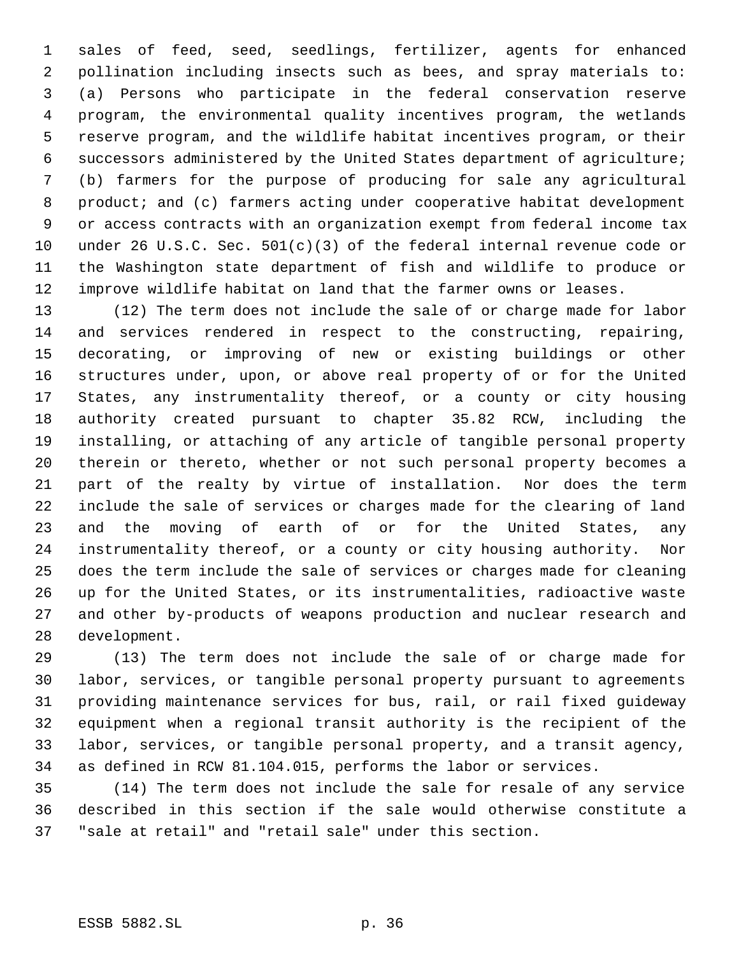sales of feed, seed, seedlings, fertilizer, agents for enhanced pollination including insects such as bees, and spray materials to: (a) Persons who participate in the federal conservation reserve program, the environmental quality incentives program, the wetlands reserve program, and the wildlife habitat incentives program, or their successors administered by the United States department of agriculture; (b) farmers for the purpose of producing for sale any agricultural product; and (c) farmers acting under cooperative habitat development or access contracts with an organization exempt from federal income tax under 26 U.S.C. Sec. 501(c)(3) of the federal internal revenue code or the Washington state department of fish and wildlife to produce or improve wildlife habitat on land that the farmer owns or leases.

 (12) The term does not include the sale of or charge made for labor and services rendered in respect to the constructing, repairing, decorating, or improving of new or existing buildings or other structures under, upon, or above real property of or for the United States, any instrumentality thereof, or a county or city housing authority created pursuant to chapter 35.82 RCW, including the installing, or attaching of any article of tangible personal property therein or thereto, whether or not such personal property becomes a part of the realty by virtue of installation. Nor does the term include the sale of services or charges made for the clearing of land and the moving of earth of or for the United States, any instrumentality thereof, or a county or city housing authority. Nor does the term include the sale of services or charges made for cleaning up for the United States, or its instrumentalities, radioactive waste and other by-products of weapons production and nuclear research and development.

 (13) The term does not include the sale of or charge made for labor, services, or tangible personal property pursuant to agreements providing maintenance services for bus, rail, or rail fixed guideway equipment when a regional transit authority is the recipient of the labor, services, or tangible personal property, and a transit agency, as defined in RCW 81.104.015, performs the labor or services.

 (14) The term does not include the sale for resale of any service described in this section if the sale would otherwise constitute a "sale at retail" and "retail sale" under this section.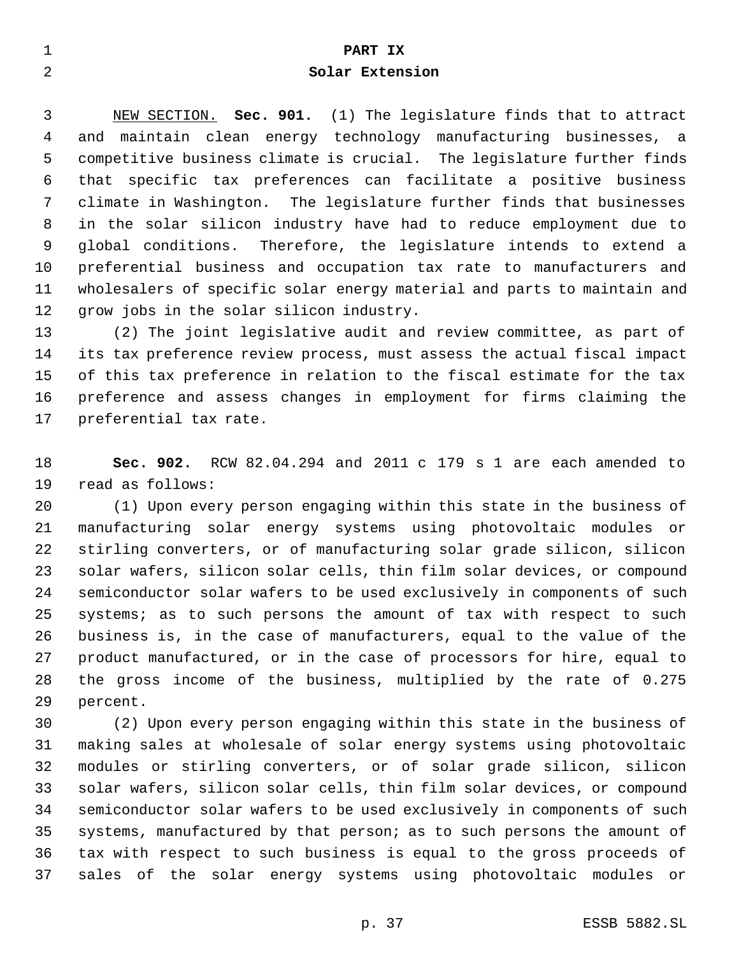| <b>__</b> | PART IX         |
|-----------|-----------------|
| ⌒         | Solar Extension |

 NEW SECTION. **Sec. 901.** (1) The legislature finds that to attract and maintain clean energy technology manufacturing businesses, a competitive business climate is crucial. The legislature further finds that specific tax preferences can facilitate a positive business climate in Washington. The legislature further finds that businesses in the solar silicon industry have had to reduce employment due to global conditions. Therefore, the legislature intends to extend a preferential business and occupation tax rate to manufacturers and wholesalers of specific solar energy material and parts to maintain and grow jobs in the solar silicon industry.

 (2) The joint legislative audit and review committee, as part of its tax preference review process, must assess the actual fiscal impact of this tax preference in relation to the fiscal estimate for the tax preference and assess changes in employment for firms claiming the preferential tax rate.

 **Sec. 902.** RCW 82.04.294 and 2011 c 179 s 1 are each amended to read as follows:

 (1) Upon every person engaging within this state in the business of manufacturing solar energy systems using photovoltaic modules or stirling converters, or of manufacturing solar grade silicon, silicon solar wafers, silicon solar cells, thin film solar devices, or compound semiconductor solar wafers to be used exclusively in components of such systems; as to such persons the amount of tax with respect to such business is, in the case of manufacturers, equal to the value of the product manufactured, or in the case of processors for hire, equal to the gross income of the business, multiplied by the rate of 0.275 percent.

 (2) Upon every person engaging within this state in the business of making sales at wholesale of solar energy systems using photovoltaic modules or stirling converters, or of solar grade silicon, silicon solar wafers, silicon solar cells, thin film solar devices, or compound semiconductor solar wafers to be used exclusively in components of such systems, manufactured by that person; as to such persons the amount of tax with respect to such business is equal to the gross proceeds of sales of the solar energy systems using photovoltaic modules or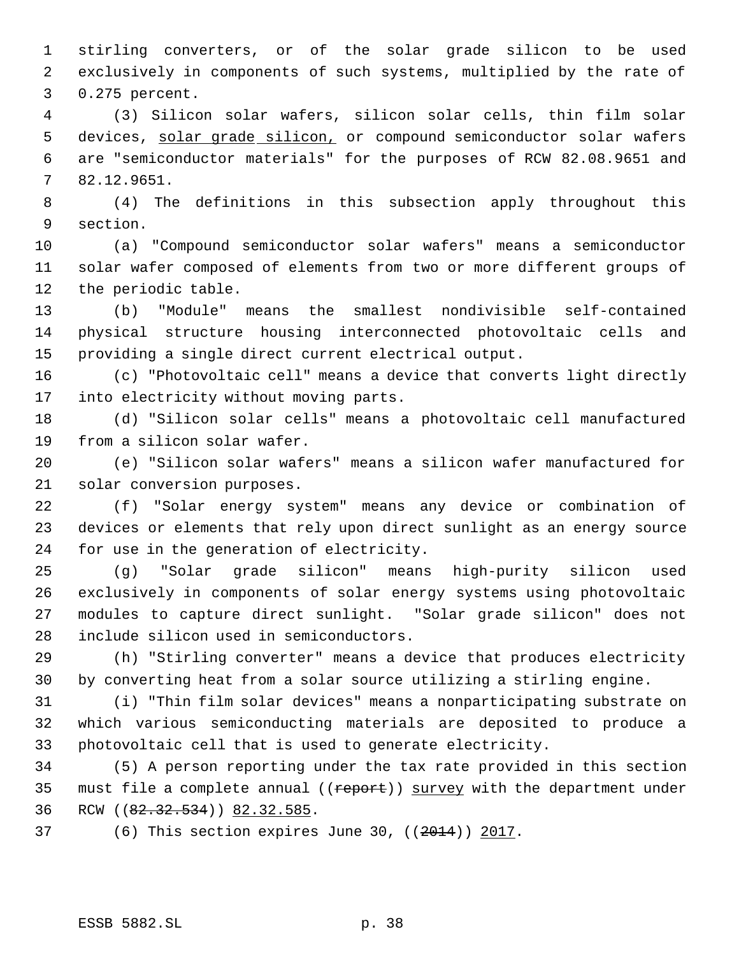stirling converters, or of the solar grade silicon to be used exclusively in components of such systems, multiplied by the rate of 0.275 percent.

 (3) Silicon solar wafers, silicon solar cells, thin film solar 5 devices, solar grade silicon, or compound semiconductor solar wafers are "semiconductor materials" for the purposes of RCW 82.08.9651 and 82.12.9651.

 (4) The definitions in this subsection apply throughout this section.

 (a) "Compound semiconductor solar wafers" means a semiconductor solar wafer composed of elements from two or more different groups of the periodic table.

 (b) "Module" means the smallest nondivisible self-contained physical structure housing interconnected photovoltaic cells and providing a single direct current electrical output.

 (c) "Photovoltaic cell" means a device that converts light directly into electricity without moving parts.

 (d) "Silicon solar cells" means a photovoltaic cell manufactured from a silicon solar wafer.

 (e) "Silicon solar wafers" means a silicon wafer manufactured for solar conversion purposes.

 (f) "Solar energy system" means any device or combination of devices or elements that rely upon direct sunlight as an energy source for use in the generation of electricity.

 (g) "Solar grade silicon" means high-purity silicon used exclusively in components of solar energy systems using photovoltaic modules to capture direct sunlight. "Solar grade silicon" does not include silicon used in semiconductors.

 (h) "Stirling converter" means a device that produces electricity by converting heat from a solar source utilizing a stirling engine.

 (i) "Thin film solar devices" means a nonparticipating substrate on which various semiconducting materials are deposited to produce a photovoltaic cell that is used to generate electricity.

 (5) A person reporting under the tax rate provided in this section 35 must file a complete annual ((report)) survey with the department under 36 RCW ((82.32.534)) 82.32.585.

(6) This section expires June 30, ((2014)) 2017.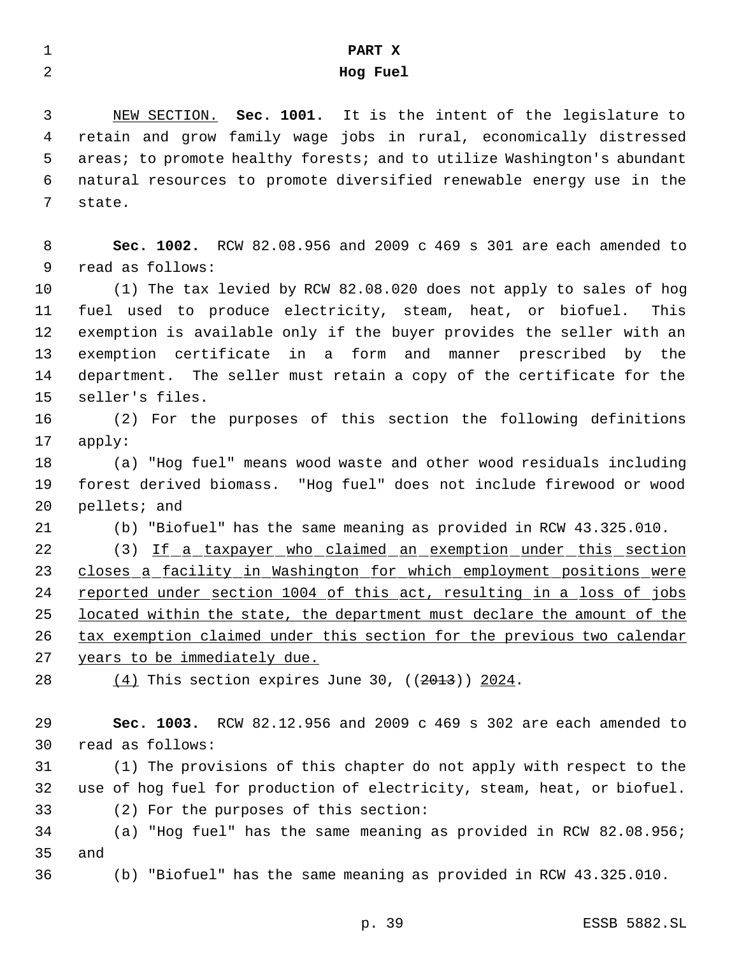# **PART X Hog Fuel**

 NEW SECTION. **Sec. 1001.** It is the intent of the legislature to retain and grow family wage jobs in rural, economically distressed areas; to promote healthy forests; and to utilize Washington's abundant natural resources to promote diversified renewable energy use in the state.

 **Sec. 1002.** RCW 82.08.956 and 2009 c 469 s 301 are each amended to read as follows:

 (1) The tax levied by RCW 82.08.020 does not apply to sales of hog fuel used to produce electricity, steam, heat, or biofuel. This exemption is available only if the buyer provides the seller with an exemption certificate in a form and manner prescribed by the department. The seller must retain a copy of the certificate for the seller's files.

 (2) For the purposes of this section the following definitions apply:

 (a) "Hog fuel" means wood waste and other wood residuals including forest derived biomass. "Hog fuel" does not include firewood or wood pellets; and

(b) "Biofuel" has the same meaning as provided in RCW 43.325.010.

22 (3) If a taxpayer who claimed an exemption under this section closes a facility in Washington for which employment positions were 24 reported under section 1004 of this act, resulting in a loss of jobs 25 located within the state, the department must declare the amount of the tax exemption claimed under this section for the previous two calendar

years to be immediately due.

 $(4)$  This section expires June 30,  $((2013))$  2024.

 **Sec. 1003.** RCW 82.12.956 and 2009 c 469 s 302 are each amended to read as follows:

 (1) The provisions of this chapter do not apply with respect to the use of hog fuel for production of electricity, steam, heat, or biofuel. (2) For the purposes of this section:

 (a) "Hog fuel" has the same meaning as provided in RCW 82.08.956; and

(b) "Biofuel" has the same meaning as provided in RCW 43.325.010.

p. 39 ESSB 5882.SL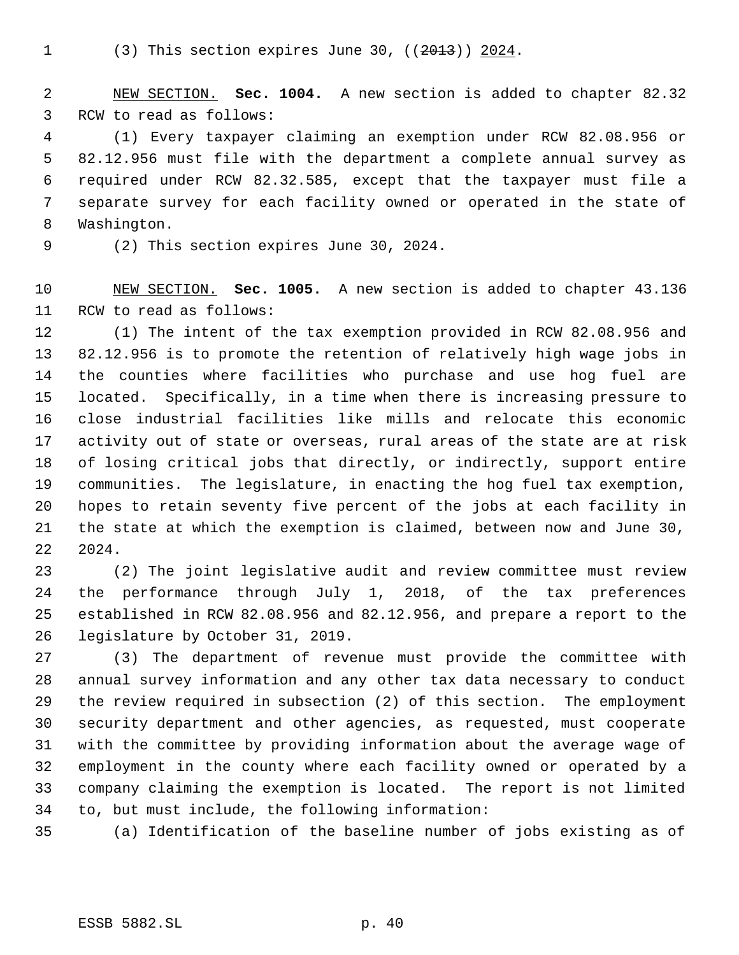NEW SECTION. **Sec. 1004.** A new section is added to chapter 82.32 RCW to read as follows:

 (1) Every taxpayer claiming an exemption under RCW 82.08.956 or 82.12.956 must file with the department a complete annual survey as required under RCW 82.32.585, except that the taxpayer must file a separate survey for each facility owned or operated in the state of Washington.

(2) This section expires June 30, 2024.

 NEW SECTION. **Sec. 1005.** A new section is added to chapter 43.136 RCW to read as follows:

 (1) The intent of the tax exemption provided in RCW 82.08.956 and 82.12.956 is to promote the retention of relatively high wage jobs in the counties where facilities who purchase and use hog fuel are located. Specifically, in a time when there is increasing pressure to close industrial facilities like mills and relocate this economic activity out of state or overseas, rural areas of the state are at risk of losing critical jobs that directly, or indirectly, support entire communities. The legislature, in enacting the hog fuel tax exemption, hopes to retain seventy five percent of the jobs at each facility in the state at which the exemption is claimed, between now and June 30, 2024.

 (2) The joint legislative audit and review committee must review the performance through July 1, 2018, of the tax preferences established in RCW 82.08.956 and 82.12.956, and prepare a report to the legislature by October 31, 2019.

 (3) The department of revenue must provide the committee with annual survey information and any other tax data necessary to conduct the review required in subsection (2) of this section. The employment security department and other agencies, as requested, must cooperate with the committee by providing information about the average wage of employment in the county where each facility owned or operated by a company claiming the exemption is located. The report is not limited to, but must include, the following information:

(a) Identification of the baseline number of jobs existing as of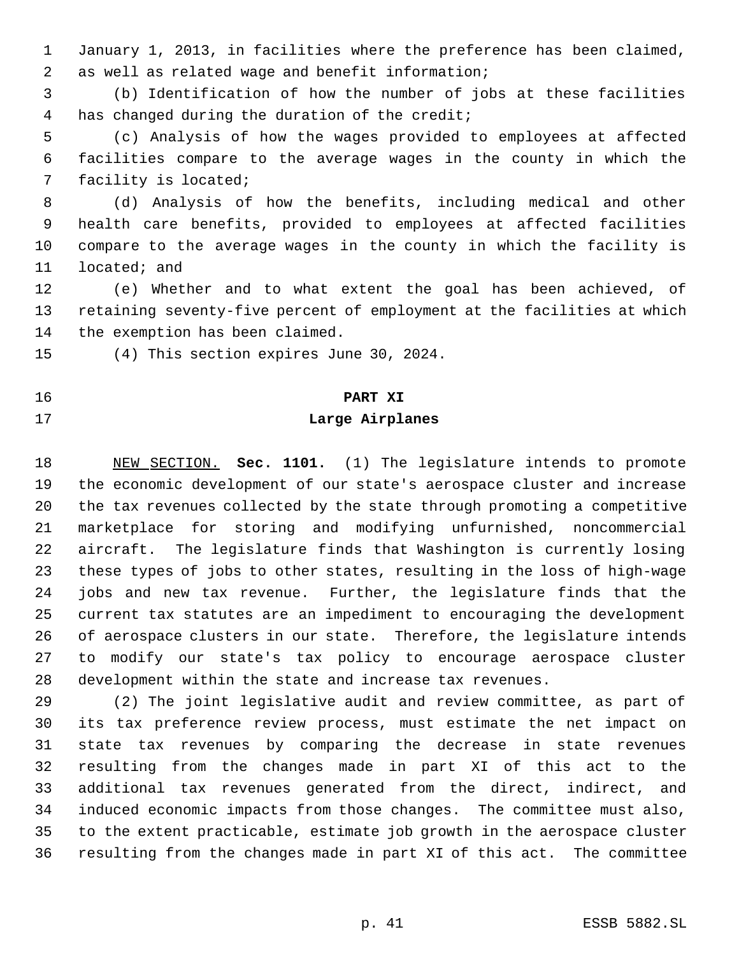January 1, 2013, in facilities where the preference has been claimed, as well as related wage and benefit information;

 (b) Identification of how the number of jobs at these facilities has changed during the duration of the credit;

 (c) Analysis of how the wages provided to employees at affected facilities compare to the average wages in the county in which the facility is located;

 (d) Analysis of how the benefits, including medical and other health care benefits, provided to employees at affected facilities compare to the average wages in the county in which the facility is located; and

 (e) Whether and to what extent the goal has been achieved, of retaining seventy-five percent of employment at the facilities at which the exemption has been claimed.

(4) This section expires June 30, 2024.

### **PART XI**

#### **Large Airplanes**

 NEW SECTION. **Sec. 1101.** (1) The legislature intends to promote the economic development of our state's aerospace cluster and increase the tax revenues collected by the state through promoting a competitive marketplace for storing and modifying unfurnished, noncommercial aircraft. The legislature finds that Washington is currently losing these types of jobs to other states, resulting in the loss of high-wage jobs and new tax revenue. Further, the legislature finds that the current tax statutes are an impediment to encouraging the development of aerospace clusters in our state. Therefore, the legislature intends to modify our state's tax policy to encourage aerospace cluster development within the state and increase tax revenues.

 (2) The joint legislative audit and review committee, as part of its tax preference review process, must estimate the net impact on state tax revenues by comparing the decrease in state revenues resulting from the changes made in part XI of this act to the additional tax revenues generated from the direct, indirect, and induced economic impacts from those changes. The committee must also, to the extent practicable, estimate job growth in the aerospace cluster resulting from the changes made in part XI of this act. The committee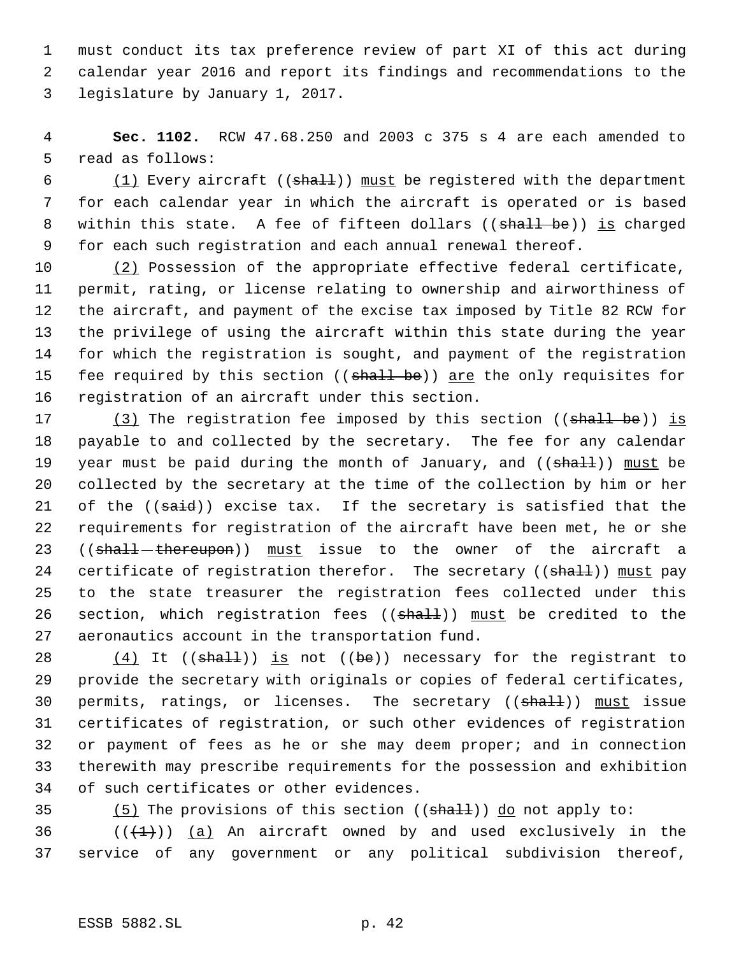must conduct its tax preference review of part XI of this act during calendar year 2016 and report its findings and recommendations to the legislature by January 1, 2017.

 **Sec. 1102.** RCW 47.68.250 and 2003 c 375 s 4 are each amended to read as follows:

 $(1)$  Every aircraft ((shall)) must be registered with the department for each calendar year in which the aircraft is operated or is based 8 within this state. A fee of fifteen dollars ((shall be)) is charged for each such registration and each annual renewal thereof.

 (2) Possession of the appropriate effective federal certificate, permit, rating, or license relating to ownership and airworthiness of the aircraft, and payment of the excise tax imposed by Title 82 RCW for the privilege of using the aircraft within this state during the year for which the registration is sought, and payment of the registration 15 fee required by this section ((shall be)) are the only requisites for registration of an aircraft under this section.

17 (3) The registration fee imposed by this section ((shall be)) is payable to and collected by the secretary. The fee for any calendar 19 year must be paid during the month of January, and  $((shall))$  must be collected by the secretary at the time of the collection by him or her 21 of the ((said)) excise tax. If the secretary is satisfied that the requirements for registration of the aircraft have been met, he or she 23 ((shall-thereupon)) must issue to the owner of the aircraft a 24 certificate of registration therefor. The secretary ((shall)) must pay to the state treasurer the registration fees collected under this 26 section, which registration fees ((shall)) must be credited to the aeronautics account in the transportation fund.

 $(4)$  It ((shall)) is not ((be)) necessary for the registrant to provide the secretary with originals or copies of federal certificates, 30 permits, ratings, or licenses. The secretary ((shall)) must issue certificates of registration, or such other evidences of registration or payment of fees as he or she may deem proper; and in connection therewith may prescribe requirements for the possession and exhibition of such certificates or other evidences.

35  $(5)$  The provisions of this section (( $\text{shall}$ )) do not apply to:

36  $((+1))$  (a) An aircraft owned by and used exclusively in the service of any government or any political subdivision thereof,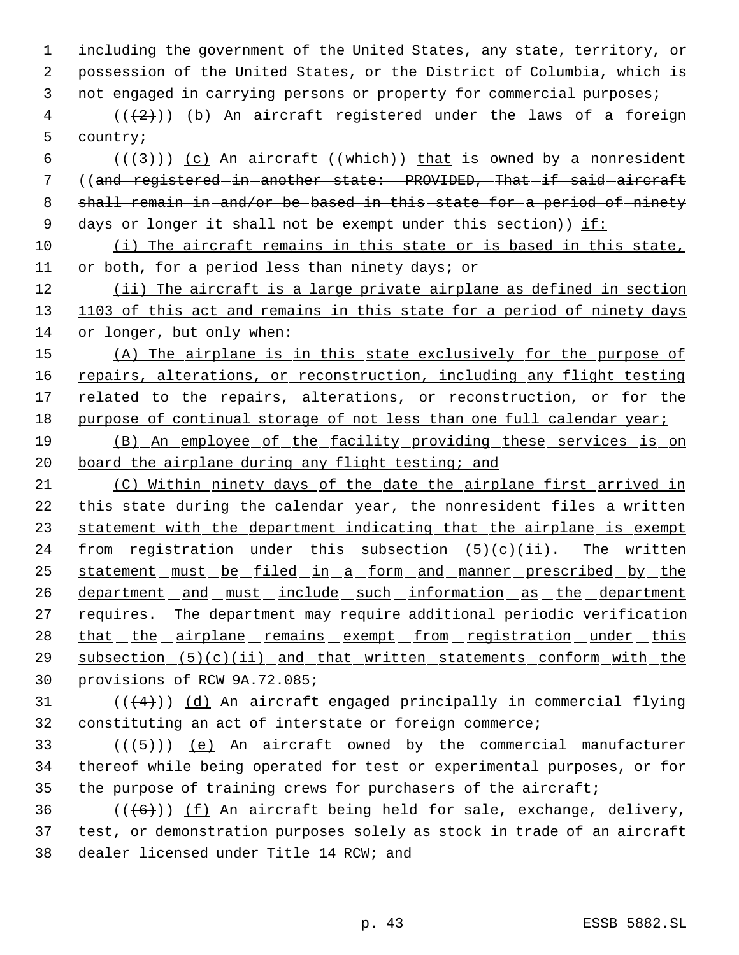1 including the government of the United States, any state, territory, or 2 possession of the United States, or the District of Columbia, which is 3 not engaged in carrying persons or property for commercial purposes;

 $4$  (( $(2)$ )) (b) An aircraft registered under the laws of a foreign 5 country;

6 ( $(\frac{43}{})$ ) (c) An aircraft ((which)) that is owned by a nonresident 7 ((and-registered-in-another-state: PROVIDED, That-if-said-aircraft 8 shall remain in and/or be based in this state for a period of ninety 9 days or longer it shall not be exempt under this section)) if:

10 (i) The aircraft remains in this state or is based in this state, 11 or both, for a period less than ninety days; or

12 (ii) The aircraft is a large private airplane as defined in section 13 1103 of this act and remains in this state for a period of ninety days 14 or longer, but only when:

15 (A) The airplane is in this state exclusively for the purpose of 16 repairs, alterations, or reconstruction, including any flight testing 17 related to the repairs, alterations, or reconstruction, or for the 18 purpose of continual storage of not less than one full calendar year;

19 (B) An employee of the facility providing these services is on 20 board the airplane during any flight testing; and

21 (C) Within ninety days of the date the airplane first arrived in 22 this state during the calendar year, the nonresident files a written 23 statement with the department indicating that the airplane is exempt 24 from registration under this subsection (5)(c)(ii). The written 25 statement must be filed in a form and manner prescribed by the 26 department and must include such information as the department 27 requires. The department may require additional periodic verification 28 that the airplane remains exempt from registration under this 29 subsection (5)(c)(ii) and that written statements conform with the 30 provisions of RCW 9A.72.085;

31  $((4+))$   $(d)$  An aircraft engaged principally in commercial flying 32 constituting an act of interstate or foreign commerce;

33  $((+5))$   $(e)$  An aircraft owned by the commercial manufacturer 34 thereof while being operated for test or experimental purposes, or for 35 the purpose of training crews for purchasers of the aircraft;

36  $((\langle 6 \rangle) )$  (f) An aircraft being held for sale, exchange, delivery, 37 test, or demonstration purposes solely as stock in trade of an aircraft 38 dealer licensed under Title 14 RCW; and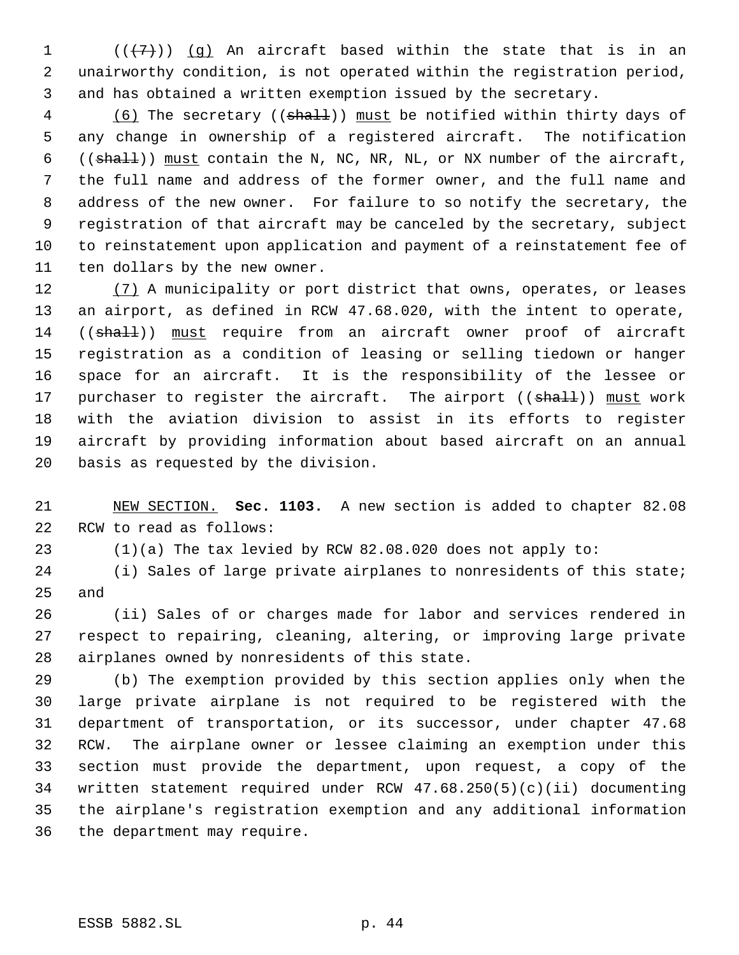1  $((+7))$   $(g)$  An aircraft based within the state that is in an unairworthy condition, is not operated within the registration period, and has obtained a written exemption issued by the secretary.

4 (6) The secretary ((shall)) must be notified within thirty days of any change in ownership of a registered aircraft. The notification ((shall)) must contain the N, NC, NR, NL, or NX number of the aircraft, the full name and address of the former owner, and the full name and address of the new owner. For failure to so notify the secretary, the registration of that aircraft may be canceled by the secretary, subject to reinstatement upon application and payment of a reinstatement fee of ten dollars by the new owner.

12 (7) A municipality or port district that owns, operates, or leases an airport, as defined in RCW 47.68.020, with the intent to operate, 14 ((shall)) must require from an aircraft owner proof of aircraft registration as a condition of leasing or selling tiedown or hanger space for an aircraft. It is the responsibility of the lessee or 17 purchaser to register the aircraft. The airport ((shall)) must work with the aviation division to assist in its efforts to register aircraft by providing information about based aircraft on an annual basis as requested by the division.

 NEW SECTION. **Sec. 1103.** A new section is added to chapter 82.08 RCW to read as follows:

(1)(a) The tax levied by RCW 82.08.020 does not apply to:

 (i) Sales of large private airplanes to nonresidents of this state; and

 (ii) Sales of or charges made for labor and services rendered in respect to repairing, cleaning, altering, or improving large private airplanes owned by nonresidents of this state.

 (b) The exemption provided by this section applies only when the large private airplane is not required to be registered with the department of transportation, or its successor, under chapter 47.68 RCW. The airplane owner or lessee claiming an exemption under this section must provide the department, upon request, a copy of the written statement required under RCW 47.68.250(5)(c)(ii) documenting the airplane's registration exemption and any additional information the department may require.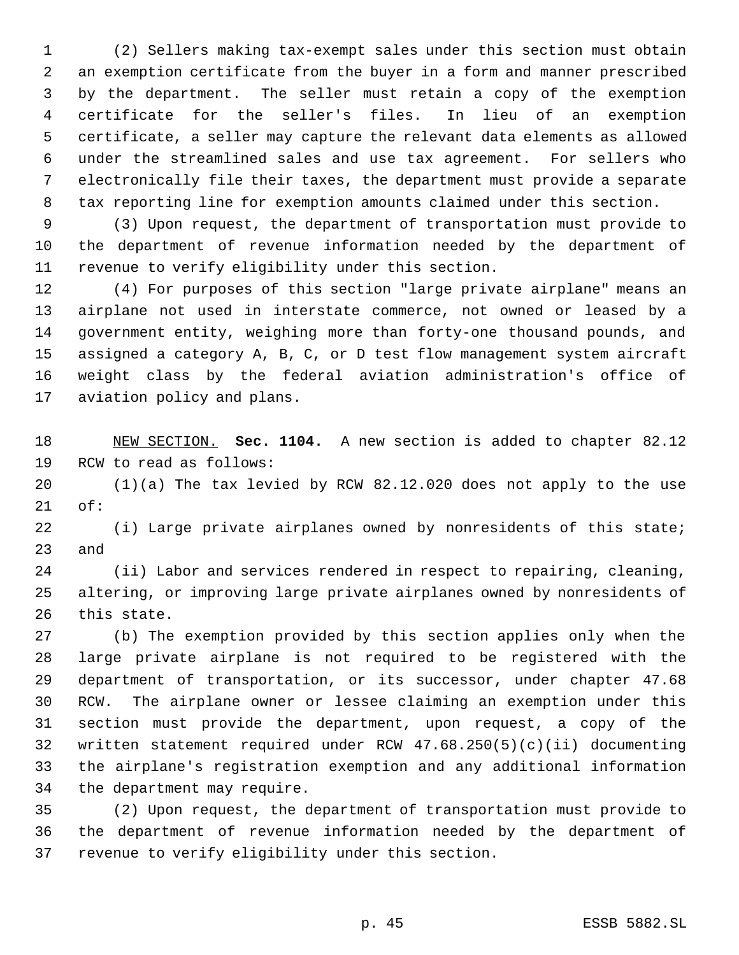(2) Sellers making tax-exempt sales under this section must obtain an exemption certificate from the buyer in a form and manner prescribed by the department. The seller must retain a copy of the exemption certificate for the seller's files. In lieu of an exemption certificate, a seller may capture the relevant data elements as allowed under the streamlined sales and use tax agreement. For sellers who electronically file their taxes, the department must provide a separate tax reporting line for exemption amounts claimed under this section.

 (3) Upon request, the department of transportation must provide to the department of revenue information needed by the department of revenue to verify eligibility under this section.

 (4) For purposes of this section "large private airplane" means an airplane not used in interstate commerce, not owned or leased by a government entity, weighing more than forty-one thousand pounds, and assigned a category A, B, C, or D test flow management system aircraft weight class by the federal aviation administration's office of aviation policy and plans.

 NEW SECTION. **Sec. 1104.** A new section is added to chapter 82.12 RCW to read as follows:

 (1)(a) The tax levied by RCW 82.12.020 does not apply to the use of:

 (i) Large private airplanes owned by nonresidents of this state; and

 (ii) Labor and services rendered in respect to repairing, cleaning, altering, or improving large private airplanes owned by nonresidents of this state.

 (b) The exemption provided by this section applies only when the large private airplane is not required to be registered with the department of transportation, or its successor, under chapter 47.68 RCW. The airplane owner or lessee claiming an exemption under this section must provide the department, upon request, a copy of the written statement required under RCW 47.68.250(5)(c)(ii) documenting the airplane's registration exemption and any additional information the department may require.

 (2) Upon request, the department of transportation must provide to the department of revenue information needed by the department of revenue to verify eligibility under this section.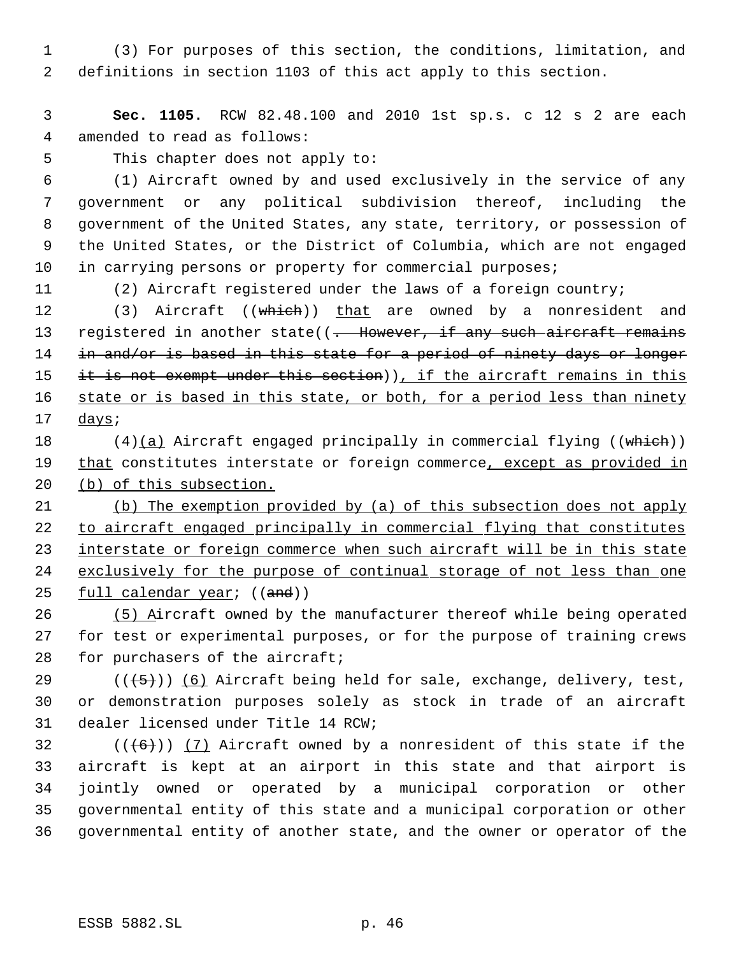1 (3) For purposes of this section, the conditions, limitation, and 2 definitions in section 1103 of this act apply to this section.

 3 **Sec. 1105.** RCW 82.48.100 and 2010 1st sp.s. c 12 s 2 are each 4 amended to read as follows:

5 This chapter does not apply to:

 (1) Aircraft owned by and used exclusively in the service of any government or any political subdivision thereof, including the government of the United States, any state, territory, or possession of the United States, or the District of Columbia, which are not engaged 10 in carrying persons or property for commercial purposes;

11 (2) Aircraft registered under the laws of a foreign country;

12 (3) Aircraft ((which)) that are owned by a nonresident and 13 registered in another state((- However, if any such aircraft remains 14 in and/or is based in this state for a period of ninety days or longer 15 it is not exempt under this section)), if the aircraft remains in this 16 state or is based in this state, or both, for a period less than ninety 17 days;

18 (4)(a) Aircraft engaged principally in commercial flying ((which)) 19 that constitutes interstate or foreign commerce, except as provided in 20 (b) of this subsection.

21 (b) The exemption provided by (a) of this subsection does not apply 22 to aircraft engaged principally in commercial flying that constitutes 23 interstate or foreign commerce when such aircraft will be in this state 24 exclusively for the purpose of continual storage of not less than one 25 full calendar year; ((and))

26 (5) Aircraft owned by the manufacturer thereof while being operated 27 for test or experimental purposes, or for the purpose of training crews 28 for purchasers of the aircraft;

29  $((+5))$   $(6)$  Aircraft being held for sale, exchange, delivery, test, 30 or demonstration purposes solely as stock in trade of an aircraft 31 dealer licensed under Title 14 RCW;

 $((+6))$   $(7)$  Aircraft owned by a nonresident of this state if the aircraft is kept at an airport in this state and that airport is jointly owned or operated by a municipal corporation or other governmental entity of this state and a municipal corporation or other governmental entity of another state, and the owner or operator of the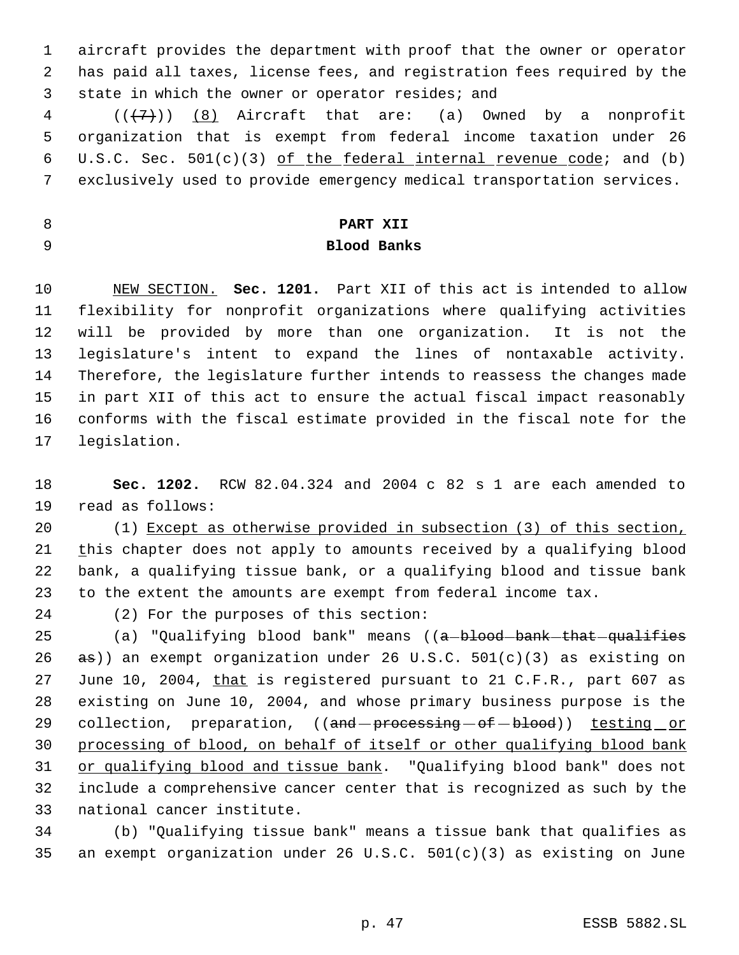aircraft provides the department with proof that the owner or operator has paid all taxes, license fees, and registration fees required by the state in which the owner or operator resides; and

 $((\langle 7\rangle))$  (8) Aircraft that are: (a) Owned by a nonprofit organization that is exempt from federal income taxation under 26 6 U.S.C. Sec.  $501(c)(3)$  of the federal internal revenue code; and (b) exclusively used to provide emergency medical transportation services.

# **PART XII**

**Blood Banks**

 NEW SECTION. **Sec. 1201.** Part XII of this act is intended to allow flexibility for nonprofit organizations where qualifying activities will be provided by more than one organization. It is not the legislature's intent to expand the lines of nontaxable activity. Therefore, the legislature further intends to reassess the changes made in part XII of this act to ensure the actual fiscal impact reasonably conforms with the fiscal estimate provided in the fiscal note for the legislation.

 **Sec. 1202.** RCW 82.04.324 and 2004 c 82 s 1 are each amended to read as follows:

 (1) Except as otherwise provided in subsection (3) of this section, 21 this chapter does not apply to amounts received by a qualifying blood bank, a qualifying tissue bank, or a qualifying blood and tissue bank to the extent the amounts are exempt from federal income tax.

(2) For the purposes of this section:

25 (a) "Qualifying blood bank" means ((a-blood-bank-that-qualifies 26  $\sigma$  as)) an exempt organization under 26 U.S.C. 501(c)(3) as existing on 27 June 10, 2004, that is registered pursuant to 21 C.F.R., part 607 as existing on June 10, 2004, and whose primary business purpose is the 29 collection, preparation, ((and processing of blood)) testing or processing of blood, on behalf of itself or other qualifying blood bank 31 or qualifying blood and tissue bank. "Qualifying blood bank" does not include a comprehensive cancer center that is recognized as such by the national cancer institute.

 (b) "Qualifying tissue bank" means a tissue bank that qualifies as an exempt organization under 26 U.S.C. 501(c)(3) as existing on June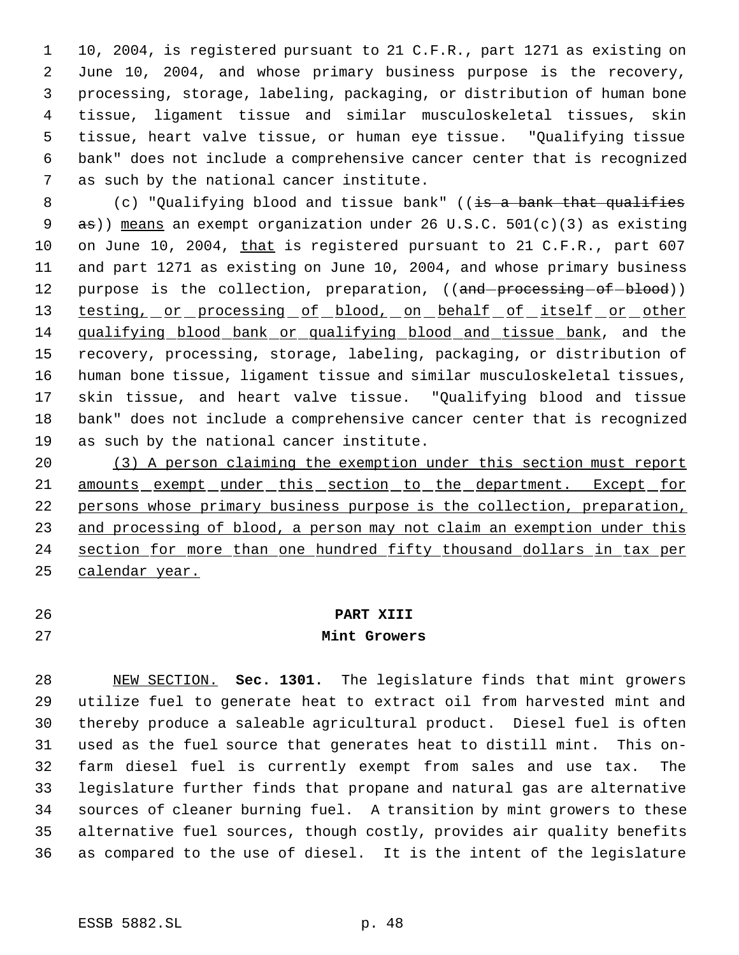10, 2004, is registered pursuant to 21 C.F.R., part 1271 as existing on June 10, 2004, and whose primary business purpose is the recovery, processing, storage, labeling, packaging, or distribution of human bone tissue, ligament tissue and similar musculoskeletal tissues, skin tissue, heart valve tissue, or human eye tissue. "Qualifying tissue bank" does not include a comprehensive cancer center that is recognized as such by the national cancer institute.

8 (c) "Qualifying blood and tissue bank" ((is a bank that qualifies 9 as)) means an exempt organization under 26 U.S.C. 501(c)(3) as existing 10 on June 10, 2004, that is registered pursuant to 21 C.F.R., part 607 and part 1271 as existing on June 10, 2004, and whose primary business 12 purpose is the collection, preparation, ((and processing of blood)) 13 testing, or processing of blood, on behalf of itself or other qualifying blood bank or qualifying blood and tissue bank, and the recovery, processing, storage, labeling, packaging, or distribution of human bone tissue, ligament tissue and similar musculoskeletal tissues, skin tissue, and heart valve tissue. "Qualifying blood and tissue bank" does not include a comprehensive cancer center that is recognized as such by the national cancer institute.

 (3) A person claiming the exemption under this section must report 21 amounts exempt under this section to the department. Except for persons whose primary business purpose is the collection, preparation, 23 and processing of blood, a person may not claim an exemption under this 24 section for more than one hundred fifty thousand dollars in tax per calendar year.

## **PART XIII**

## **Mint Growers**

 NEW SECTION. **Sec. 1301.** The legislature finds that mint growers utilize fuel to generate heat to extract oil from harvested mint and thereby produce a saleable agricultural product. Diesel fuel is often used as the fuel source that generates heat to distill mint. This on- farm diesel fuel is currently exempt from sales and use tax. The legislature further finds that propane and natural gas are alternative sources of cleaner burning fuel. A transition by mint growers to these alternative fuel sources, though costly, provides air quality benefits as compared to the use of diesel. It is the intent of the legislature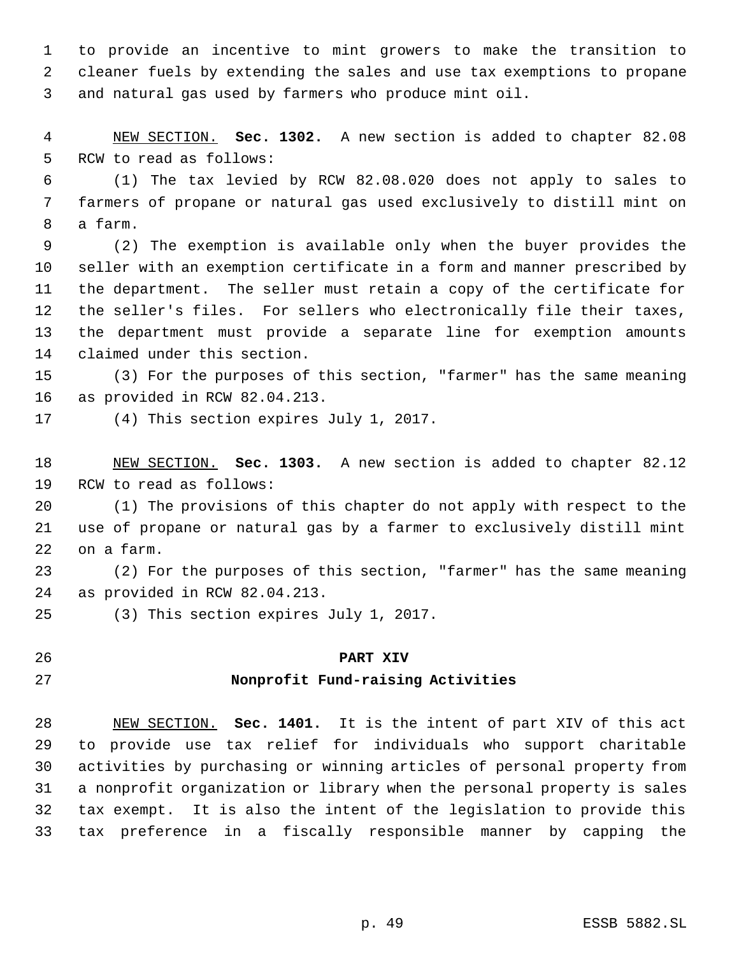to provide an incentive to mint growers to make the transition to cleaner fuels by extending the sales and use tax exemptions to propane and natural gas used by farmers who produce mint oil.

 NEW SECTION. **Sec. 1302.** A new section is added to chapter 82.08 RCW to read as follows:

 (1) The tax levied by RCW 82.08.020 does not apply to sales to farmers of propane or natural gas used exclusively to distill mint on a farm.

 (2) The exemption is available only when the buyer provides the seller with an exemption certificate in a form and manner prescribed by the department. The seller must retain a copy of the certificate for the seller's files. For sellers who electronically file their taxes, the department must provide a separate line for exemption amounts claimed under this section.

 (3) For the purposes of this section, "farmer" has the same meaning as provided in RCW 82.04.213.

(4) This section expires July 1, 2017.

 NEW SECTION. **Sec. 1303.** A new section is added to chapter 82.12 RCW to read as follows:

 (1) The provisions of this chapter do not apply with respect to the use of propane or natural gas by a farmer to exclusively distill mint on a farm.

 (2) For the purposes of this section, "farmer" has the same meaning as provided in RCW 82.04.213.

(3) This section expires July 1, 2017.

#### **PART XIV**

### **Nonprofit Fund-raising Activities**

 NEW SECTION. **Sec. 1401.** It is the intent of part XIV of this act to provide use tax relief for individuals who support charitable activities by purchasing or winning articles of personal property from a nonprofit organization or library when the personal property is sales tax exempt. It is also the intent of the legislation to provide this tax preference in a fiscally responsible manner by capping the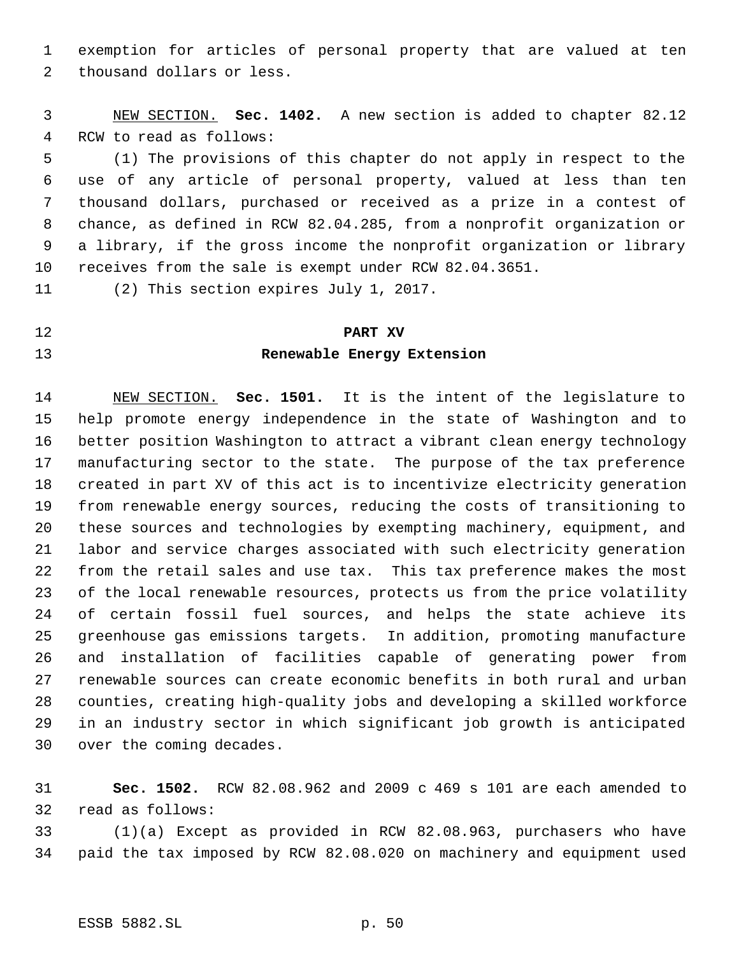exemption for articles of personal property that are valued at ten thousand dollars or less.

 NEW SECTION. **Sec. 1402.** A new section is added to chapter 82.12 RCW to read as follows:

 (1) The provisions of this chapter do not apply in respect to the use of any article of personal property, valued at less than ten thousand dollars, purchased or received as a prize in a contest of chance, as defined in RCW 82.04.285, from a nonprofit organization or a library, if the gross income the nonprofit organization or library receives from the sale is exempt under RCW 82.04.3651.

(2) This section expires July 1, 2017.

# **PART XV Renewable Energy Extension**

 NEW SECTION. **Sec. 1501.** It is the intent of the legislature to help promote energy independence in the state of Washington and to better position Washington to attract a vibrant clean energy technology manufacturing sector to the state. The purpose of the tax preference created in part XV of this act is to incentivize electricity generation from renewable energy sources, reducing the costs of transitioning to these sources and technologies by exempting machinery, equipment, and labor and service charges associated with such electricity generation from the retail sales and use tax. This tax preference makes the most of the local renewable resources, protects us from the price volatility of certain fossil fuel sources, and helps the state achieve its greenhouse gas emissions targets. In addition, promoting manufacture and installation of facilities capable of generating power from renewable sources can create economic benefits in both rural and urban counties, creating high-quality jobs and developing a skilled workforce in an industry sector in which significant job growth is anticipated over the coming decades.

 **Sec. 1502.** RCW 82.08.962 and 2009 c 469 s 101 are each amended to read as follows:

 (1)(a) Except as provided in RCW 82.08.963, purchasers who have paid the tax imposed by RCW 82.08.020 on machinery and equipment used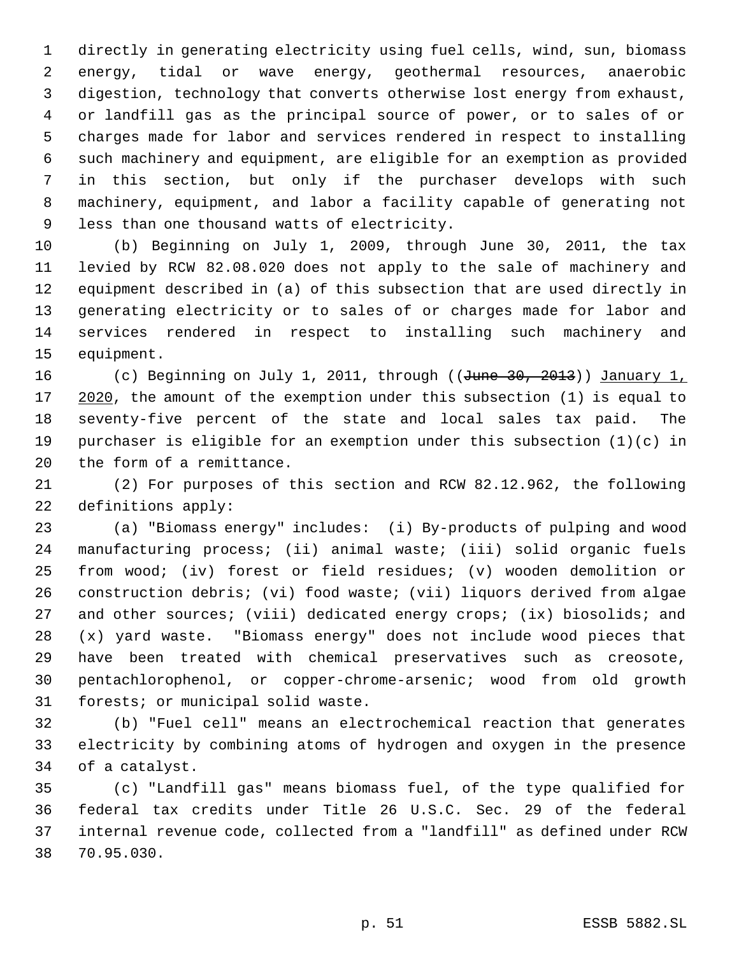directly in generating electricity using fuel cells, wind, sun, biomass energy, tidal or wave energy, geothermal resources, anaerobic digestion, technology that converts otherwise lost energy from exhaust, or landfill gas as the principal source of power, or to sales of or charges made for labor and services rendered in respect to installing such machinery and equipment, are eligible for an exemption as provided in this section, but only if the purchaser develops with such machinery, equipment, and labor a facility capable of generating not less than one thousand watts of electricity.

 (b) Beginning on July 1, 2009, through June 30, 2011, the tax levied by RCW 82.08.020 does not apply to the sale of machinery and equipment described in (a) of this subsection that are used directly in generating electricity or to sales of or charges made for labor and services rendered in respect to installing such machinery and equipment.

16 (c) Beginning on July 1, 2011, through ((June 30, 2013)) January 1, 17 2020, the amount of the exemption under this subsection (1) is equal to seventy-five percent of the state and local sales tax paid. The purchaser is eligible for an exemption under this subsection (1)(c) in the form of a remittance.

 (2) For purposes of this section and RCW 82.12.962, the following definitions apply:

 (a) "Biomass energy" includes: (i) By-products of pulping and wood manufacturing process; (ii) animal waste; (iii) solid organic fuels from wood; (iv) forest or field residues; (v) wooden demolition or construction debris; (vi) food waste; (vii) liquors derived from algae and other sources; (viii) dedicated energy crops; (ix) biosolids; and (x) yard waste. "Biomass energy" does not include wood pieces that have been treated with chemical preservatives such as creosote, pentachlorophenol, or copper-chrome-arsenic; wood from old growth forests; or municipal solid waste.

 (b) "Fuel cell" means an electrochemical reaction that generates electricity by combining atoms of hydrogen and oxygen in the presence of a catalyst.

 (c) "Landfill gas" means biomass fuel, of the type qualified for federal tax credits under Title 26 U.S.C. Sec. 29 of the federal internal revenue code, collected from a "landfill" as defined under RCW 70.95.030.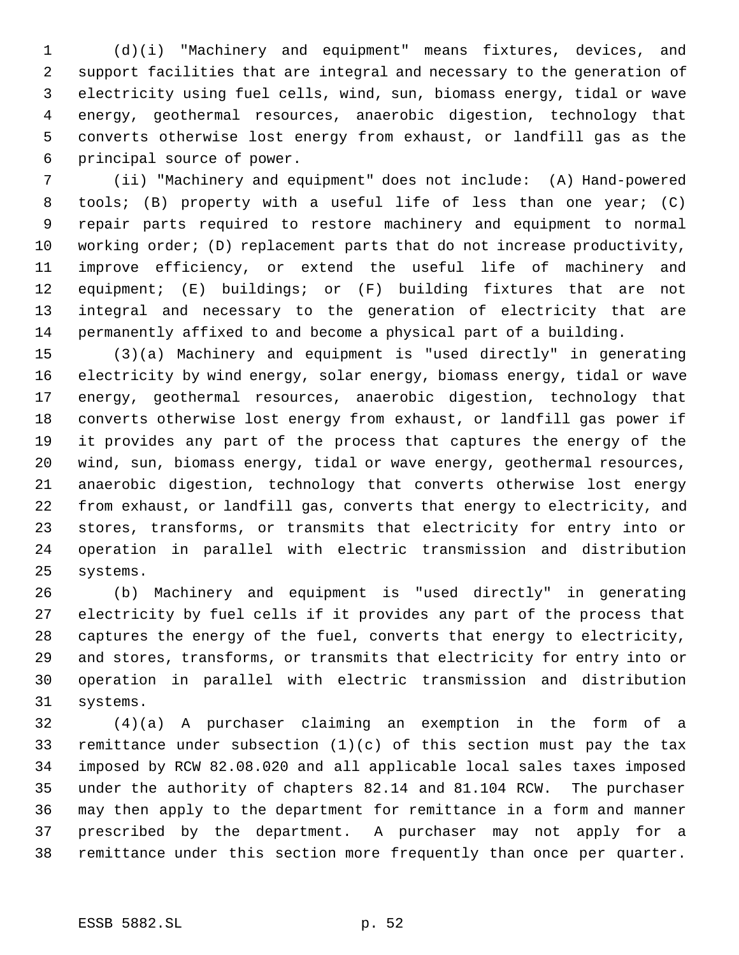(d)(i) "Machinery and equipment" means fixtures, devices, and support facilities that are integral and necessary to the generation of electricity using fuel cells, wind, sun, biomass energy, tidal or wave energy, geothermal resources, anaerobic digestion, technology that converts otherwise lost energy from exhaust, or landfill gas as the principal source of power.

 (ii) "Machinery and equipment" does not include: (A) Hand-powered tools; (B) property with a useful life of less than one year; (C) repair parts required to restore machinery and equipment to normal working order; (D) replacement parts that do not increase productivity, improve efficiency, or extend the useful life of machinery and equipment; (E) buildings; or (F) building fixtures that are not integral and necessary to the generation of electricity that are permanently affixed to and become a physical part of a building.

 (3)(a) Machinery and equipment is "used directly" in generating electricity by wind energy, solar energy, biomass energy, tidal or wave energy, geothermal resources, anaerobic digestion, technology that converts otherwise lost energy from exhaust, or landfill gas power if it provides any part of the process that captures the energy of the wind, sun, biomass energy, tidal or wave energy, geothermal resources, anaerobic digestion, technology that converts otherwise lost energy from exhaust, or landfill gas, converts that energy to electricity, and stores, transforms, or transmits that electricity for entry into or operation in parallel with electric transmission and distribution systems.

 (b) Machinery and equipment is "used directly" in generating electricity by fuel cells if it provides any part of the process that captures the energy of the fuel, converts that energy to electricity, and stores, transforms, or transmits that electricity for entry into or operation in parallel with electric transmission and distribution systems.

 (4)(a) A purchaser claiming an exemption in the form of a remittance under subsection (1)(c) of this section must pay the tax imposed by RCW 82.08.020 and all applicable local sales taxes imposed under the authority of chapters 82.14 and 81.104 RCW. The purchaser may then apply to the department for remittance in a form and manner prescribed by the department. A purchaser may not apply for a remittance under this section more frequently than once per quarter.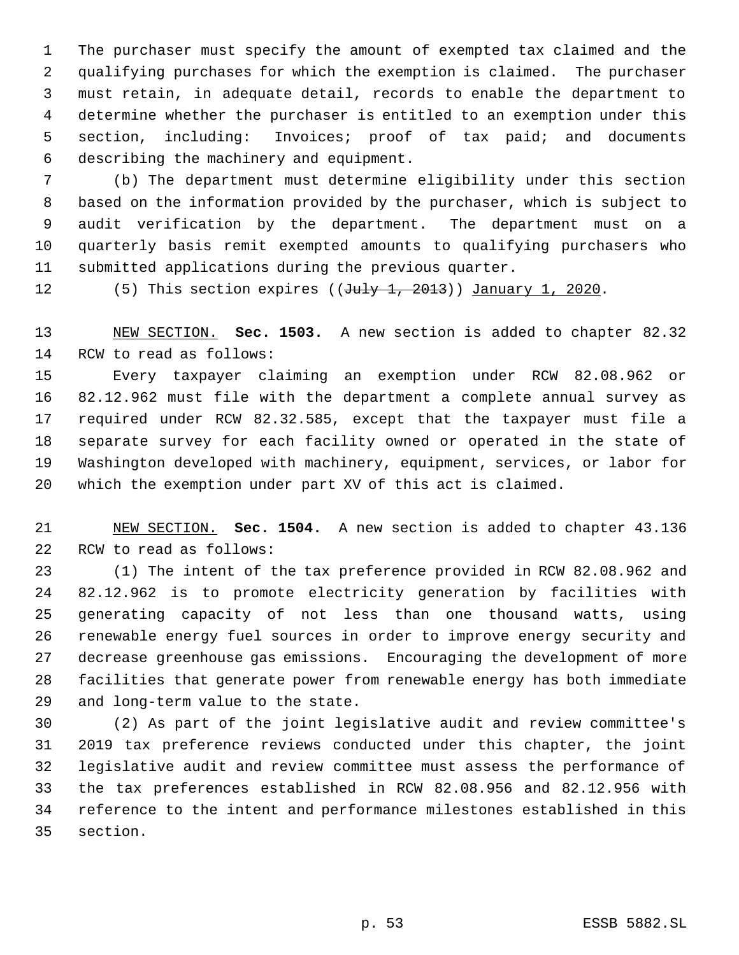The purchaser must specify the amount of exempted tax claimed and the qualifying purchases for which the exemption is claimed. The purchaser must retain, in adequate detail, records to enable the department to determine whether the purchaser is entitled to an exemption under this section, including: Invoices; proof of tax paid; and documents describing the machinery and equipment.

 (b) The department must determine eligibility under this section based on the information provided by the purchaser, which is subject to audit verification by the department. The department must on a quarterly basis remit exempted amounts to qualifying purchasers who submitted applications during the previous quarter.

12 (5) This section expires ((July 1, 2013)) January 1, 2020.

 NEW SECTION. **Sec. 1503.** A new section is added to chapter 82.32 RCW to read as follows:

 Every taxpayer claiming an exemption under RCW 82.08.962 or 82.12.962 must file with the department a complete annual survey as required under RCW 82.32.585, except that the taxpayer must file a separate survey for each facility owned or operated in the state of Washington developed with machinery, equipment, services, or labor for which the exemption under part XV of this act is claimed.

 NEW SECTION. **Sec. 1504.** A new section is added to chapter 43.136 RCW to read as follows:

 (1) The intent of the tax preference provided in RCW 82.08.962 and 82.12.962 is to promote electricity generation by facilities with generating capacity of not less than one thousand watts, using renewable energy fuel sources in order to improve energy security and decrease greenhouse gas emissions. Encouraging the development of more facilities that generate power from renewable energy has both immediate and long-term value to the state.

 (2) As part of the joint legislative audit and review committee's 2019 tax preference reviews conducted under this chapter, the joint legislative audit and review committee must assess the performance of the tax preferences established in RCW 82.08.956 and 82.12.956 with reference to the intent and performance milestones established in this section.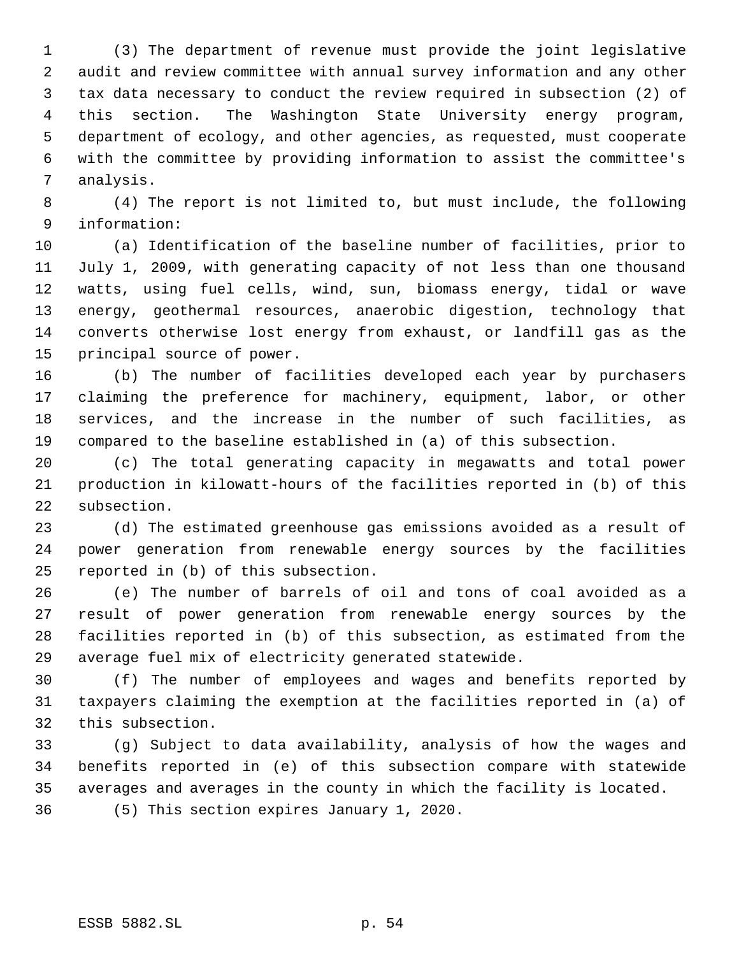(3) The department of revenue must provide the joint legislative audit and review committee with annual survey information and any other tax data necessary to conduct the review required in subsection (2) of this section. The Washington State University energy program, department of ecology, and other agencies, as requested, must cooperate with the committee by providing information to assist the committee's analysis.

 (4) The report is not limited to, but must include, the following information:

 (a) Identification of the baseline number of facilities, prior to July 1, 2009, with generating capacity of not less than one thousand watts, using fuel cells, wind, sun, biomass energy, tidal or wave energy, geothermal resources, anaerobic digestion, technology that converts otherwise lost energy from exhaust, or landfill gas as the principal source of power.

 (b) The number of facilities developed each year by purchasers claiming the preference for machinery, equipment, labor, or other services, and the increase in the number of such facilities, as compared to the baseline established in (a) of this subsection.

 (c) The total generating capacity in megawatts and total power production in kilowatt-hours of the facilities reported in (b) of this subsection.

 (d) The estimated greenhouse gas emissions avoided as a result of power generation from renewable energy sources by the facilities reported in (b) of this subsection.

 (e) The number of barrels of oil and tons of coal avoided as a result of power generation from renewable energy sources by the facilities reported in (b) of this subsection, as estimated from the average fuel mix of electricity generated statewide.

 (f) The number of employees and wages and benefits reported by taxpayers claiming the exemption at the facilities reported in (a) of this subsection.

 (g) Subject to data availability, analysis of how the wages and benefits reported in (e) of this subsection compare with statewide averages and averages in the county in which the facility is located.

(5) This section expires January 1, 2020.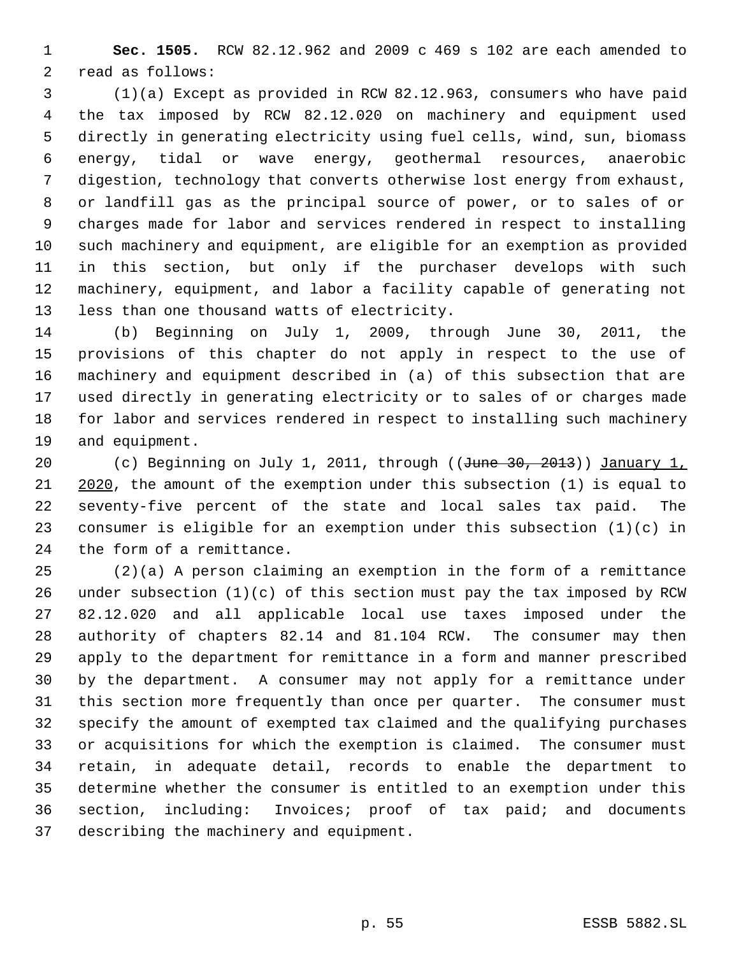**Sec. 1505.** RCW 82.12.962 and 2009 c 469 s 102 are each amended to read as follows:

 (1)(a) Except as provided in RCW 82.12.963, consumers who have paid the tax imposed by RCW 82.12.020 on machinery and equipment used directly in generating electricity using fuel cells, wind, sun, biomass energy, tidal or wave energy, geothermal resources, anaerobic digestion, technology that converts otherwise lost energy from exhaust, or landfill gas as the principal source of power, or to sales of or charges made for labor and services rendered in respect to installing such machinery and equipment, are eligible for an exemption as provided in this section, but only if the purchaser develops with such machinery, equipment, and labor a facility capable of generating not less than one thousand watts of electricity.

 (b) Beginning on July 1, 2009, through June 30, 2011, the provisions of this chapter do not apply in respect to the use of machinery and equipment described in (a) of this subsection that are used directly in generating electricity or to sales of or charges made for labor and services rendered in respect to installing such machinery and equipment.

20 (c) Beginning on July 1, 2011, through ((June 30, 2013)) January 1, 2020, the amount of the exemption under this subsection (1) is equal to seventy-five percent of the state and local sales tax paid. The consumer is eligible for an exemption under this subsection (1)(c) in the form of a remittance.

 (2)(a) A person claiming an exemption in the form of a remittance under subsection (1)(c) of this section must pay the tax imposed by RCW 82.12.020 and all applicable local use taxes imposed under the authority of chapters 82.14 and 81.104 RCW. The consumer may then apply to the department for remittance in a form and manner prescribed by the department. A consumer may not apply for a remittance under this section more frequently than once per quarter. The consumer must specify the amount of exempted tax claimed and the qualifying purchases or acquisitions for which the exemption is claimed. The consumer must retain, in adequate detail, records to enable the department to determine whether the consumer is entitled to an exemption under this section, including: Invoices; proof of tax paid; and documents describing the machinery and equipment.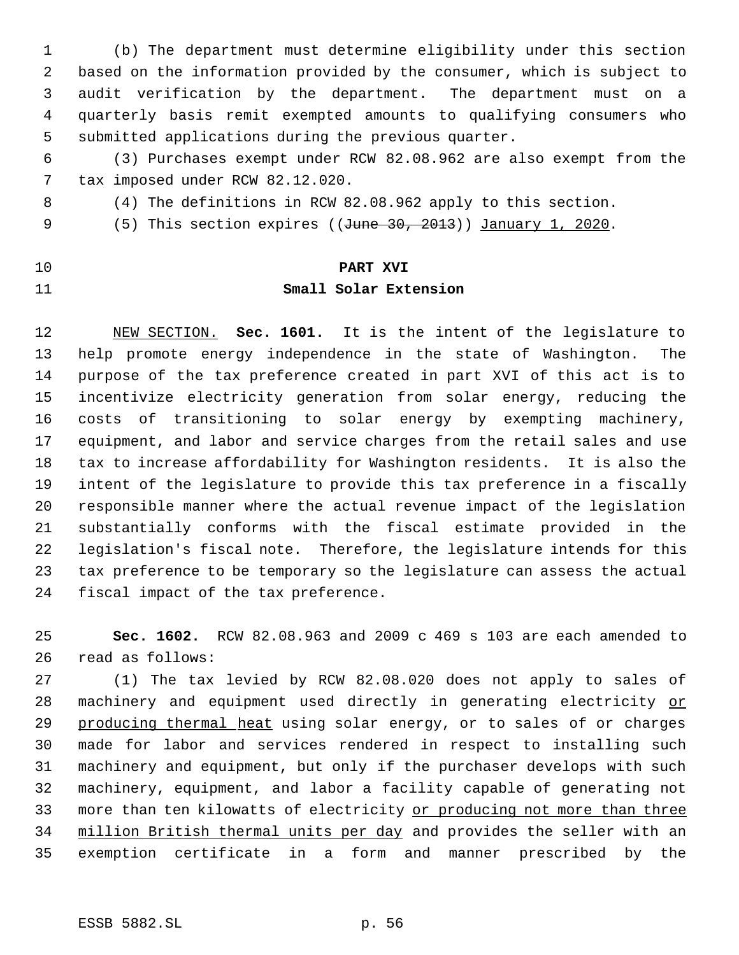(b) The department must determine eligibility under this section based on the information provided by the consumer, which is subject to audit verification by the department. The department must on a quarterly basis remit exempted amounts to qualifying consumers who submitted applications during the previous quarter.

 (3) Purchases exempt under RCW 82.08.962 are also exempt from the tax imposed under RCW 82.12.020.

- (4) The definitions in RCW 82.08.962 apply to this section.
- 9 (5) This section expires ((June 30, 2013)) January 1, 2020.
- 

### **PART XVI**

### **Small Solar Extension**

 NEW SECTION. **Sec. 1601.** It is the intent of the legislature to help promote energy independence in the state of Washington. The purpose of the tax preference created in part XVI of this act is to incentivize electricity generation from solar energy, reducing the costs of transitioning to solar energy by exempting machinery, equipment, and labor and service charges from the retail sales and use tax to increase affordability for Washington residents. It is also the intent of the legislature to provide this tax preference in a fiscally responsible manner where the actual revenue impact of the legislation substantially conforms with the fiscal estimate provided in the legislation's fiscal note. Therefore, the legislature intends for this tax preference to be temporary so the legislature can assess the actual fiscal impact of the tax preference.

 **Sec. 1602.** RCW 82.08.963 and 2009 c 469 s 103 are each amended to read as follows:

 (1) The tax levied by RCW 82.08.020 does not apply to sales of 28 machinery and equipment used directly in generating electricity or 29 producing thermal heat using solar energy, or to sales of or charges made for labor and services rendered in respect to installing such machinery and equipment, but only if the purchaser develops with such machinery, equipment, and labor a facility capable of generating not more than ten kilowatts of electricity or producing not more than three million British thermal units per day and provides the seller with an exemption certificate in a form and manner prescribed by the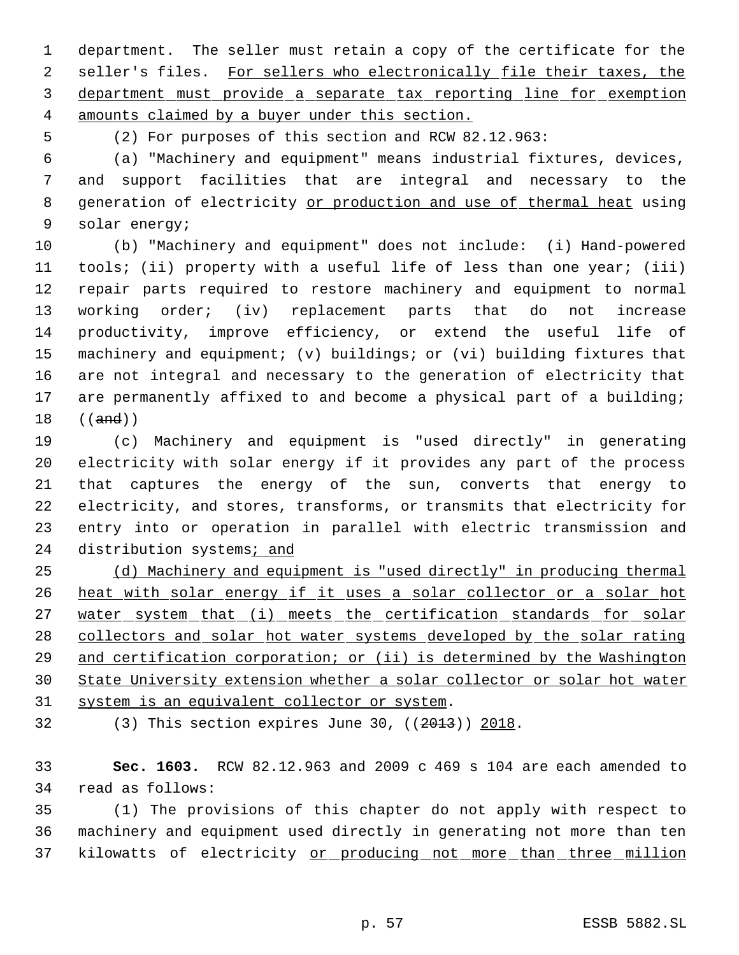department. The seller must retain a copy of the certificate for the 2 seller's files. For sellers who electronically file their taxes, the department must provide a separate tax reporting line for exemption amounts claimed by a buyer under this section.

(2) For purposes of this section and RCW 82.12.963:

 (a) "Machinery and equipment" means industrial fixtures, devices, and support facilities that are integral and necessary to the 8 generation of electricity or production and use of thermal heat using solar energy;

 (b) "Machinery and equipment" does not include: (i) Hand-powered tools; (ii) property with a useful life of less than one year; (iii) repair parts required to restore machinery and equipment to normal working order; (iv) replacement parts that do not increase productivity, improve efficiency, or extend the useful life of machinery and equipment; (v) buildings; or (vi) building fixtures that are not integral and necessary to the generation of electricity that are permanently affixed to and become a physical part of a building; ((and))

 (c) Machinery and equipment is "used directly" in generating electricity with solar energy if it provides any part of the process that captures the energy of the sun, converts that energy to electricity, and stores, transforms, or transmits that electricity for entry into or operation in parallel with electric transmission and 24 distribution systems; and

 (d) Machinery and equipment is "used directly" in producing thermal 26 heat with solar energy if it uses a solar collector or a solar hot 27 water system that (i) meets the certification standards for solar collectors and solar hot water systems developed by the solar rating and certification corporation; or (ii) is determined by the Washington State University extension whether a solar collector or solar hot water system is an equivalent collector or system.

(3) This section expires June 30, ((2013)) 2018.

 **Sec. 1603.** RCW 82.12.963 and 2009 c 469 s 104 are each amended to read as follows:

 (1) The provisions of this chapter do not apply with respect to machinery and equipment used directly in generating not more than ten 37 kilowatts of electricity or producing not more than three million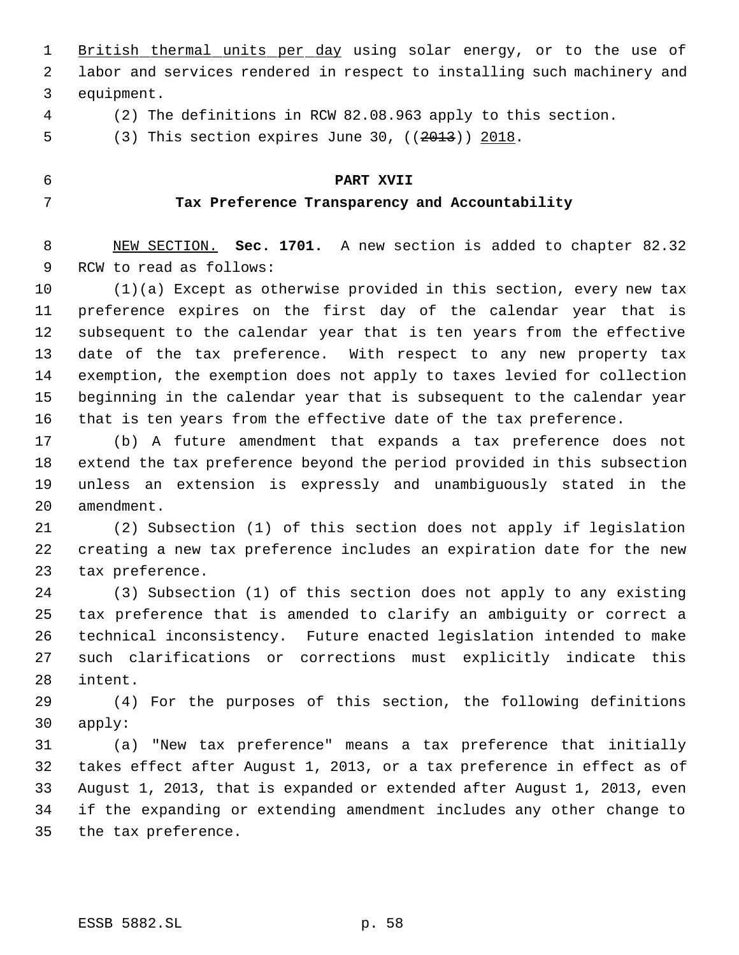1 British thermal units per day using solar energy, or to the use of labor and services rendered in respect to installing such machinery and equipment.

(2) The definitions in RCW 82.08.963 apply to this section.

5 (3) This section expires June 30, ((2013)) 2018.

#### **PART XVII**

#### **Tax Preference Transparency and Accountability**

 NEW SECTION. **Sec. 1701.** A new section is added to chapter 82.32 RCW to read as follows:

 (1)(a) Except as otherwise provided in this section, every new tax preference expires on the first day of the calendar year that is subsequent to the calendar year that is ten years from the effective date of the tax preference. With respect to any new property tax exemption, the exemption does not apply to taxes levied for collection beginning in the calendar year that is subsequent to the calendar year that is ten years from the effective date of the tax preference.

 (b) A future amendment that expands a tax preference does not extend the tax preference beyond the period provided in this subsection unless an extension is expressly and unambiguously stated in the amendment.

 (2) Subsection (1) of this section does not apply if legislation creating a new tax preference includes an expiration date for the new tax preference.

 (3) Subsection (1) of this section does not apply to any existing tax preference that is amended to clarify an ambiguity or correct a technical inconsistency. Future enacted legislation intended to make such clarifications or corrections must explicitly indicate this intent.

 (4) For the purposes of this section, the following definitions apply:

 (a) "New tax preference" means a tax preference that initially takes effect after August 1, 2013, or a tax preference in effect as of August 1, 2013, that is expanded or extended after August 1, 2013, even if the expanding or extending amendment includes any other change to the tax preference.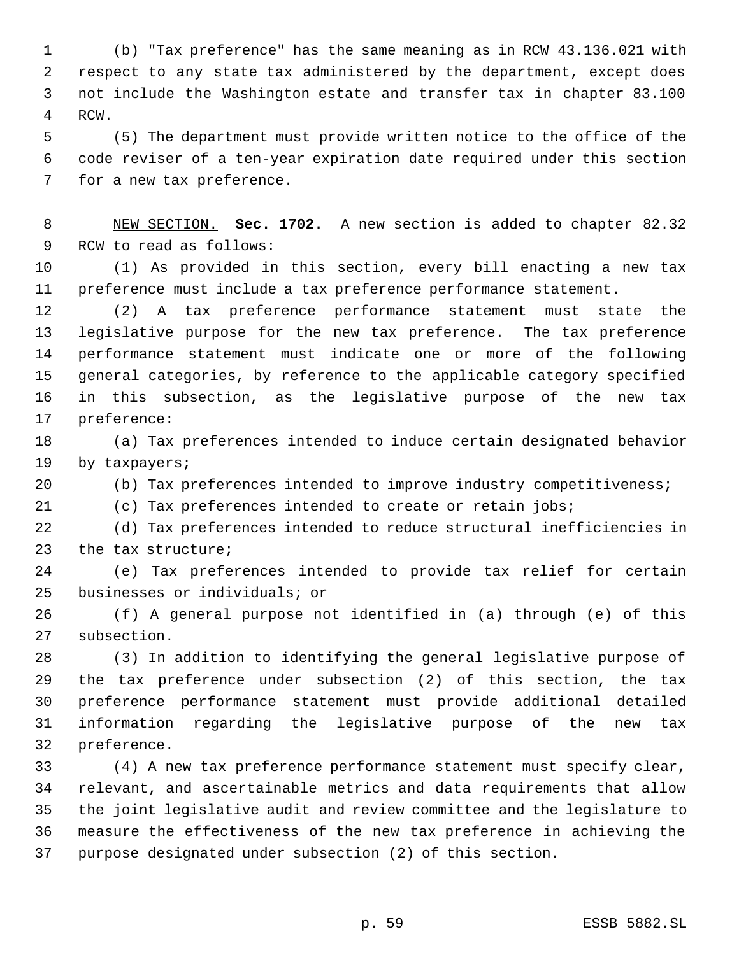(b) "Tax preference" has the same meaning as in RCW 43.136.021 with respect to any state tax administered by the department, except does not include the Washington estate and transfer tax in chapter 83.100 RCW.

 (5) The department must provide written notice to the office of the code reviser of a ten-year expiration date required under this section for a new tax preference.

 NEW SECTION. **Sec. 1702.** A new section is added to chapter 82.32 RCW to read as follows:

 (1) As provided in this section, every bill enacting a new tax preference must include a tax preference performance statement.

 (2) A tax preference performance statement must state the legislative purpose for the new tax preference. The tax preference performance statement must indicate one or more of the following general categories, by reference to the applicable category specified in this subsection, as the legislative purpose of the new tax preference:

 (a) Tax preferences intended to induce certain designated behavior by taxpayers;

(b) Tax preferences intended to improve industry competitiveness;

(c) Tax preferences intended to create or retain jobs;

 (d) Tax preferences intended to reduce structural inefficiencies in the tax structure;

 (e) Tax preferences intended to provide tax relief for certain businesses or individuals; or

 (f) A general purpose not identified in (a) through (e) of this subsection.

 (3) In addition to identifying the general legislative purpose of the tax preference under subsection (2) of this section, the tax preference performance statement must provide additional detailed information regarding the legislative purpose of the new tax preference.

 (4) A new tax preference performance statement must specify clear, relevant, and ascertainable metrics and data requirements that allow the joint legislative audit and review committee and the legislature to measure the effectiveness of the new tax preference in achieving the purpose designated under subsection (2) of this section.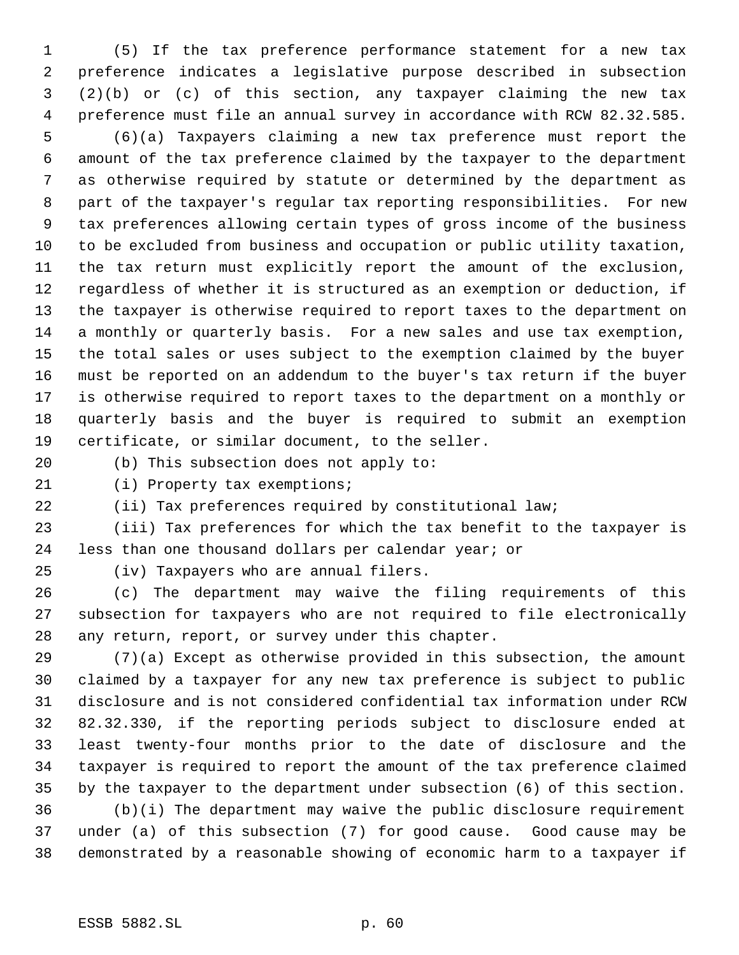(5) If the tax preference performance statement for a new tax preference indicates a legislative purpose described in subsection (2)(b) or (c) of this section, any taxpayer claiming the new tax preference must file an annual survey in accordance with RCW 82.32.585.

 (6)(a) Taxpayers claiming a new tax preference must report the amount of the tax preference claimed by the taxpayer to the department as otherwise required by statute or determined by the department as part of the taxpayer's regular tax reporting responsibilities. For new tax preferences allowing certain types of gross income of the business to be excluded from business and occupation or public utility taxation, the tax return must explicitly report the amount of the exclusion, regardless of whether it is structured as an exemption or deduction, if the taxpayer is otherwise required to report taxes to the department on a monthly or quarterly basis. For a new sales and use tax exemption, the total sales or uses subject to the exemption claimed by the buyer must be reported on an addendum to the buyer's tax return if the buyer is otherwise required to report taxes to the department on a monthly or quarterly basis and the buyer is required to submit an exemption certificate, or similar document, to the seller.

(b) This subsection does not apply to:

21 (i) Property tax exemptions;

(ii) Tax preferences required by constitutional law;

 (iii) Tax preferences for which the tax benefit to the taxpayer is less than one thousand dollars per calendar year; or

(iv) Taxpayers who are annual filers.

 (c) The department may waive the filing requirements of this subsection for taxpayers who are not required to file electronically any return, report, or survey under this chapter.

 (7)(a) Except as otherwise provided in this subsection, the amount claimed by a taxpayer for any new tax preference is subject to public disclosure and is not considered confidential tax information under RCW 82.32.330, if the reporting periods subject to disclosure ended at least twenty-four months prior to the date of disclosure and the taxpayer is required to report the amount of the tax preference claimed by the taxpayer to the department under subsection (6) of this section. (b)(i) The department may waive the public disclosure requirement under (a) of this subsection (7) for good cause. Good cause may be demonstrated by a reasonable showing of economic harm to a taxpayer if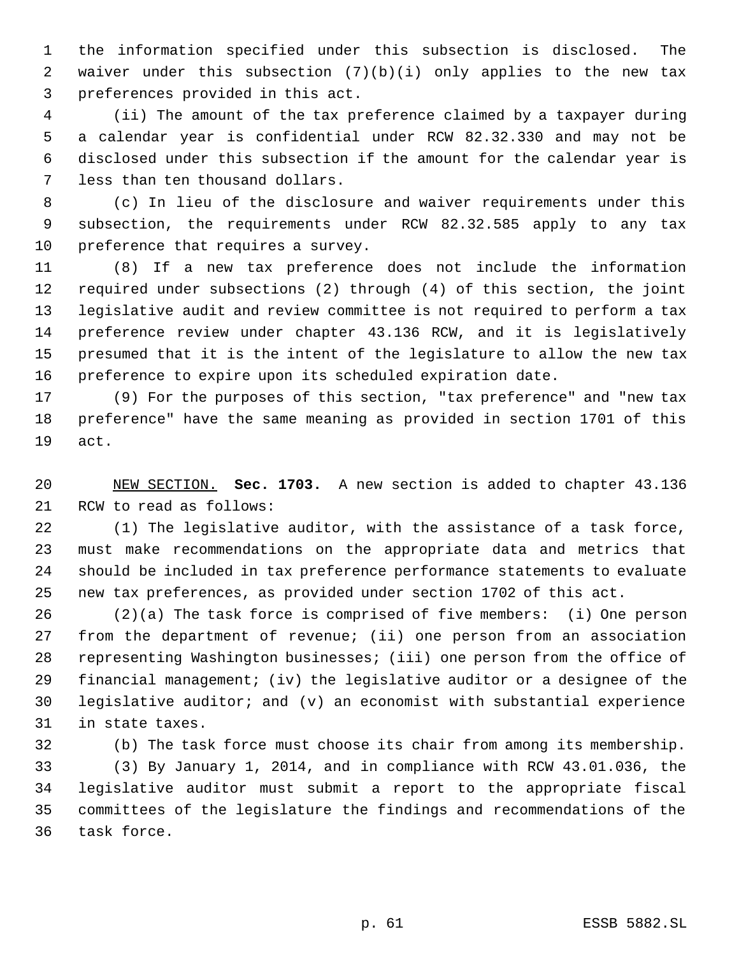the information specified under this subsection is disclosed. The waiver under this subsection (7)(b)(i) only applies to the new tax preferences provided in this act.

 (ii) The amount of the tax preference claimed by a taxpayer during a calendar year is confidential under RCW 82.32.330 and may not be disclosed under this subsection if the amount for the calendar year is less than ten thousand dollars.

 (c) In lieu of the disclosure and waiver requirements under this subsection, the requirements under RCW 82.32.585 apply to any tax preference that requires a survey.

 (8) If a new tax preference does not include the information required under subsections (2) through (4) of this section, the joint legislative audit and review committee is not required to perform a tax preference review under chapter 43.136 RCW, and it is legislatively presumed that it is the intent of the legislature to allow the new tax preference to expire upon its scheduled expiration date.

 (9) For the purposes of this section, "tax preference" and "new tax preference" have the same meaning as provided in section 1701 of this act.

 NEW SECTION. **Sec. 1703.** A new section is added to chapter 43.136 RCW to read as follows:

 (1) The legislative auditor, with the assistance of a task force, must make recommendations on the appropriate data and metrics that should be included in tax preference performance statements to evaluate new tax preferences, as provided under section 1702 of this act.

 (2)(a) The task force is comprised of five members: (i) One person from the department of revenue; (ii) one person from an association representing Washington businesses; (iii) one person from the office of financial management; (iv) the legislative auditor or a designee of the legislative auditor; and (v) an economist with substantial experience in state taxes.

 (b) The task force must choose its chair from among its membership. (3) By January 1, 2014, and in compliance with RCW 43.01.036, the legislative auditor must submit a report to the appropriate fiscal committees of the legislature the findings and recommendations of the task force.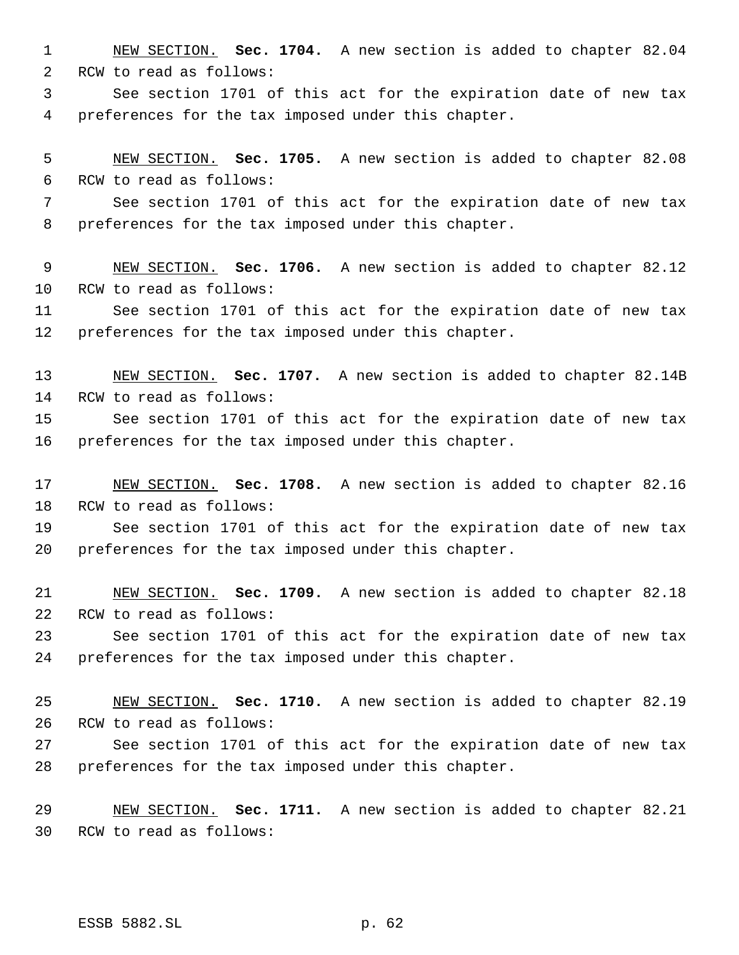NEW SECTION. **Sec. 1704.** A new section is added to chapter 82.04 RCW to read as follows: See section 1701 of this act for the expiration date of new tax preferences for the tax imposed under this chapter. NEW SECTION. **Sec. 1705.** A new section is added to chapter 82.08 RCW to read as follows: See section 1701 of this act for the expiration date of new tax preferences for the tax imposed under this chapter.

 NEW SECTION. **Sec. 1706.** A new section is added to chapter 82.12 RCW to read as follows:

 See section 1701 of this act for the expiration date of new tax preferences for the tax imposed under this chapter.

 NEW SECTION. **Sec. 1707.** A new section is added to chapter 82.14B RCW to read as follows:

 See section 1701 of this act for the expiration date of new tax preferences for the tax imposed under this chapter.

 NEW SECTION. **Sec. 1708.** A new section is added to chapter 82.16 RCW to read as follows:

 See section 1701 of this act for the expiration date of new tax preferences for the tax imposed under this chapter.

 NEW SECTION. **Sec. 1709.** A new section is added to chapter 82.18 RCW to read as follows:

 See section 1701 of this act for the expiration date of new tax preferences for the tax imposed under this chapter.

 NEW SECTION. **Sec. 1710.** A new section is added to chapter 82.19 RCW to read as follows:

 See section 1701 of this act for the expiration date of new tax preferences for the tax imposed under this chapter.

 NEW SECTION. **Sec. 1711.** A new section is added to chapter 82.21 RCW to read as follows: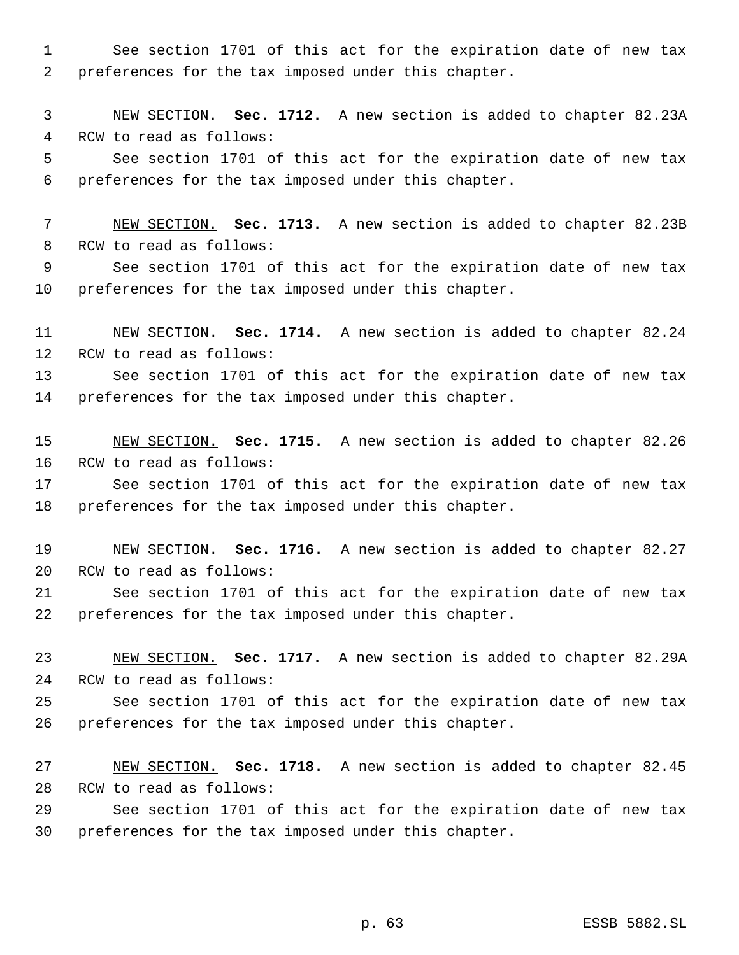See section 1701 of this act for the expiration date of new tax preferences for the tax imposed under this chapter.

 NEW SECTION. **Sec. 1712.** A new section is added to chapter 82.23A RCW to read as follows: See section 1701 of this act for the expiration date of new tax preferences for the tax imposed under this chapter.

 NEW SECTION. **Sec. 1713.** A new section is added to chapter 82.23B RCW to read as follows:

 See section 1701 of this act for the expiration date of new tax preferences for the tax imposed under this chapter.

 NEW SECTION. **Sec. 1714.** A new section is added to chapter 82.24 RCW to read as follows:

 See section 1701 of this act for the expiration date of new tax preferences for the tax imposed under this chapter.

 NEW SECTION. **Sec. 1715.** A new section is added to chapter 82.26 RCW to read as follows:

 See section 1701 of this act for the expiration date of new tax preferences for the tax imposed under this chapter.

 NEW SECTION. **Sec. 1716.** A new section is added to chapter 82.27 RCW to read as follows:

 See section 1701 of this act for the expiration date of new tax preferences for the tax imposed under this chapter.

 NEW SECTION. **Sec. 1717.** A new section is added to chapter 82.29A RCW to read as follows:

 See section 1701 of this act for the expiration date of new tax preferences for the tax imposed under this chapter.

 NEW SECTION. **Sec. 1718.** A new section is added to chapter 82.45 RCW to read as follows:

 See section 1701 of this act for the expiration date of new tax preferences for the tax imposed under this chapter.

p. 63 ESSB 5882.SL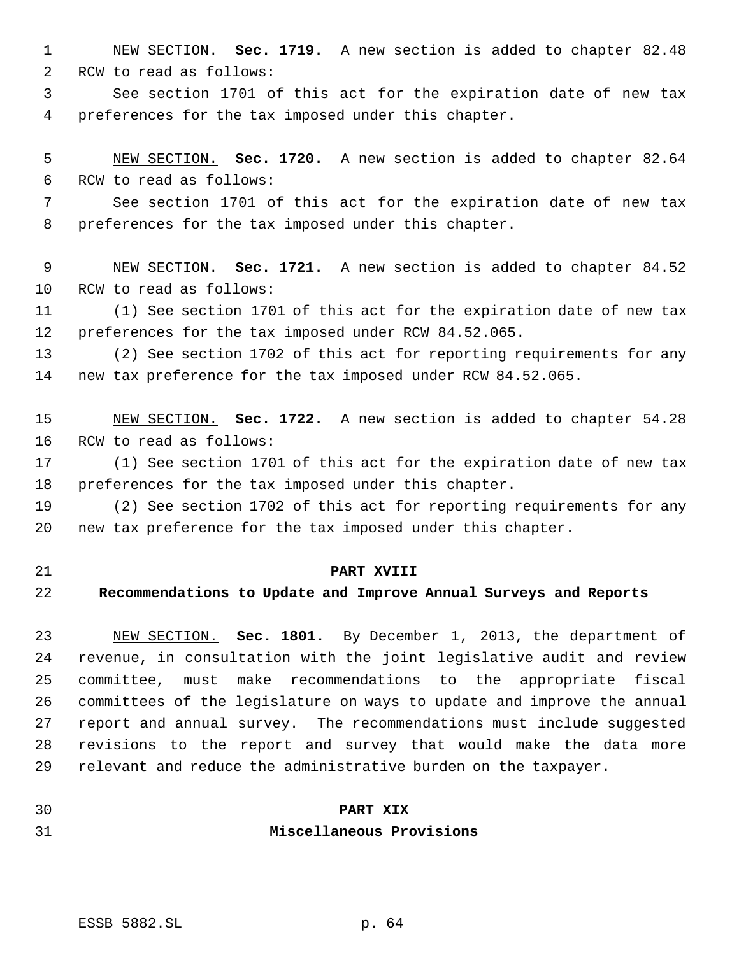NEW SECTION. **Sec. 1719.** A new section is added to chapter 82.48 RCW to read as follows:

 See section 1701 of this act for the expiration date of new tax preferences for the tax imposed under this chapter.

 NEW SECTION. **Sec. 1720.** A new section is added to chapter 82.64 RCW to read as follows:

 See section 1701 of this act for the expiration date of new tax preferences for the tax imposed under this chapter.

 NEW SECTION. **Sec. 1721.** A new section is added to chapter 84.52 RCW to read as follows:

 (1) See section 1701 of this act for the expiration date of new tax preferences for the tax imposed under RCW 84.52.065.

 (2) See section 1702 of this act for reporting requirements for any new tax preference for the tax imposed under RCW 84.52.065.

 NEW SECTION. **Sec. 1722.** A new section is added to chapter 54.28 RCW to read as follows:

 (1) See section 1701 of this act for the expiration date of new tax preferences for the tax imposed under this chapter.

 (2) See section 1702 of this act for reporting requirements for any new tax preference for the tax imposed under this chapter.

### **PART XVIII**

#### **Recommendations to Update and Improve Annual Surveys and Reports**

 NEW SECTION. **Sec. 1801.** By December 1, 2013, the department of revenue, in consultation with the joint legislative audit and review committee, must make recommendations to the appropriate fiscal committees of the legislature on ways to update and improve the annual report and annual survey. The recommendations must include suggested revisions to the report and survey that would make the data more relevant and reduce the administrative burden on the taxpayer.

# **PART XIX Miscellaneous Provisions**